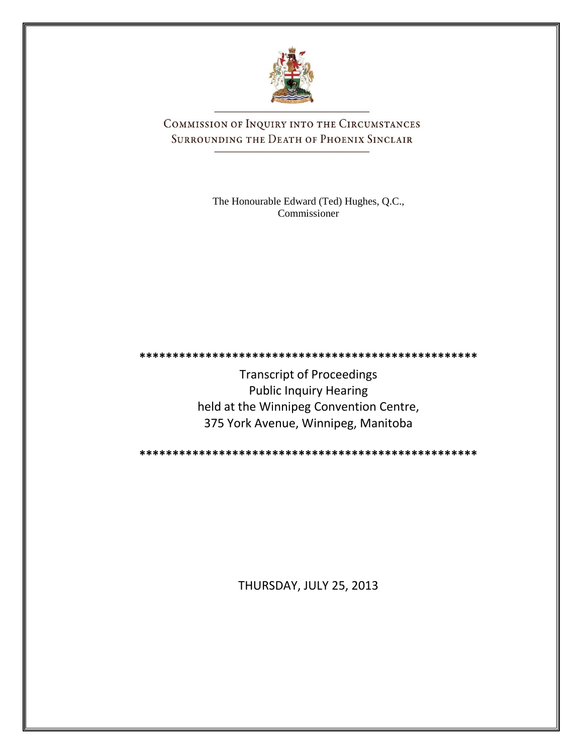

COMMISSION OF INQUIRY INTO THE CIRCUMSTANCES SURROUNDING THE DEATH OF PHOENIX SINCLAIR

> The Honourable Edward (Ted) Hughes, Q.C., Commissioner

**\*\*\*\*\*\*\*\*\*\*\*\*\*\*\*\*\*\*\*\*\*\*\*\*\*\*\*\*\*\*\*\*\*\*\*\*\*\*\*\*\*\*\*\*\*\*\*\*\*\*\***

Transcript of Proceedings Public Inquiry Hearing held at the Winnipeg Convention Centre, 375 York Avenue, Winnipeg, Manitoba

**\*\*\*\*\*\*\*\*\*\*\*\*\*\*\*\*\*\*\*\*\*\*\*\*\*\*\*\*\*\*\*\*\*\*\*\*\*\*\*\*\*\*\*\*\*\*\*\*\*\*\***

THURSDAY, JULY 25, 2013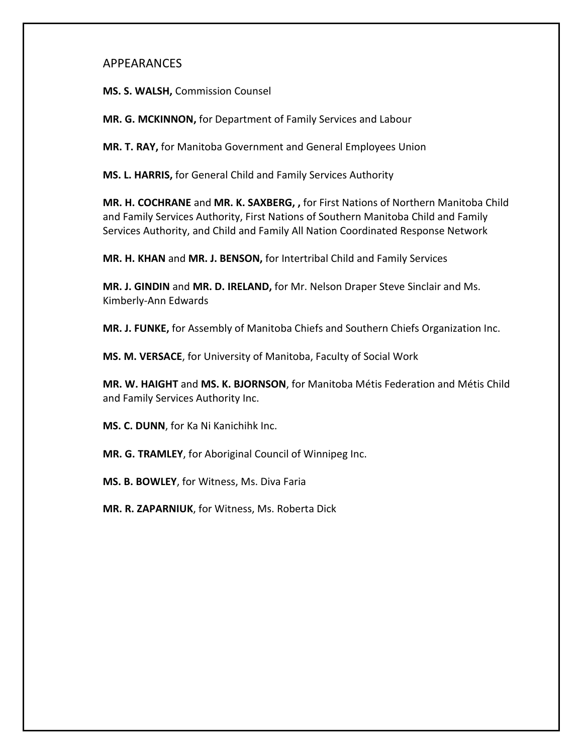# APPEARANCES

**MS. S. WALSH,** Commission Counsel

**MR. G. MCKINNON,** for Department of Family Services and Labour

**MR. T. RAY,** for Manitoba Government and General Employees Union

**MS. L. HARRIS,** for General Child and Family Services Authority

**MR. H. COCHRANE** and **MR. K. SAXBERG, ,** for First Nations of Northern Manitoba Child and Family Services Authority, First Nations of Southern Manitoba Child and Family Services Authority, and Child and Family All Nation Coordinated Response Network

**MR. H. KHAN** and **MR. J. BENSON,** for Intertribal Child and Family Services

**MR. J. GINDIN** and **MR. D. IRELAND,** for Mr. Nelson Draper Steve Sinclair and Ms. Kimberly-Ann Edwards

**MR. J. FUNKE,** for Assembly of Manitoba Chiefs and Southern Chiefs Organization Inc.

**MS. M. VERSACE**, for University of Manitoba, Faculty of Social Work

**MR. W. HAIGHT** and **MS. K. BJORNSON**, for Manitoba Métis Federation and Métis Child and Family Services Authority Inc.

**MS. C. DUNN**, for Ka Ni Kanichihk Inc.

**MR. G. TRAMLEY**, for Aboriginal Council of Winnipeg Inc.

**MS. B. BOWLEY**, for Witness, Ms. Diva Faria

**MR. R. ZAPARNIUK**, for Witness, Ms. Roberta Dick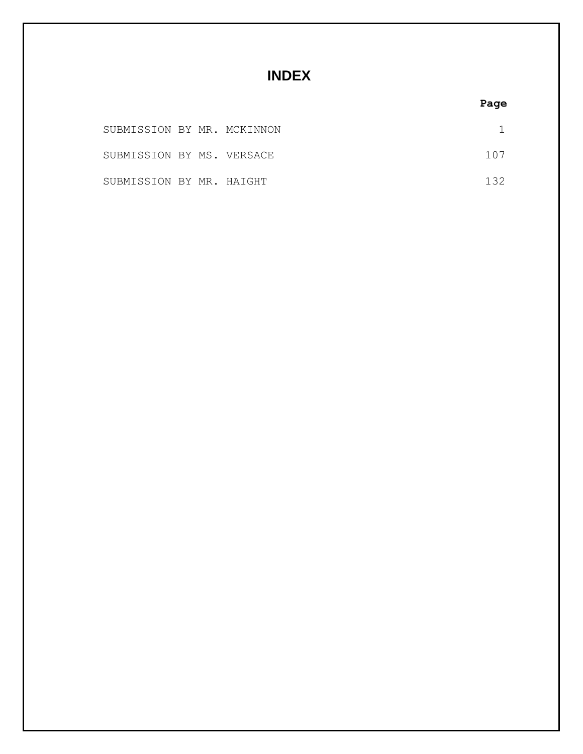# **INDEX**

# **Page**

| SUBMISSION BY MR. MCKINNON |  |       |
|----------------------------|--|-------|
| SUBMISSION BY MS. VERSACE  |  | 107   |
| SUBMISSION BY MR. HAIGHT   |  | 1 3 2 |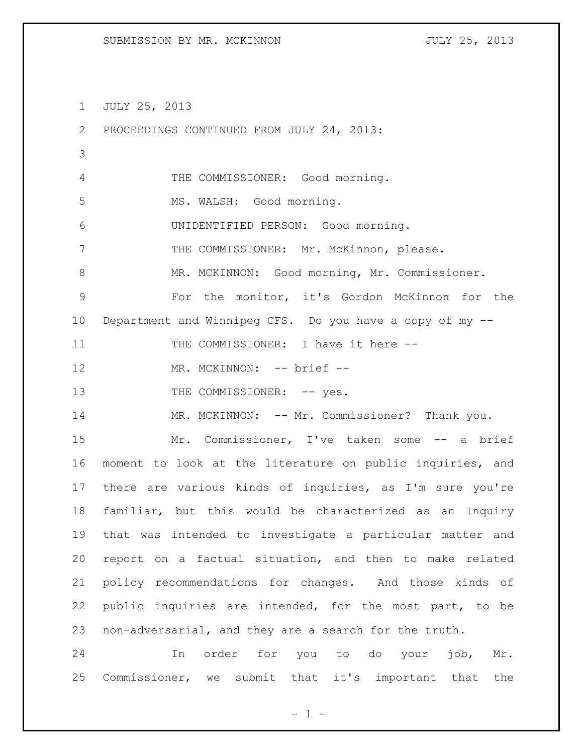JULY 25, 2013

 PROCEEDINGS CONTINUED FROM JULY 24, 2013: THE COMMISSIONER: Good morning. 5 MS. WALSH: Good morning. UNIDENTIFIED PERSON: Good morning. THE COMMISSIONER: Mr. McKinnon, please. MR. MCKINNON: Good morning, Mr. Commissioner. For the monitor, it's Gordon McKinnon for the Department and Winnipeg CFS. Do you have a copy of my -- 11 THE COMMISSIONER: I have it here --12 MR. MCKINNON: -- brief --13 THE COMMISSIONER: -- yes. 14 MR. MCKINNON: -- Mr. Commissioner? Thank you. Mr. Commissioner, I've taken some -- a brief moment to look at the literature on public inquiries, and there are various kinds of inquiries, as I'm sure you're familiar, but this would be characterized as an Inquiry that was intended to investigate a particular matter and report on a factual situation, and then to make related policy recommendations for changes. And those kinds of public inquiries are intended, for the most part, to be non-adversarial, and they are a search for the truth. In order for you to do your job, Mr. Commissioner, we submit that it's important that the

 $- 1 -$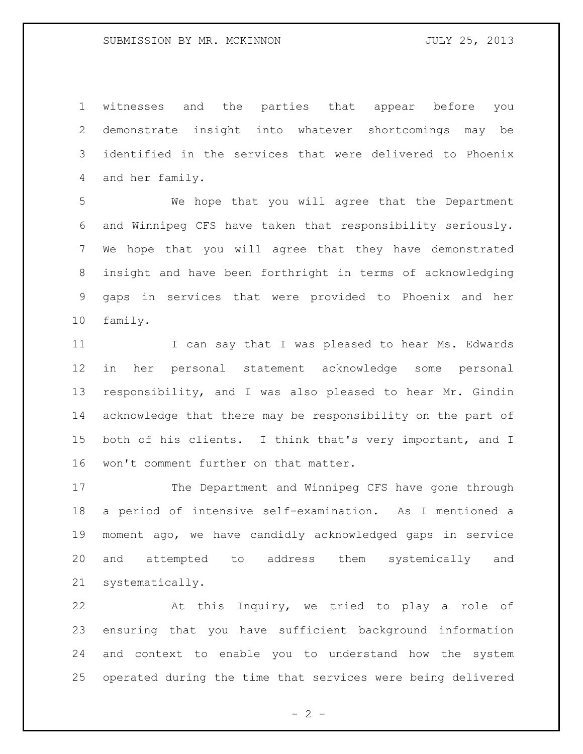witnesses and the parties that appear before you demonstrate insight into whatever shortcomings may be identified in the services that were delivered to Phoenix and her family.

 We hope that you will agree that the Department and Winnipeg CFS have taken that responsibility seriously. We hope that you will agree that they have demonstrated insight and have been forthright in terms of acknowledging gaps in services that were provided to Phoenix and her family.

11 I can say that I was pleased to hear Ms. Edwards in her personal statement acknowledge some personal responsibility, and I was also pleased to hear Mr. Gindin acknowledge that there may be responsibility on the part of both of his clients. I think that's very important, and I won't comment further on that matter.

 The Department and Winnipeg CFS have gone through a period of intensive self-examination. As I mentioned a moment ago, we have candidly acknowledged gaps in service and attempted to address them systemically and systematically.

 At this Inquiry, we tried to play a role of ensuring that you have sufficient background information and context to enable you to understand how the system operated during the time that services were being delivered

 $- 2 -$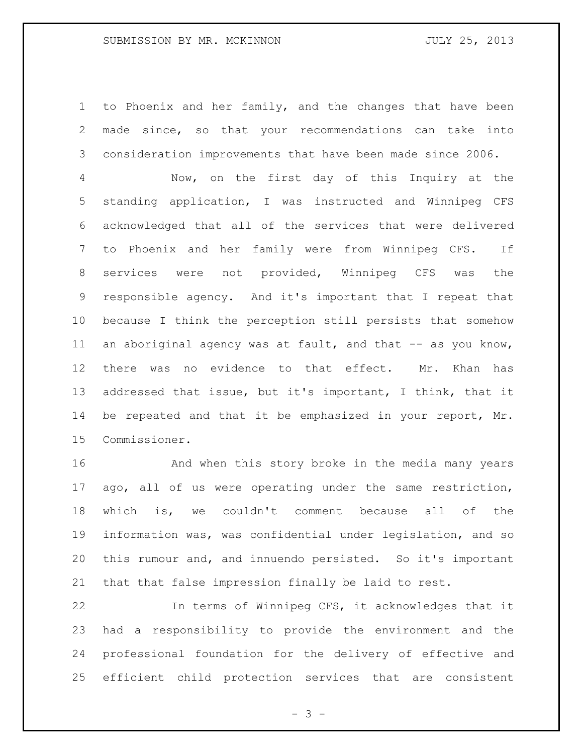to Phoenix and her family, and the changes that have been made since, so that your recommendations can take into consideration improvements that have been made since 2006.

 Now, on the first day of this Inquiry at the standing application, I was instructed and Winnipeg CFS acknowledged that all of the services that were delivered to Phoenix and her family were from Winnipeg CFS. If services were not provided, Winnipeg CFS was the responsible agency. And it's important that I repeat that because I think the perception still persists that somehow 11 an aboriginal agency was at fault, and that -- as you know, there was no evidence to that effect. Mr. Khan has addressed that issue, but it's important, I think, that it be repeated and that it be emphasized in your report, Mr. Commissioner.

 And when this story broke in the media many years ago, all of us were operating under the same restriction, which is, we couldn't comment because all of the information was, was confidential under legislation, and so this rumour and, and innuendo persisted. So it's important that that false impression finally be laid to rest.

 In terms of Winnipeg CFS, it acknowledges that it had a responsibility to provide the environment and the professional foundation for the delivery of effective and efficient child protection services that are consistent

- 3 -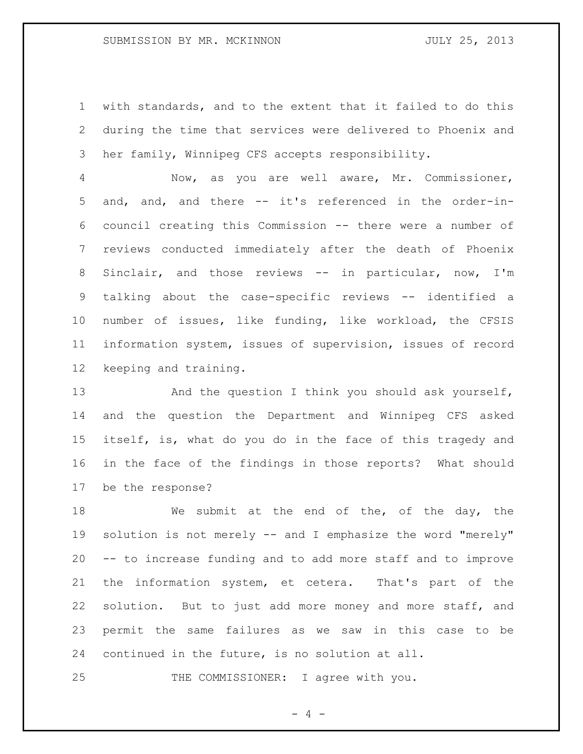with standards, and to the extent that it failed to do this during the time that services were delivered to Phoenix and her family, Winnipeg CFS accepts responsibility.

 Now, as you are well aware, Mr. Commissioner, and, and, and there -- it's referenced in the order-in- council creating this Commission -- there were a number of reviews conducted immediately after the death of Phoenix 8 Sinclair, and those reviews -- in particular, now, I'm talking about the case-specific reviews -- identified a number of issues, like funding, like workload, the CFSIS information system, issues of supervision, issues of record keeping and training.

13 And the question I think you should ask yourself, and the question the Department and Winnipeg CFS asked itself, is, what do you do in the face of this tragedy and in the face of the findings in those reports? What should be the response?

18 We submit at the end of the, of the day, the 19 solution is not merely -- and I emphasize the word "merely" -- to increase funding and to add more staff and to improve the information system, et cetera. That's part of the solution. But to just add more money and more staff, and permit the same failures as we saw in this case to be continued in the future, is no solution at all.

THE COMMISSIONER: I agree with you.

 $- 4 -$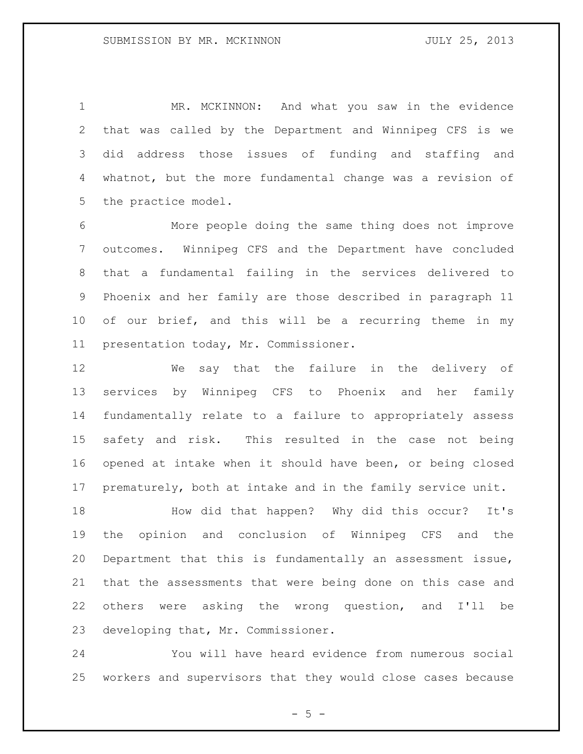MR. MCKINNON: And what you saw in the evidence that was called by the Department and Winnipeg CFS is we did address those issues of funding and staffing and whatnot, but the more fundamental change was a revision of the practice model.

 More people doing the same thing does not improve outcomes. Winnipeg CFS and the Department have concluded that a fundamental failing in the services delivered to Phoenix and her family are those described in paragraph 11 of our brief, and this will be a recurring theme in my presentation today, Mr. Commissioner.

 We say that the failure in the delivery of services by Winnipeg CFS to Phoenix and her family fundamentally relate to a failure to appropriately assess safety and risk. This resulted in the case not being opened at intake when it should have been, or being closed prematurely, both at intake and in the family service unit.

 How did that happen? Why did this occur? It's the opinion and conclusion of Winnipeg CFS and the Department that this is fundamentally an assessment issue, that the assessments that were being done on this case and others were asking the wrong question, and I'll be developing that, Mr. Commissioner.

 You will have heard evidence from numerous social workers and supervisors that they would close cases because

 $- 5 -$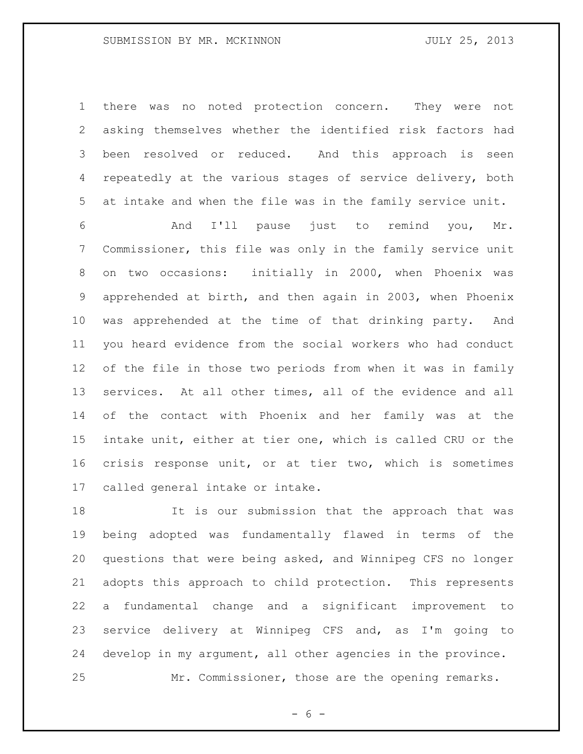there was no noted protection concern. They were not asking themselves whether the identified risk factors had been resolved or reduced. And this approach is seen repeatedly at the various stages of service delivery, both at intake and when the file was in the family service unit.

 And I'll pause just to remind you, Mr. Commissioner, this file was only in the family service unit on two occasions: initially in 2000, when Phoenix was apprehended at birth, and then again in 2003, when Phoenix was apprehended at the time of that drinking party. And you heard evidence from the social workers who had conduct of the file in those two periods from when it was in family services. At all other times, all of the evidence and all of the contact with Phoenix and her family was at the intake unit, either at tier one, which is called CRU or the crisis response unit, or at tier two, which is sometimes called general intake or intake.

 It is our submission that the approach that was being adopted was fundamentally flawed in terms of the questions that were being asked, and Winnipeg CFS no longer adopts this approach to child protection. This represents a fundamental change and a significant improvement to service delivery at Winnipeg CFS and, as I'm going to develop in my argument, all other agencies in the province. Mr. Commissioner, those are the opening remarks.

 $- 6 -$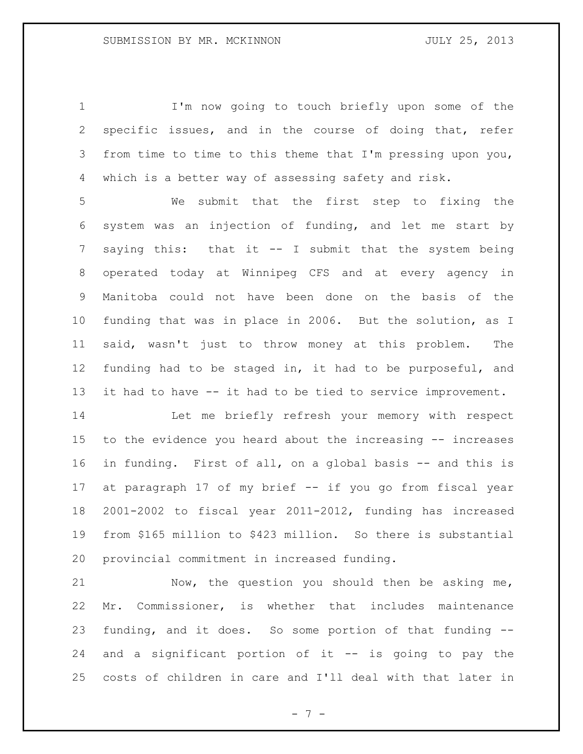I'm now going to touch briefly upon some of the specific issues, and in the course of doing that, refer from time to time to this theme that I'm pressing upon you, which is a better way of assessing safety and risk.

 We submit that the first step to fixing the system was an injection of funding, and let me start by saying this: that it -- I submit that the system being operated today at Winnipeg CFS and at every agency in Manitoba could not have been done on the basis of the funding that was in place in 2006. But the solution, as I said, wasn't just to throw money at this problem. The funding had to be staged in, it had to be purposeful, and it had to have -- it had to be tied to service improvement.

 Let me briefly refresh your memory with respect to the evidence you heard about the increasing -- increases in funding. First of all, on a global basis -- and this is at paragraph 17 of my brief -- if you go from fiscal year 2001-2002 to fiscal year 2011-2012, funding has increased from \$165 million to \$423 million. So there is substantial provincial commitment in increased funding.

 Now, the question you should then be asking me, Mr. Commissioner, is whether that includes maintenance funding, and it does. So some portion of that funding -- and a significant portion of it -- is going to pay the costs of children in care and I'll deal with that later in

- 7 -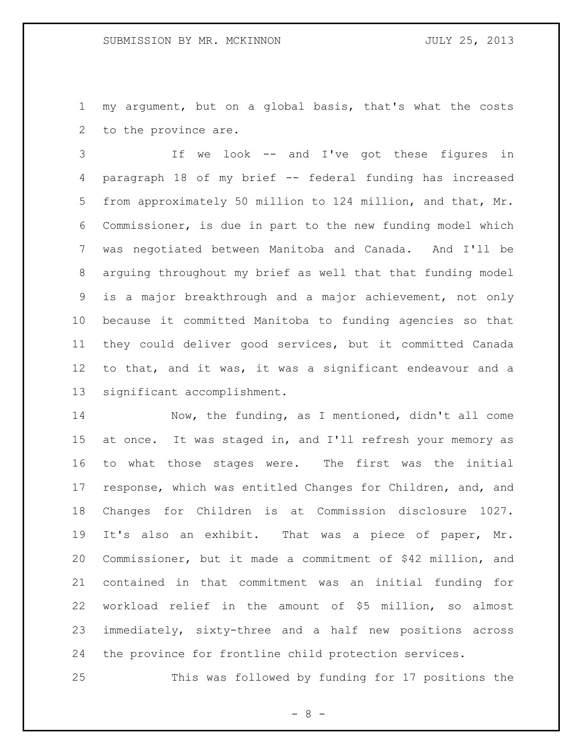my argument, but on a global basis, that's what the costs to the province are.

 If we look -- and I've got these figures in paragraph 18 of my brief -- federal funding has increased from approximately 50 million to 124 million, and that, Mr. Commissioner, is due in part to the new funding model which was negotiated between Manitoba and Canada. And I'll be arguing throughout my brief as well that that funding model is a major breakthrough and a major achievement, not only because it committed Manitoba to funding agencies so that they could deliver good services, but it committed Canada to that, and it was, it was a significant endeavour and a significant accomplishment.

 Now, the funding, as I mentioned, didn't all come at once. It was staged in, and I'll refresh your memory as to what those stages were. The first was the initial response, which was entitled Changes for Children, and, and Changes for Children is at Commission disclosure 1027. It's also an exhibit. That was a piece of paper, Mr. Commissioner, but it made a commitment of \$42 million, and contained in that commitment was an initial funding for workload relief in the amount of \$5 million, so almost immediately, sixty-three and a half new positions across the province for frontline child protection services.

This was followed by funding for 17 positions the

 $- 8 -$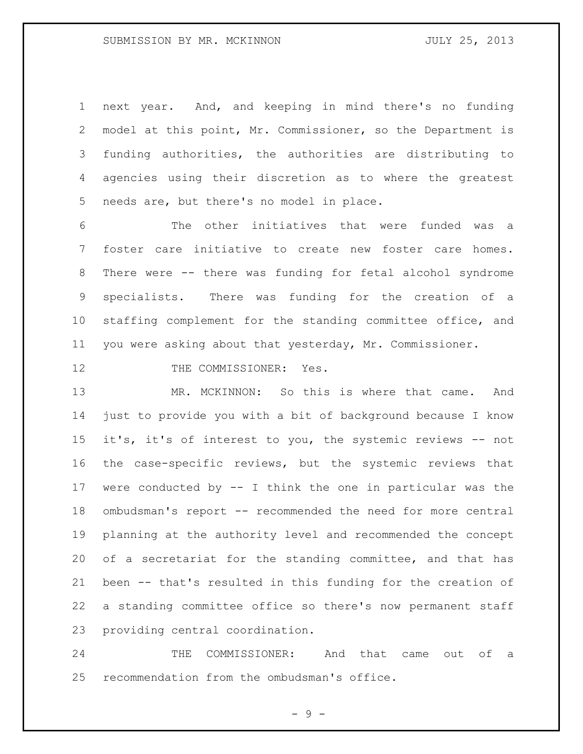next year. And, and keeping in mind there's no funding model at this point, Mr. Commissioner, so the Department is funding authorities, the authorities are distributing to agencies using their discretion as to where the greatest needs are, but there's no model in place.

 The other initiatives that were funded was a foster care initiative to create new foster care homes. There were -- there was funding for fetal alcohol syndrome specialists. There was funding for the creation of a staffing complement for the standing committee office, and you were asking about that yesterday, Mr. Commissioner.

## 12 THE COMMISSIONER: Yes.

 MR. MCKINNON: So this is where that came. And just to provide you with a bit of background because I know it's, it's of interest to you, the systemic reviews -- not the case-specific reviews, but the systemic reviews that were conducted by -- I think the one in particular was the ombudsman's report -- recommended the need for more central planning at the authority level and recommended the concept of a secretariat for the standing committee, and that has been -- that's resulted in this funding for the creation of a standing committee office so there's now permanent staff providing central coordination.

 THE COMMISSIONER: And that came out of a recommendation from the ombudsman's office.

- 9 -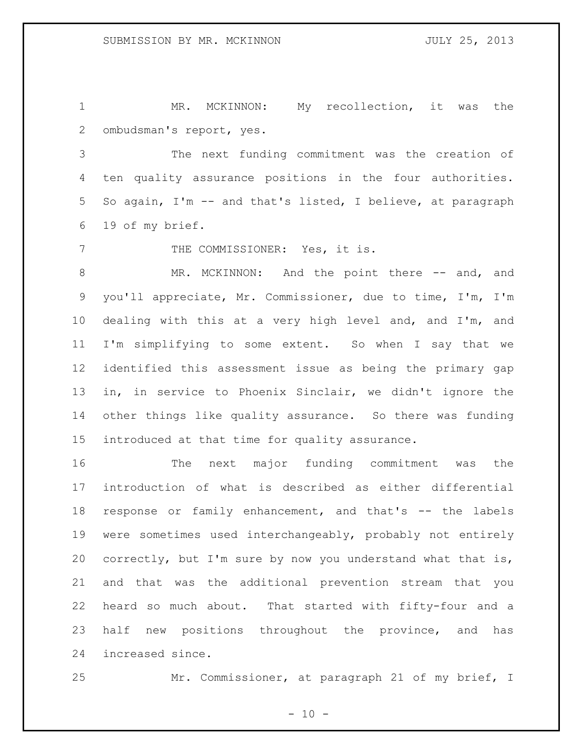MR. MCKINNON: My recollection, it was the ombudsman's report, yes.

 The next funding commitment was the creation of ten quality assurance positions in the four authorities. So again, I'm -- and that's listed, I believe, at paragraph 19 of my brief.

7 THE COMMISSIONER: Yes, it is.

8 MR. MCKINNON: And the point there -- and, and you'll appreciate, Mr. Commissioner, due to time, I'm, I'm dealing with this at a very high level and, and I'm, and I'm simplifying to some extent. So when I say that we identified this assessment issue as being the primary gap in, in service to Phoenix Sinclair, we didn't ignore the other things like quality assurance. So there was funding introduced at that time for quality assurance.

 The next major funding commitment was the introduction of what is described as either differential response or family enhancement, and that's -- the labels were sometimes used interchangeably, probably not entirely correctly, but I'm sure by now you understand what that is, and that was the additional prevention stream that you heard so much about. That started with fifty-four and a half new positions throughout the province, and has increased since.

Mr. Commissioner, at paragraph 21 of my brief, I

 $- 10 -$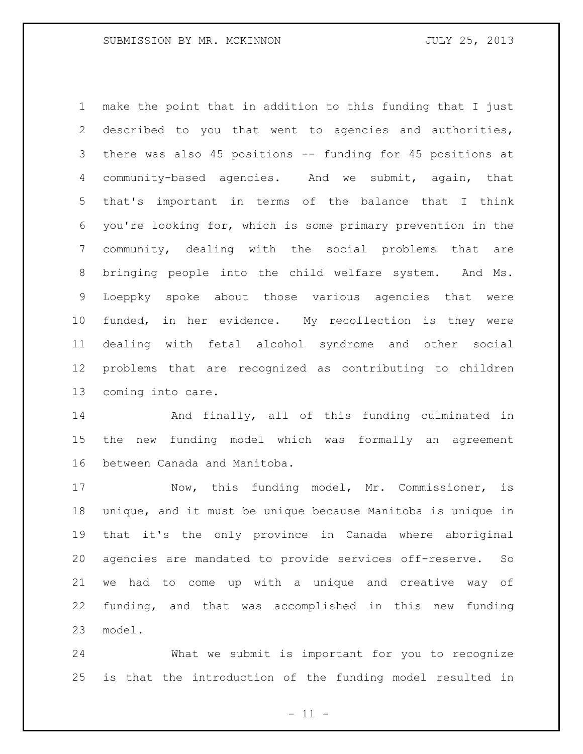make the point that in addition to this funding that I just described to you that went to agencies and authorities, there was also 45 positions -- funding for 45 positions at community-based agencies. And we submit, again, that that's important in terms of the balance that I think you're looking for, which is some primary prevention in the community, dealing with the social problems that are bringing people into the child welfare system. And Ms. Loeppky spoke about those various agencies that were funded, in her evidence. My recollection is they were dealing with fetal alcohol syndrome and other social problems that are recognized as contributing to children coming into care.

 And finally, all of this funding culminated in the new funding model which was formally an agreement between Canada and Manitoba.

 Now, this funding model, Mr. Commissioner, is unique, and it must be unique because Manitoba is unique in that it's the only province in Canada where aboriginal agencies are mandated to provide services off-reserve. So we had to come up with a unique and creative way of funding, and that was accomplished in this new funding model.

 What we submit is important for you to recognize is that the introduction of the funding model resulted in

 $-11 -$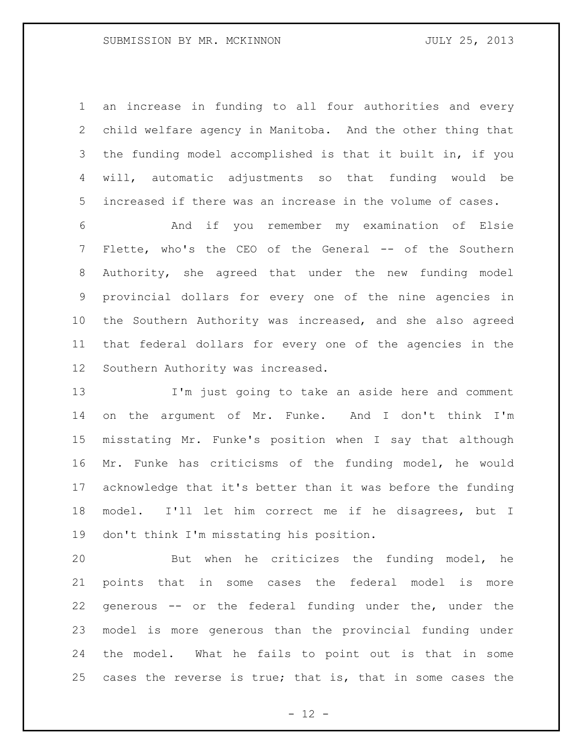an increase in funding to all four authorities and every child welfare agency in Manitoba. And the other thing that the funding model accomplished is that it built in, if you will, automatic adjustments so that funding would be increased if there was an increase in the volume of cases.

 And if you remember my examination of Elsie Flette, who's the CEO of the General -- of the Southern Authority, she agreed that under the new funding model provincial dollars for every one of the nine agencies in the Southern Authority was increased, and she also agreed that federal dollars for every one of the agencies in the Southern Authority was increased.

 I'm just going to take an aside here and comment on the argument of Mr. Funke. And I don't think I'm misstating Mr. Funke's position when I say that although Mr. Funke has criticisms of the funding model, he would acknowledge that it's better than it was before the funding model. I'll let him correct me if he disagrees, but I don't think I'm misstating his position.

 But when he criticizes the funding model, he points that in some cases the federal model is more generous -- or the federal funding under the, under the model is more generous than the provincial funding under the model. What he fails to point out is that in some cases the reverse is true; that is, that in some cases the

 $- 12 -$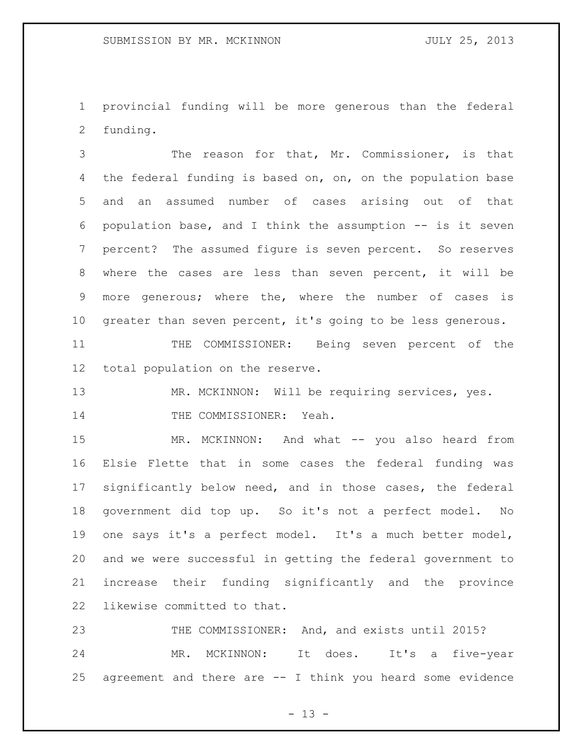provincial funding will be more generous than the federal funding.

 The reason for that, Mr. Commissioner, is that 4 the federal funding is based on, on, on the population base and an assumed number of cases arising out of that population base, and I think the assumption -- is it seven percent? The assumed figure is seven percent. So reserves where the cases are less than seven percent, it will be more generous; where the, where the number of cases is greater than seven percent, it's going to be less generous.

 THE COMMISSIONER: Being seven percent of the total population on the reserve.

13 MR. MCKINNON: Will be requiring services, yes. 14 THE COMMISSIONER: Yeah.

15 MR. MCKINNON: And what -- you also heard from Elsie Flette that in some cases the federal funding was significantly below need, and in those cases, the federal government did top up. So it's not a perfect model. No one says it's a perfect model. It's a much better model, and we were successful in getting the federal government to increase their funding significantly and the province likewise committed to that.

 THE COMMISSIONER: And, and exists until 2015? MR. MCKINNON: It does. It's a five-year agreement and there are -- I think you heard some evidence

 $- 13 -$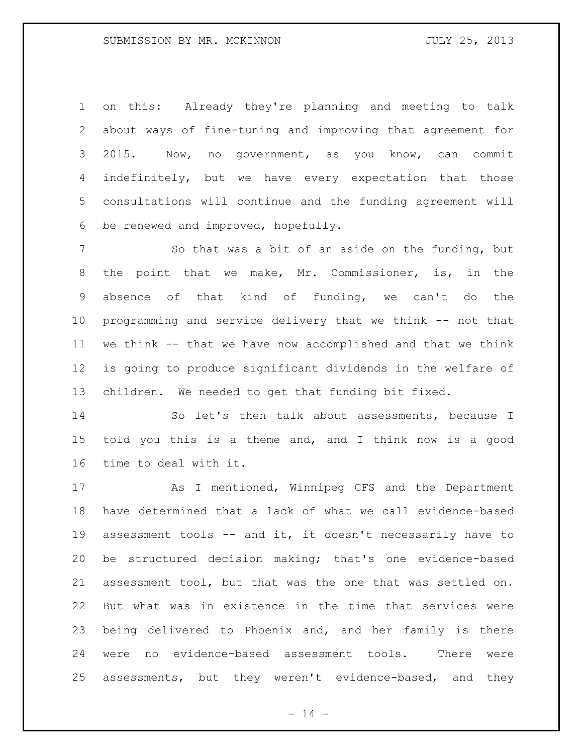on this: Already they're planning and meeting to talk about ways of fine-tuning and improving that agreement for 2015. Now, no government, as you know, can commit 4 indefinitely, but we have every expectation that those consultations will continue and the funding agreement will be renewed and improved, hopefully.

7 So that was a bit of an aside on the funding, but the point that we make, Mr. Commissioner, is, in the absence of that kind of funding, we can't do the programming and service delivery that we think -- not that we think -- that we have now accomplished and that we think is going to produce significant dividends in the welfare of children. We needed to get that funding bit fixed.

 So let's then talk about assessments, because I told you this is a theme and, and I think now is a good time to deal with it.

 As I mentioned, Winnipeg CFS and the Department have determined that a lack of what we call evidence-based assessment tools -- and it, it doesn't necessarily have to be structured decision making; that's one evidence-based assessment tool, but that was the one that was settled on. But what was in existence in the time that services were being delivered to Phoenix and, and her family is there were no evidence-based assessment tools. There were assessments, but they weren't evidence-based, and they

 $- 14 -$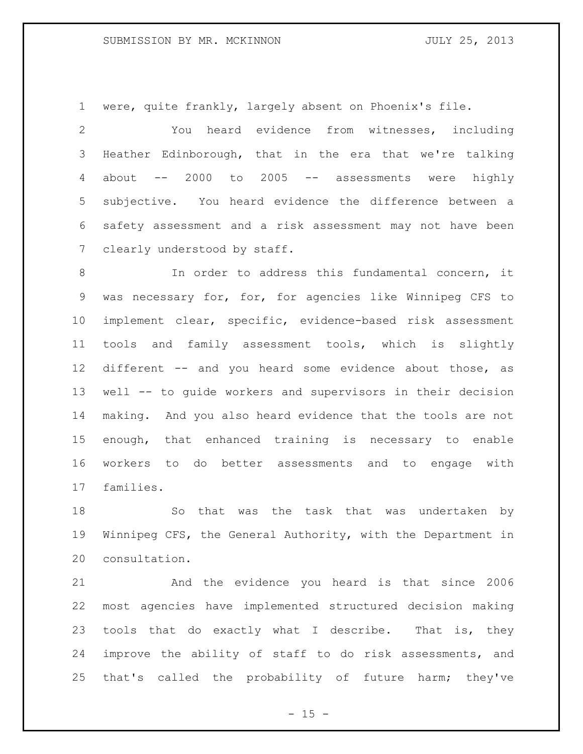were, quite frankly, largely absent on Phoenix's file.

 You heard evidence from witnesses, including Heather Edinborough, that in the era that we're talking about -- 2000 to 2005 -- assessments were highly subjective. You heard evidence the difference between a safety assessment and a risk assessment may not have been 7 clearly understood by staff.

 In order to address this fundamental concern, it was necessary for, for, for agencies like Winnipeg CFS to implement clear, specific, evidence-based risk assessment tools and family assessment tools, which is slightly different -- and you heard some evidence about those, as well -- to guide workers and supervisors in their decision making. And you also heard evidence that the tools are not enough, that enhanced training is necessary to enable workers to do better assessments and to engage with families.

 So that was the task that was undertaken by Winnipeg CFS, the General Authority, with the Department in consultation.

 And the evidence you heard is that since 2006 most agencies have implemented structured decision making tools that do exactly what I describe. That is, they improve the ability of staff to do risk assessments, and that's called the probability of future harm; they've

 $- 15 -$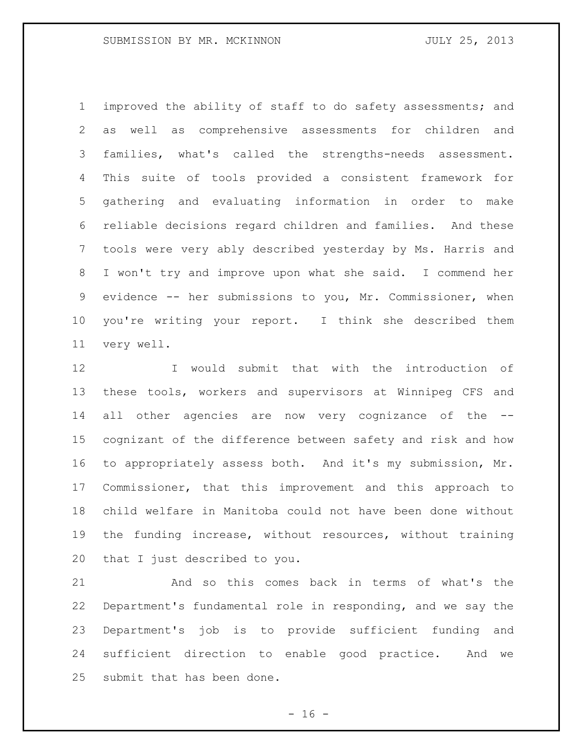improved the ability of staff to do safety assessments; and as well as comprehensive assessments for children and families, what's called the strengths-needs assessment. This suite of tools provided a consistent framework for gathering and evaluating information in order to make reliable decisions regard children and families. And these tools were very ably described yesterday by Ms. Harris and I won't try and improve upon what she said. I commend her evidence -- her submissions to you, Mr. Commissioner, when you're writing your report. I think she described them very well.

 I would submit that with the introduction of these tools, workers and supervisors at Winnipeg CFS and all other agencies are now very cognizance of the -- cognizant of the difference between safety and risk and how to appropriately assess both. And it's my submission, Mr. Commissioner, that this improvement and this approach to child welfare in Manitoba could not have been done without the funding increase, without resources, without training that I just described to you.

 And so this comes back in terms of what's the Department's fundamental role in responding, and we say the Department's job is to provide sufficient funding and sufficient direction to enable good practice. And we submit that has been done.

 $- 16 -$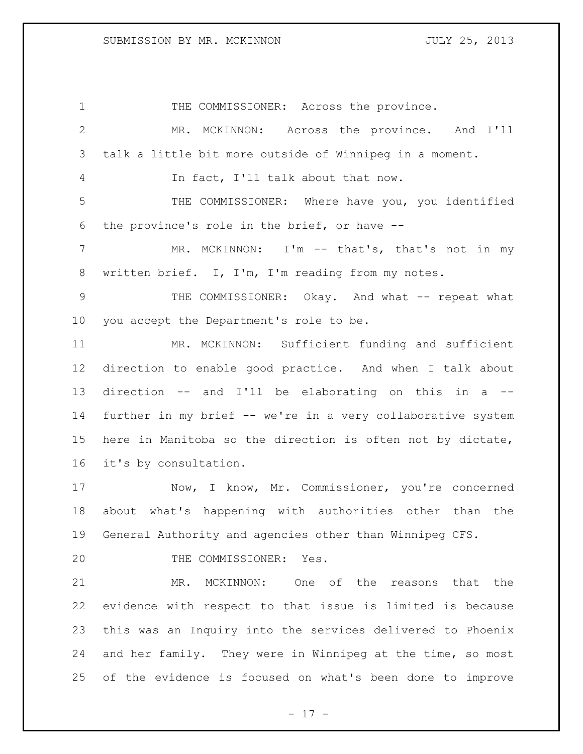1 THE COMMISSIONER: Across the province. MR. MCKINNON: Across the province. And I'll talk a little bit more outside of Winnipeg in a moment. In fact, I'll talk about that now. THE COMMISSIONER: Where have you, you identified the province's role in the brief, or have -- 7 MR. MCKINNON: I'm -- that's, that's not in my written brief. I, I'm, I'm reading from my notes. THE COMMISSIONER: Okay. And what -- repeat what you accept the Department's role to be. MR. MCKINNON: Sufficient funding and sufficient direction to enable good practice. And when I talk about direction -- and I'll be elaborating on this in a -- further in my brief -- we're in a very collaborative system here in Manitoba so the direction is often not by dictate, it's by consultation. Now, I know, Mr. Commissioner, you're concerned about what's happening with authorities other than the General Authority and agencies other than Winnipeg CFS. 20 THE COMMISSIONER: Yes. MR. MCKINNON: One of the reasons that the evidence with respect to that issue is limited is because this was an Inquiry into the services delivered to Phoenix and her family. They were in Winnipeg at the time, so most of the evidence is focused on what's been done to improve

- 17 -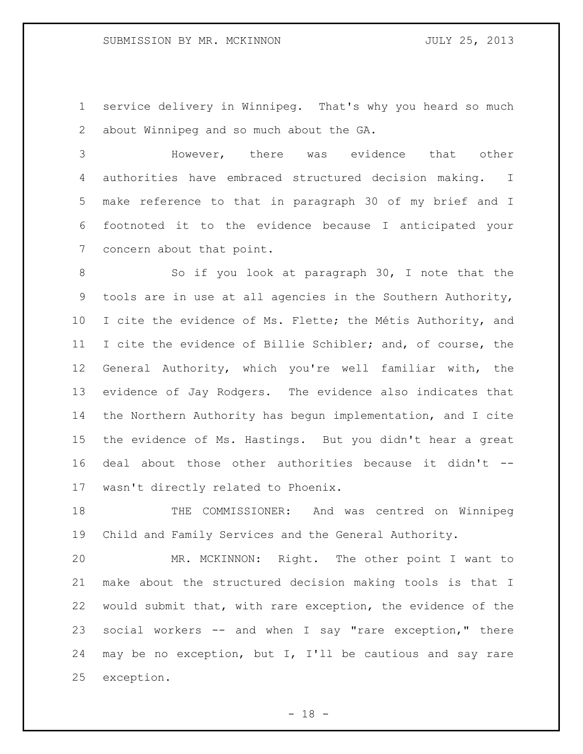service delivery in Winnipeg. That's why you heard so much about Winnipeg and so much about the GA.

 However, there was evidence that other authorities have embraced structured decision making. I make reference to that in paragraph 30 of my brief and I footnoted it to the evidence because I anticipated your concern about that point.

8 So if you look at paragraph 30, I note that the tools are in use at all agencies in the Southern Authority, 10 I cite the evidence of Ms. Flette; the Métis Authority, and I cite the evidence of Billie Schibler; and, of course, the General Authority, which you're well familiar with, the evidence of Jay Rodgers. The evidence also indicates that the Northern Authority has begun implementation, and I cite the evidence of Ms. Hastings. But you didn't hear a great deal about those other authorities because it didn't -- wasn't directly related to Phoenix.

18 THE COMMISSIONER: And was centred on Winnipeg Child and Family Services and the General Authority.

 MR. MCKINNON: Right. The other point I want to make about the structured decision making tools is that I would submit that, with rare exception, the evidence of the social workers -- and when I say "rare exception," there may be no exception, but I, I'll be cautious and say rare exception.

- 18 -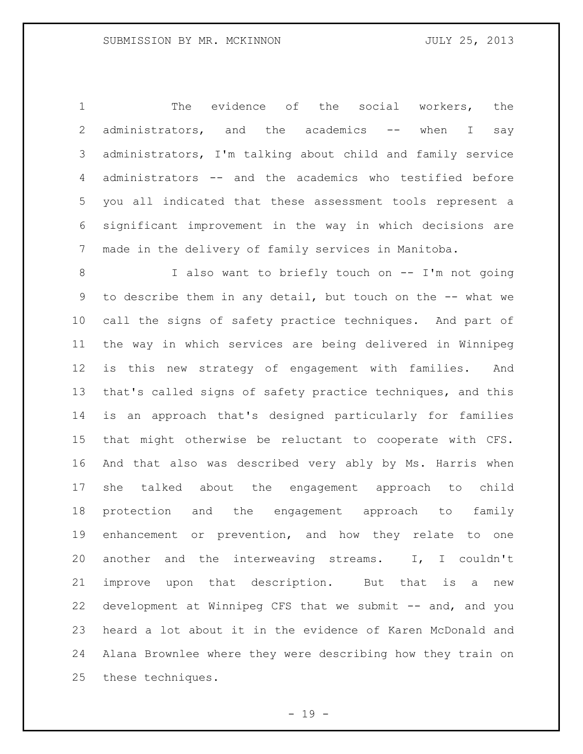The evidence of the social workers, the administrators, and the academics -- when I say administrators, I'm talking about child and family service administrators -- and the academics who testified before you all indicated that these assessment tools represent a significant improvement in the way in which decisions are made in the delivery of family services in Manitoba.

 I also want to briefly touch on -- I'm not going to describe them in any detail, but touch on the -- what we call the signs of safety practice techniques. And part of the way in which services are being delivered in Winnipeg is this new strategy of engagement with families. And that's called signs of safety practice techniques, and this is an approach that's designed particularly for families that might otherwise be reluctant to cooperate with CFS. And that also was described very ably by Ms. Harris when she talked about the engagement approach to child protection and the engagement approach to family enhancement or prevention, and how they relate to one another and the interweaving streams. I, I couldn't improve upon that description. But that is a new development at Winnipeg CFS that we submit -- and, and you heard a lot about it in the evidence of Karen McDonald and Alana Brownlee where they were describing how they train on these techniques.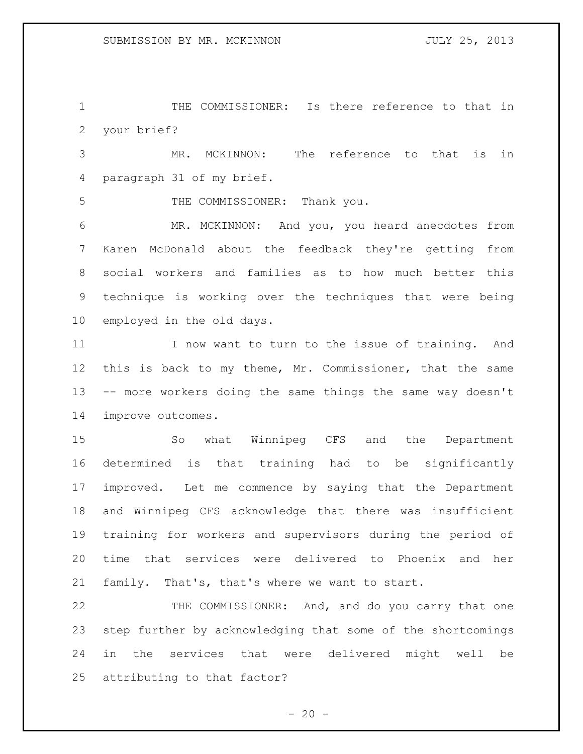THE COMMISSIONER: Is there reference to that in your brief?

 MR. MCKINNON: The reference to that is in paragraph 31 of my brief.

THE COMMISSIONER: Thank you.

 MR. MCKINNON: And you, you heard anecdotes from Karen McDonald about the feedback they're getting from social workers and families as to how much better this technique is working over the techniques that were being employed in the old days.

 I now want to turn to the issue of training. And this is back to my theme, Mr. Commissioner, that the same -- more workers doing the same things the same way doesn't improve outcomes.

 So what Winnipeg CFS and the Department determined is that training had to be significantly improved. Let me commence by saying that the Department and Winnipeg CFS acknowledge that there was insufficient training for workers and supervisors during the period of time that services were delivered to Phoenix and her family. That's, that's where we want to start.

 THE COMMISSIONER: And, and do you carry that one step further by acknowledging that some of the shortcomings in the services that were delivered might well be attributing to that factor?

 $- 20 -$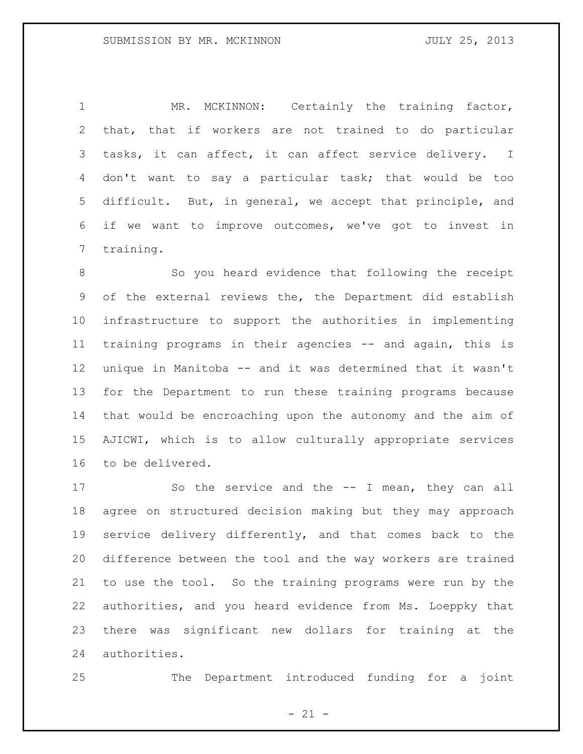1 MR. MCKINNON: Certainly the training factor, that, that if workers are not trained to do particular tasks, it can affect, it can affect service delivery. I don't want to say a particular task; that would be too difficult. But, in general, we accept that principle, and if we want to improve outcomes, we've got to invest in training.

8 So you heard evidence that following the receipt of the external reviews the, the Department did establish infrastructure to support the authorities in implementing training programs in their agencies -- and again, this is unique in Manitoba -- and it was determined that it wasn't for the Department to run these training programs because that would be encroaching upon the autonomy and the aim of AJICWI, which is to allow culturally appropriate services to be delivered.

17 So the service and the -- I mean, they can all agree on structured decision making but they may approach service delivery differently, and that comes back to the difference between the tool and the way workers are trained to use the tool. So the training programs were run by the authorities, and you heard evidence from Ms. Loeppky that there was significant new dollars for training at the authorities.

The Department introduced funding for a joint

 $- 21 -$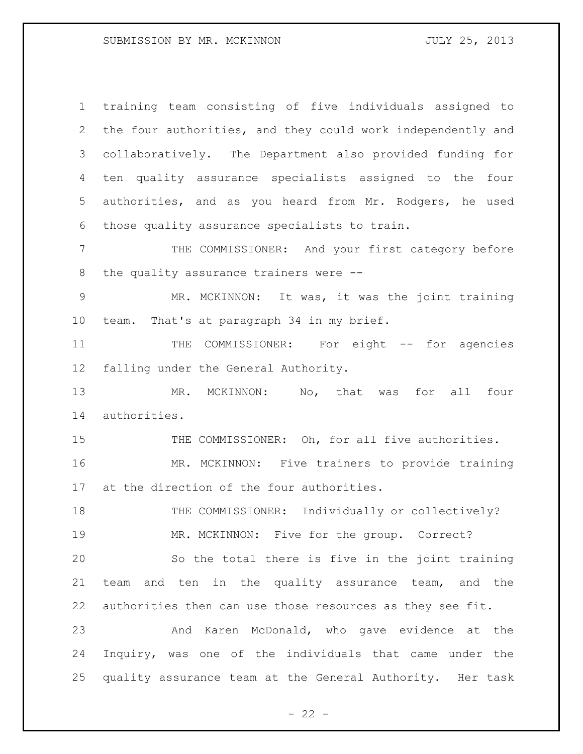training team consisting of five individuals assigned to the four authorities, and they could work independently and collaboratively. The Department also provided funding for ten quality assurance specialists assigned to the four authorities, and as you heard from Mr. Rodgers, he used those quality assurance specialists to train.

 THE COMMISSIONER: And your first category before the quality assurance trainers were --

 MR. MCKINNON: It was, it was the joint training team. That's at paragraph 34 in my brief.

11 THE COMMISSIONER: For eight -- for agencies falling under the General Authority.

13 MR. MCKINNON: No, that was for all four authorities.

15 THE COMMISSIONER: Oh, for all five authorities. MR. MCKINNON: Five trainers to provide training at the direction of the four authorities.

18 THE COMMISSIONER: Individually or collectively? MR. MCKINNON: Five for the group. Correct? So the total there is five in the joint training team and ten in the quality assurance team, and the authorities then can use those resources as they see fit. And Karen McDonald, who gave evidence at the

 Inquiry, was one of the individuals that came under the quality assurance team at the General Authority. Her task

 $- 22 -$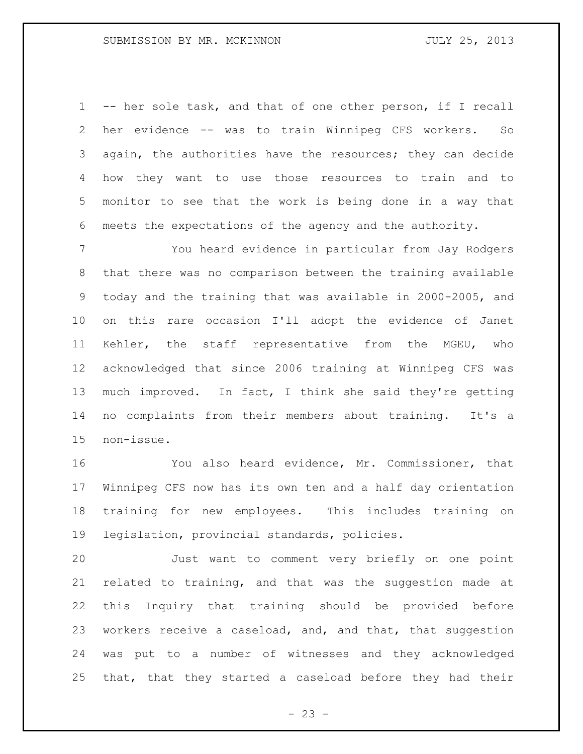-- her sole task, and that of one other person, if I recall her evidence -- was to train Winnipeg CFS workers. So again, the authorities have the resources; they can decide how they want to use those resources to train and to monitor to see that the work is being done in a way that meets the expectations of the agency and the authority.

 You heard evidence in particular from Jay Rodgers that there was no comparison between the training available today and the training that was available in 2000-2005, and on this rare occasion I'll adopt the evidence of Janet Kehler, the staff representative from the MGEU, who acknowledged that since 2006 training at Winnipeg CFS was much improved. In fact, I think she said they're getting no complaints from their members about training. It's a non-issue.

 You also heard evidence, Mr. Commissioner, that Winnipeg CFS now has its own ten and a half day orientation training for new employees. This includes training on legislation, provincial standards, policies.

 Just want to comment very briefly on one point related to training, and that was the suggestion made at this Inquiry that training should be provided before 23 workers receive a caseload, and, and that, that suggestion was put to a number of witnesses and they acknowledged that, that they started a caseload before they had their

 $- 23 -$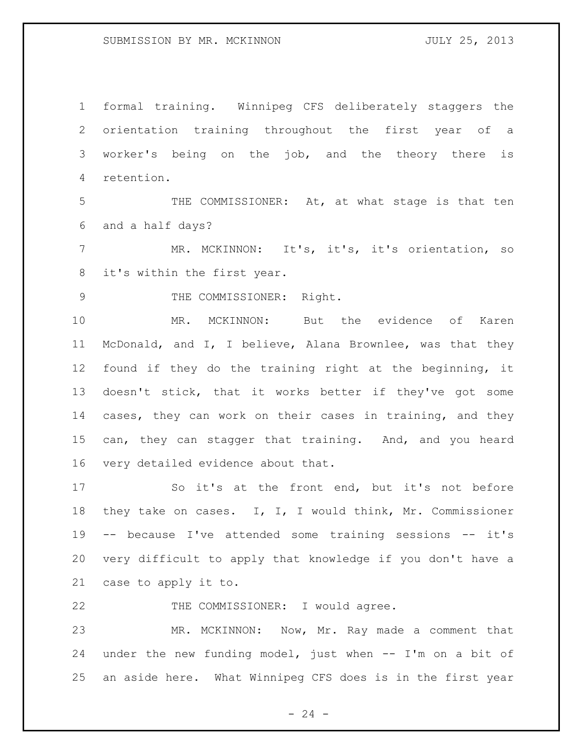formal training. Winnipeg CFS deliberately staggers the orientation training throughout the first year of a worker's being on the job, and the theory there is retention.

5 THE COMMISSIONER: At, at what stage is that ten and a half days?

 MR. MCKINNON: It's, it's, it's orientation, so it's within the first year.

9 THE COMMISSIONER: Right.

 MR. MCKINNON: But the evidence of Karen McDonald, and I, I believe, Alana Brownlee, was that they found if they do the training right at the beginning, it doesn't stick, that it works better if they've got some cases, they can work on their cases in training, and they can, they can stagger that training. And, and you heard very detailed evidence about that.

 So it's at the front end, but it's not before they take on cases. I, I, I would think, Mr. Commissioner -- because I've attended some training sessions -- it's very difficult to apply that knowledge if you don't have a case to apply it to.

22 THE COMMISSIONER: I would agree.

 MR. MCKINNON: Now, Mr. Ray made a comment that under the new funding model, just when -- I'm on a bit of an aside here. What Winnipeg CFS does is in the first year

 $- 24 -$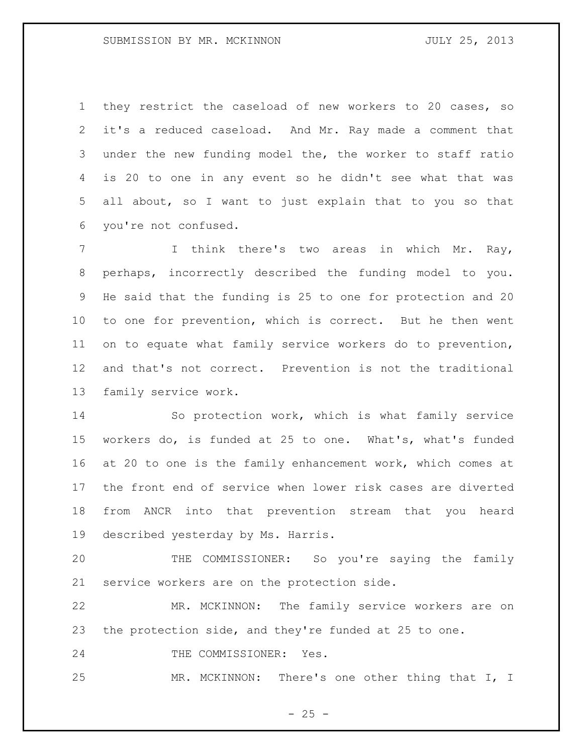they restrict the caseload of new workers to 20 cases, so it's a reduced caseload. And Mr. Ray made a comment that under the new funding model the, the worker to staff ratio is 20 to one in any event so he didn't see what that was all about, so I want to just explain that to you so that you're not confused.

 I think there's two areas in which Mr. Ray, perhaps, incorrectly described the funding model to you. He said that the funding is 25 to one for protection and 20 to one for prevention, which is correct. But he then went on to equate what family service workers do to prevention, and that's not correct. Prevention is not the traditional family service work.

 So protection work, which is what family service workers do, is funded at 25 to one. What's, what's funded at 20 to one is the family enhancement work, which comes at the front end of service when lower risk cases are diverted from ANCR into that prevention stream that you heard described yesterday by Ms. Harris.

 THE COMMISSIONER: So you're saying the family service workers are on the protection side.

 MR. MCKINNON: The family service workers are on the protection side, and they're funded at 25 to one.

24 THE COMMISSIONER: Yes.

MR. MCKINNON: There's one other thing that I, I

 $- 25 -$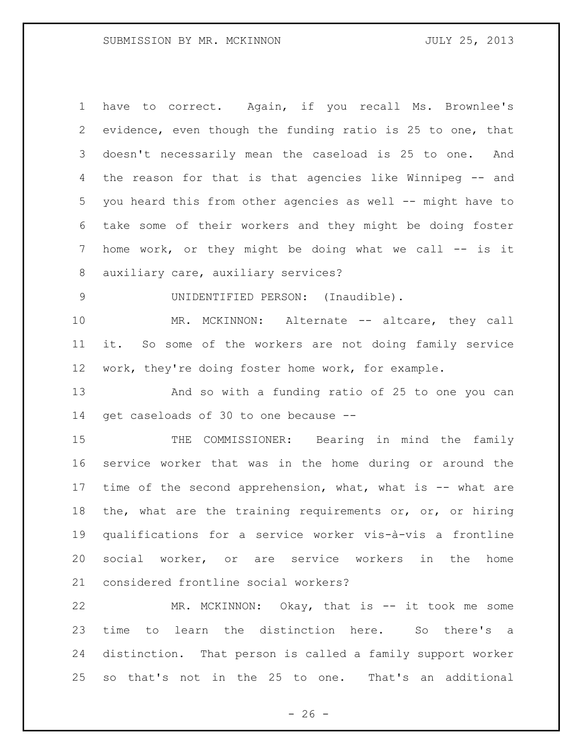have to correct. Again, if you recall Ms. Brownlee's evidence, even though the funding ratio is 25 to one, that doesn't necessarily mean the caseload is 25 to one. And the reason for that is that agencies like Winnipeg -- and you heard this from other agencies as well -- might have to take some of their workers and they might be doing foster 7 home work, or they might be doing what we call -- is it auxiliary care, auxiliary services? UNIDENTIFIED PERSON: (Inaudible).

10 MR. MCKINNON: Alternate -- altcare, they call it. So some of the workers are not doing family service work, they're doing foster home work, for example.

 And so with a funding ratio of 25 to one you can get caseloads of 30 to one because --

15 THE COMMISSIONER: Bearing in mind the family service worker that was in the home during or around the 17 time of the second apprehension, what, what is -- what are 18 the, what are the training requirements or, or, or hiring qualifications for a service worker vis-à-vis a frontline social worker, or are service workers in the home considered frontline social workers?

22 MR. MCKINNON: Okay, that is -- it took me some time to learn the distinction here. So there's a distinction. That person is called a family support worker so that's not in the 25 to one. That's an additional

 $- 26 -$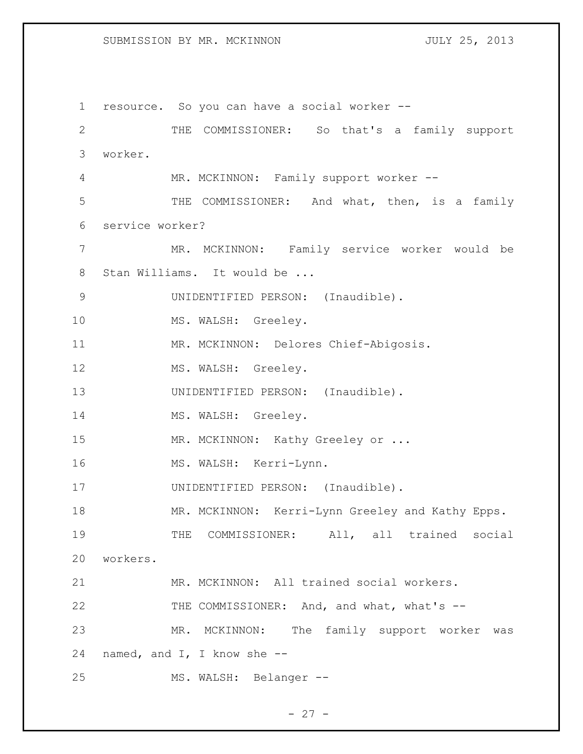1 resource. So you can have a social worker -- 2 THE COMMISSIONER: So that's a family support 3 worker. 4 MR. MCKINNON: Family support worker -- 5 THE COMMISSIONER: And what, then, is a family 6 service worker? 7 MR. MCKINNON: Family service worker would be 8 Stan Williams. It would be ... 9 UNIDENTIFIED PERSON: (Inaudible). 10 MS. WALSH: Greeley. 11 MR. MCKINNON: Delores Chief-Abigosis. 12 MS. WALSH: Greeley. 13 UNIDENTIFIED PERSON: (Inaudible). 14 MS. WALSH: Greeley. 15 MR. MCKINNON: Kathy Greeley or ... 16 MS. WALSH: Kerri-Lynn. 17 UNIDENTIFIED PERSON: (Inaudible). 18 MR. MCKINNON: Kerri-Lynn Greeley and Kathy Epps. 19 THE COMMISSIONER: All, all trained social 20 workers. 21 MR. MCKINNON: All trained social workers. 22 THE COMMISSIONER: And, and what, what's --23 MR. MCKINNON: The family support worker was 24 named, and I, I know she -- 25 MS. WALSH: Belanger --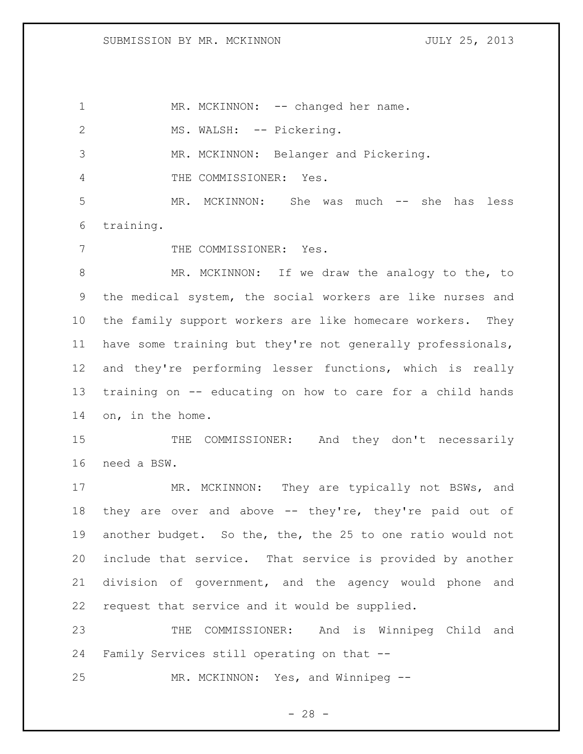1 MR. MCKINNON: -- changed her name. 2 MS. WALSH: -- Pickering. MR. MCKINNON: Belanger and Pickering. THE COMMISSIONER: Yes. MR. MCKINNON: She was much -- she has less training. 7 THE COMMISSIONER: Yes. MR. MCKINNON: If we draw the analogy to the, to the medical system, the social workers are like nurses and the family support workers are like homecare workers. They have some training but they're not generally professionals, and they're performing lesser functions, which is really training on -- educating on how to care for a child hands on, in the home. 15 THE COMMISSIONER: And they don't necessarily need a BSW. 17 MR. MCKINNON: They are typically not BSWs, and 18 they are over and above -- they're, they're paid out of another budget. So the, the, the 25 to one ratio would not include that service. That service is provided by another division of government, and the agency would phone and request that service and it would be supplied. THE COMMISSIONER: And is Winnipeg Child and Family Services still operating on that -- MR. MCKINNON: Yes, and Winnipeg --

 $- 28 -$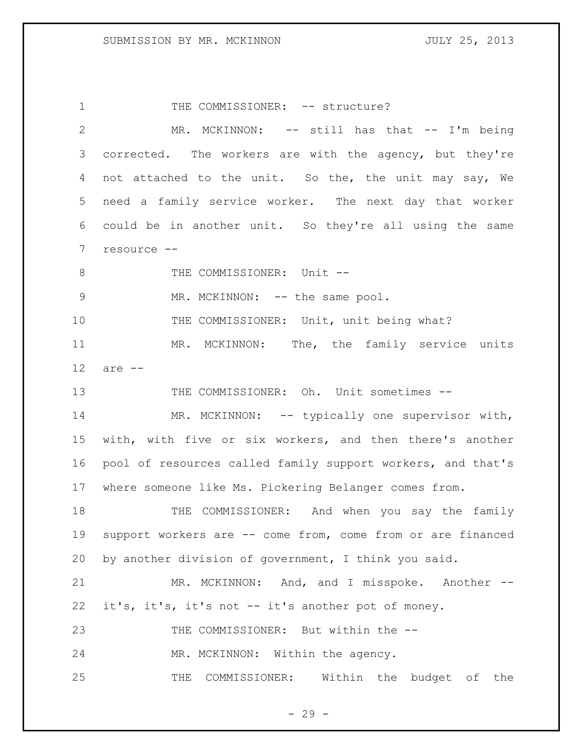1 THE COMMISSIONER: -- structure? 2 MR. MCKINNON: -- still has that -- I'm being 3 corrected. The workers are with the agency, but they're 4 not attached to the unit. So the, the unit may say, We 5 need a family service worker. The next day that worker 6 could be in another unit. So they're all using the same 7 resource -- 8 THE COMMISSIONER: Unit --9 MR. MCKINNON: -- the same pool. 10 THE COMMISSIONER: Unit, unit being what? 11 MR. MCKINNON: The, the family service units 12 are -- 13 THE COMMISSIONER: Oh. Unit sometimes --14 MR. MCKINNON: -- typically one supervisor with, 15 with, with five or six workers, and then there's another 16 pool of resources called family support workers, and that's 17 where someone like Ms. Pickering Belanger comes from. 18 THE COMMISSIONER: And when you say the family 19 support workers are -- come from, come from or are financed 20 by another division of government, I think you said. 21 MR. MCKINNON: And, and I misspoke. Another -- 22 it's, it's, it's not -- it's another pot of money. 23 THE COMMISSIONER: But within the --24 MR. MCKINNON: Within the agency. 25 THE COMMISSIONER: Within the budget of the

 $- 29 -$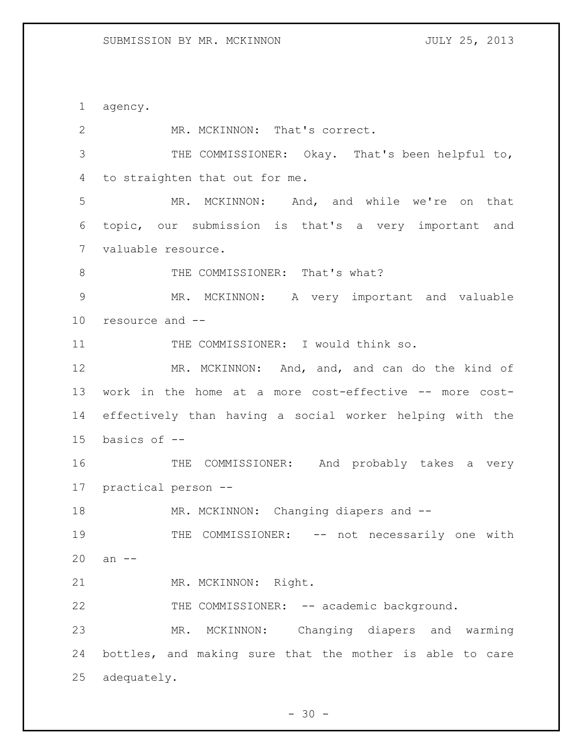agency. 2 MR. MCKINNON: That's correct. THE COMMISSIONER: Okay. That's been helpful to, to straighten that out for me. MR. MCKINNON: And, and while we're on that topic, our submission is that's a very important and valuable resource. 8 THE COMMISSIONER: That's what? MR. MCKINNON: A very important and valuable resource and -- THE COMMISSIONER: I would think so. 12 MR. MCKINNON: And, and, and can do the kind of work in the home at a more cost-effective -- more cost- effectively than having a social worker helping with the basics of -- THE COMMISSIONER: And probably takes a very practical person -- 18 MR. MCKINNON: Changing diapers and --19 THE COMMISSIONER: -- not necessarily one with an -- 21 MR. MCKINNON: Right. 22 THE COMMISSIONER: -- academic background. MR. MCKINNON: Changing diapers and warming bottles, and making sure that the mother is able to care adequately.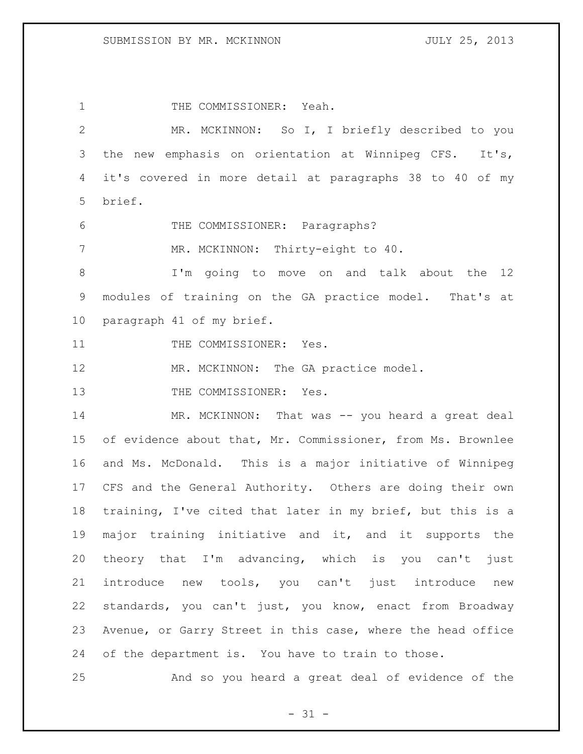1 THE COMMISSIONER: Yeah. MR. MCKINNON: So I, I briefly described to you the new emphasis on orientation at Winnipeg CFS. It's, it's covered in more detail at paragraphs 38 to 40 of my brief. THE COMMISSIONER: Paragraphs? 7 MR. MCKINNON: Thirty-eight to 40. I'm going to move on and talk about the 12 modules of training on the GA practice model. That's at paragraph 41 of my brief. 11 THE COMMISSIONER: Yes. 12 MR. MCKINNON: The GA practice model. 13 THE COMMISSIONER: Yes. MR. MCKINNON: That was -- you heard a great deal of evidence about that, Mr. Commissioner, from Ms. Brownlee and Ms. McDonald. This is a major initiative of Winnipeg CFS and the General Authority. Others are doing their own training, I've cited that later in my brief, but this is a major training initiative and it, and it supports the theory that I'm advancing, which is you can't just introduce new tools, you can't just introduce new standards, you can't just, you know, enact from Broadway Avenue, or Garry Street in this case, where the head office of the department is. You have to train to those. And so you heard a great deal of evidence of the

 $- 31 -$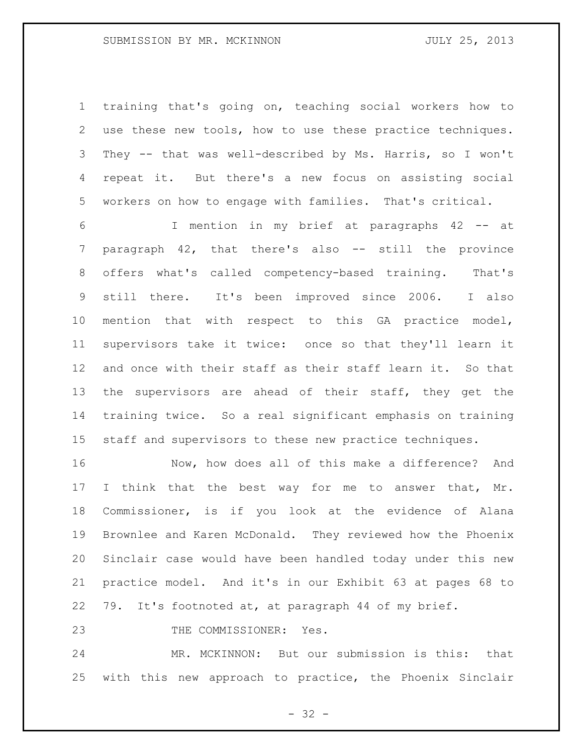training that's going on, teaching social workers how to use these new tools, how to use these practice techniques. They -- that was well-described by Ms. Harris, so I won't repeat it. But there's a new focus on assisting social workers on how to engage with families. That's critical.

 I mention in my brief at paragraphs 42 -- at paragraph 42, that there's also -- still the province offers what's called competency-based training. That's still there. It's been improved since 2006. I also mention that with respect to this GA practice model, supervisors take it twice: once so that they'll learn it and once with their staff as their staff learn it. So that 13 the supervisors are ahead of their staff, they get the training twice. So a real significant emphasis on training staff and supervisors to these new practice techniques.

 Now, how does all of this make a difference? And 17 I think that the best way for me to answer that, Mr. Commissioner, is if you look at the evidence of Alana Brownlee and Karen McDonald. They reviewed how the Phoenix Sinclair case would have been handled today under this new practice model. And it's in our Exhibit 63 at pages 68 to 79. It's footnoted at, at paragraph 44 of my brief.

23 THE COMMISSIONER: Yes.

 MR. MCKINNON: But our submission is this: that with this new approach to practice, the Phoenix Sinclair

 $- 32 -$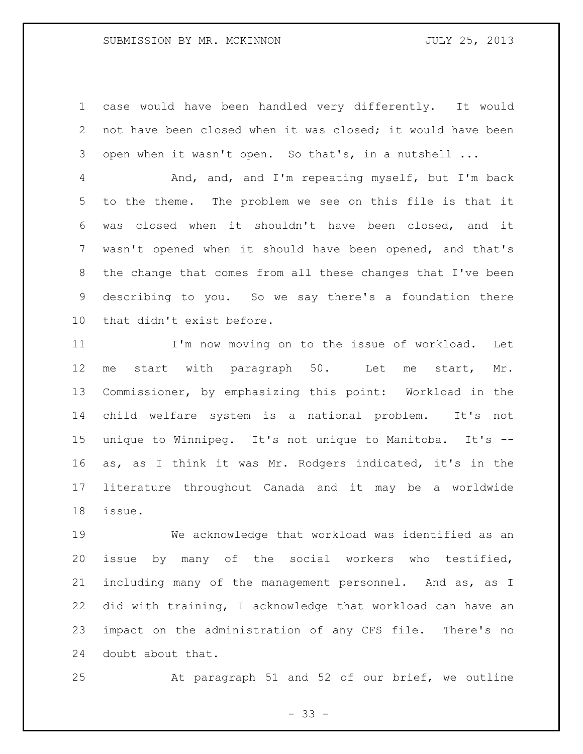case would have been handled very differently. It would not have been closed when it was closed; it would have been open when it wasn't open. So that's, in a nutshell ...

 And, and, and I'm repeating myself, but I'm back to the theme. The problem we see on this file is that it was closed when it shouldn't have been closed, and it wasn't opened when it should have been opened, and that's the change that comes from all these changes that I've been describing to you. So we say there's a foundation there that didn't exist before.

 I'm now moving on to the issue of workload. Let me start with paragraph 50. Let me start, Mr. Commissioner, by emphasizing this point: Workload in the child welfare system is a national problem. It's not unique to Winnipeg. It's not unique to Manitoba. It's -- as, as I think it was Mr. Rodgers indicated, it's in the literature throughout Canada and it may be a worldwide issue.

 We acknowledge that workload was identified as an issue by many of the social workers who testified, including many of the management personnel. And as, as I did with training, I acknowledge that workload can have an impact on the administration of any CFS file. There's no doubt about that.

At paragraph 51 and 52 of our brief, we outline

- 33 -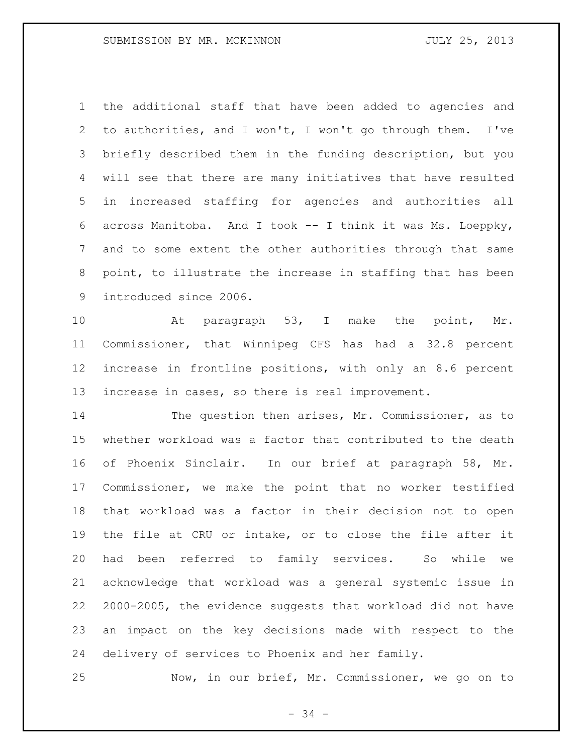the additional staff that have been added to agencies and to authorities, and I won't, I won't go through them. I've briefly described them in the funding description, but you will see that there are many initiatives that have resulted in increased staffing for agencies and authorities all across Manitoba. And I took -- I think it was Ms. Loeppky, and to some extent the other authorities through that same point, to illustrate the increase in staffing that has been introduced since 2006.

10 At paragraph 53, I make the point, Mr. Commissioner, that Winnipeg CFS has had a 32.8 percent increase in frontline positions, with only an 8.6 percent increase in cases, so there is real improvement.

 The question then arises, Mr. Commissioner, as to whether workload was a factor that contributed to the death of Phoenix Sinclair. In our brief at paragraph 58, Mr. Commissioner, we make the point that no worker testified that workload was a factor in their decision not to open the file at CRU or intake, or to close the file after it had been referred to family services. So while we acknowledge that workload was a general systemic issue in 2000-2005, the evidence suggests that workload did not have an impact on the key decisions made with respect to the delivery of services to Phoenix and her family.

Now, in our brief, Mr. Commissioner, we go on to

- 34 -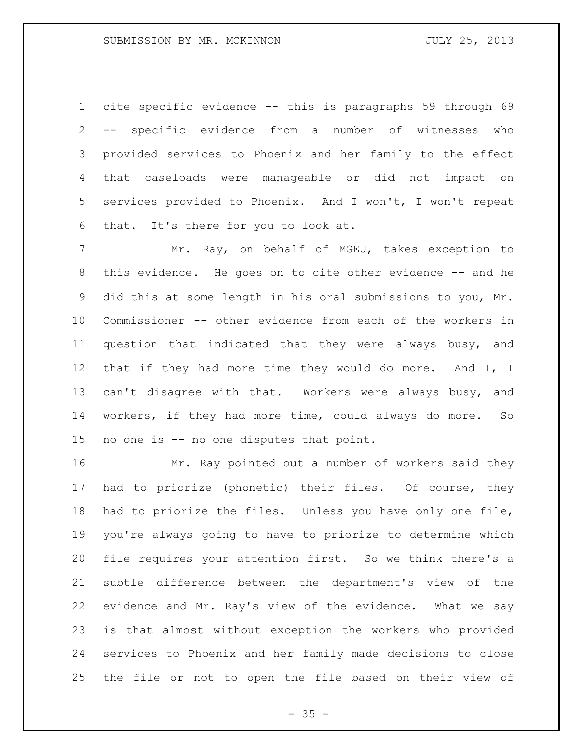cite specific evidence -- this is paragraphs 59 through 69 -- specific evidence from a number of witnesses who provided services to Phoenix and her family to the effect that caseloads were manageable or did not impact on services provided to Phoenix. And I won't, I won't repeat that. It's there for you to look at.

 Mr. Ray, on behalf of MGEU, takes exception to 8 this evidence. He goes on to cite other evidence -- and he did this at some length in his oral submissions to you, Mr. Commissioner -- other evidence from each of the workers in question that indicated that they were always busy, and that if they had more time they would do more. And I, I can't disagree with that. Workers were always busy, and workers, if they had more time, could always do more. So no one is -- no one disputes that point.

 Mr. Ray pointed out a number of workers said they had to priorize (phonetic) their files. Of course, they had to priorize the files. Unless you have only one file, you're always going to have to priorize to determine which file requires your attention first. So we think there's a subtle difference between the department's view of the evidence and Mr. Ray's view of the evidence. What we say is that almost without exception the workers who provided services to Phoenix and her family made decisions to close the file or not to open the file based on their view of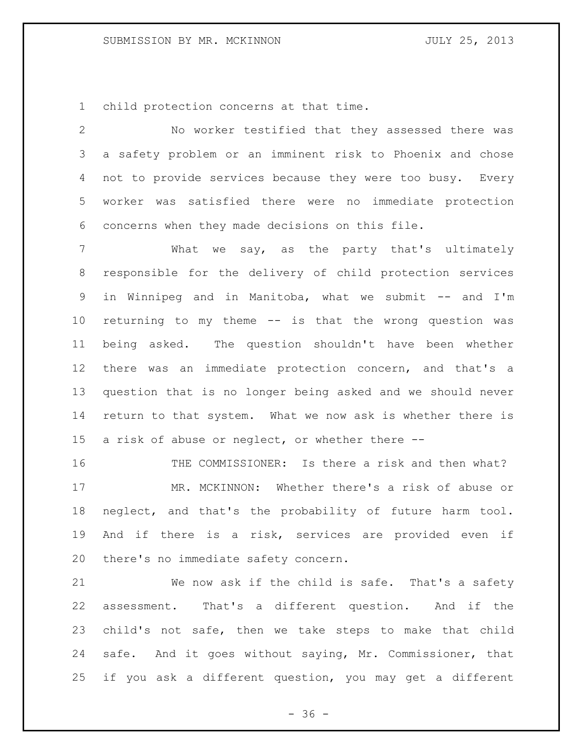child protection concerns at that time.

 No worker testified that they assessed there was a safety problem or an imminent risk to Phoenix and chose not to provide services because they were too busy. Every worker was satisfied there were no immediate protection concerns when they made decisions on this file.

 What we say, as the party that's ultimately responsible for the delivery of child protection services in Winnipeg and in Manitoba, what we submit -- and I'm returning to my theme -- is that the wrong question was being asked. The question shouldn't have been whether there was an immediate protection concern, and that's a question that is no longer being asked and we should never return to that system. What we now ask is whether there is a risk of abuse or neglect, or whether there --

 THE COMMISSIONER: Is there a risk and then what? MR. MCKINNON: Whether there's a risk of abuse or neglect, and that's the probability of future harm tool. And if there is a risk, services are provided even if there's no immediate safety concern.

 We now ask if the child is safe. That's a safety assessment. That's a different question. And if the child's not safe, then we take steps to make that child safe. And it goes without saying, Mr. Commissioner, that if you ask a different question, you may get a different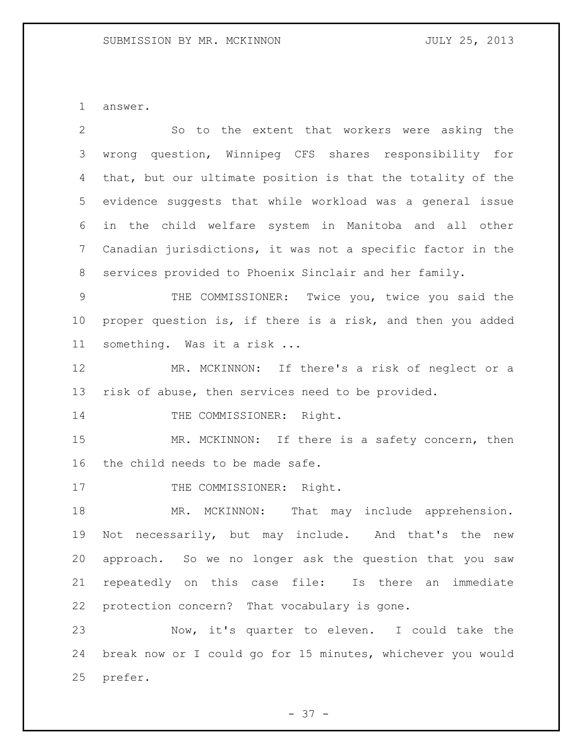answer.

| $\overline{2}$  | So to the extent that workers were asking the               |
|-----------------|-------------------------------------------------------------|
| 3               | wrong question, Winnipeg CFS shares responsibility for      |
| 4               | that, but our ultimate position is that the totality of the |
| 5               | evidence suggests that while workload was a general issue   |
| 6               | in the child welfare system in Manitoba and all other       |
| $7\phantom{.0}$ | Canadian jurisdictions, it was not a specific factor in the |
| 8               | services provided to Phoenix Sinclair and her family.       |
| $\mathcal{G}$   | THE COMMISSIONER: Twice you, twice you said the             |
| $10 \,$         | proper question is, if there is a risk, and then you added  |
| 11              | something. Was it a risk                                    |
| 12              | MR. MCKINNON: If there's a risk of neglect or a             |
| 13              | risk of abuse, then services need to be provided.           |
| 14              | THE COMMISSIONER: Right.                                    |
| 15              | MR. MCKINNON: If there is a safety concern, then            |
| 16              | the child needs to be made safe.                            |
| 17              | THE COMMISSIONER: Right.                                    |
| 18              | MR. MCKINNON: That may include apprehension.                |
| 19              | necessarily, but may include. And that's the<br>Not<br>new  |
| 20              | approach. So we no longer ask the question that you saw     |
| 21              | repeatedly on this case file: Is there an immediate         |
| 22              | protection concern? That vocabulary is gone.                |
| 23              | Now, it's quarter to eleven. I could take the               |
| 24              | break now or I could go for 15 minutes, whichever you would |
| 25              | prefer.                                                     |

- 37 -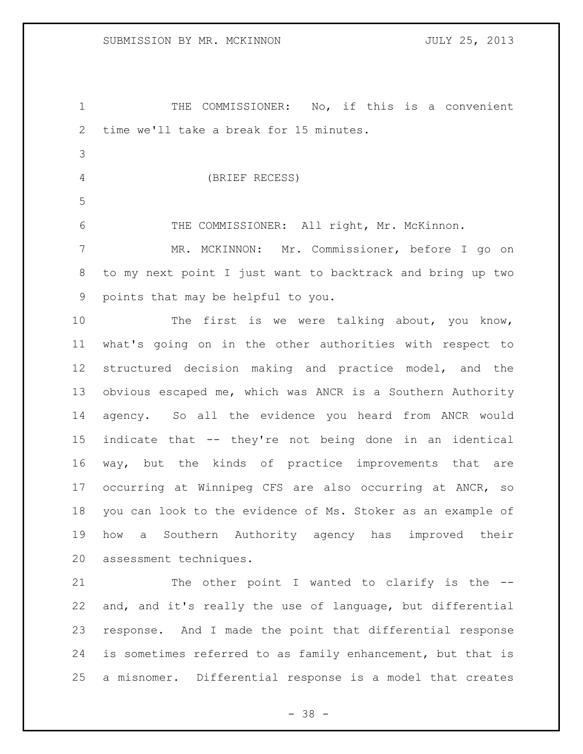THE COMMISSIONER: No, if this is a convenient time we'll take a break for 15 minutes. (BRIEF RECESS) 6 THE COMMISSIONER: All right, Mr. McKinnon. MR. MCKINNON: Mr. Commissioner, before I go on to my next point I just want to backtrack and bring up two points that may be helpful to you. 10 The first is we were talking about, you know, what's going on in the other authorities with respect to structured decision making and practice model, and the

 obvious escaped me, which was ANCR is a Southern Authority agency. So all the evidence you heard from ANCR would indicate that -- they're not being done in an identical way, but the kinds of practice improvements that are occurring at Winnipeg CFS are also occurring at ANCR, so you can look to the evidence of Ms. Stoker as an example of how a Southern Authority agency has improved their assessment techniques.

21 The other point I wanted to clarify is the -- and, and it's really the use of language, but differential response. And I made the point that differential response is sometimes referred to as family enhancement, but that is a misnomer. Differential response is a model that creates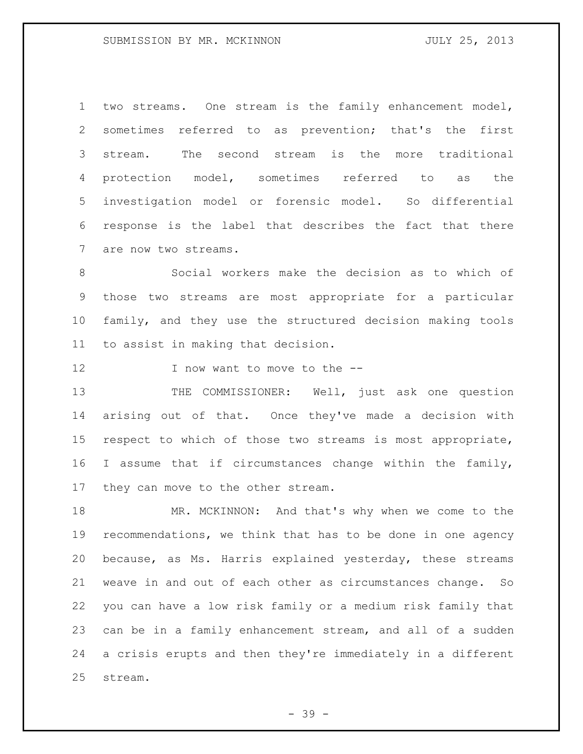two streams. One stream is the family enhancement model, sometimes referred to as prevention; that's the first stream. The second stream is the more traditional protection model, sometimes referred to as the investigation model or forensic model. So differential response is the label that describes the fact that there are now two streams.

 Social workers make the decision as to which of those two streams are most appropriate for a particular family, and they use the structured decision making tools to assist in making that decision.

12 I now want to move to the --

13 THE COMMISSIONER: Well, just ask one question arising out of that. Once they've made a decision with respect to which of those two streams is most appropriate, I assume that if circumstances change within the family, they can move to the other stream.

 MR. MCKINNON: And that's why when we come to the recommendations, we think that has to be done in one agency because, as Ms. Harris explained yesterday, these streams weave in and out of each other as circumstances change. So you can have a low risk family or a medium risk family that can be in a family enhancement stream, and all of a sudden a crisis erupts and then they're immediately in a different stream.

- 39 -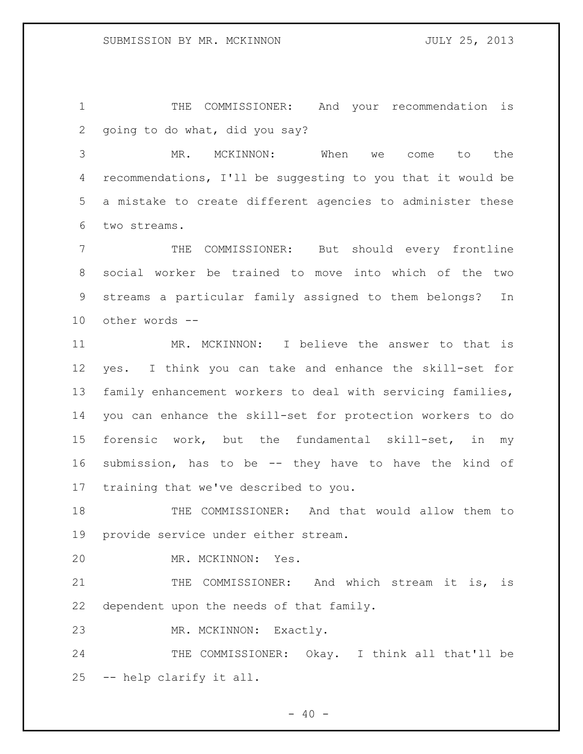THE COMMISSIONER: And your recommendation is going to do what, did you say?

 MR. MCKINNON: When we come to the recommendations, I'll be suggesting to you that it would be a mistake to create different agencies to administer these two streams.

 THE COMMISSIONER: But should every frontline social worker be trained to move into which of the two streams a particular family assigned to them belongs? In other words --

 MR. MCKINNON: I believe the answer to that is yes. I think you can take and enhance the skill-set for family enhancement workers to deal with servicing families, you can enhance the skill-set for protection workers to do forensic work, but the fundamental skill-set, in my submission, has to be -- they have to have the kind of training that we've described to you.

 THE COMMISSIONER: And that would allow them to provide service under either stream.

MR. MCKINNON: Yes.

21 THE COMMISSIONER: And which stream it is, is dependent upon the needs of that family.

MR. MCKINNON: Exactly.

24 THE COMMISSIONER: Okay. I think all that'll be -- help clarify it all.

 $- 40 -$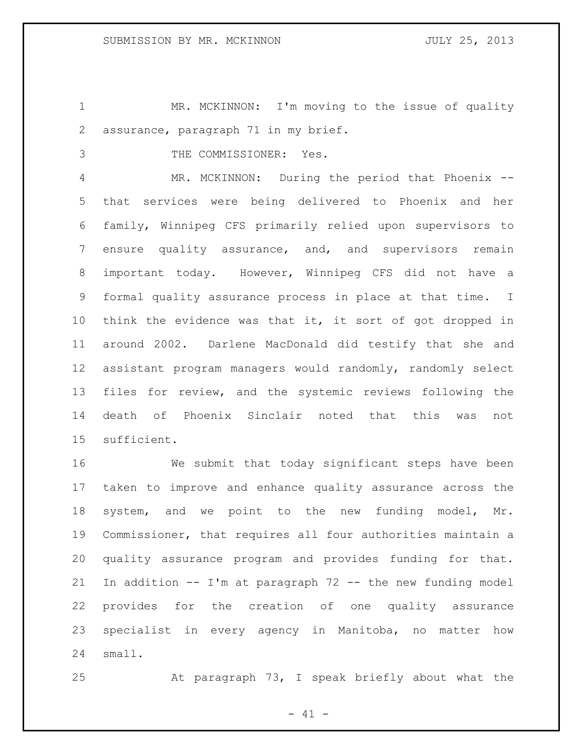1 MR. MCKINNON: I'm moving to the issue of quality assurance, paragraph 71 in my brief.

THE COMMISSIONER: Yes.

 MR. MCKINNON: During the period that Phoenix -- that services were being delivered to Phoenix and her family, Winnipeg CFS primarily relied upon supervisors to ensure quality assurance, and, and supervisors remain important today. However, Winnipeg CFS did not have a formal quality assurance process in place at that time. I think the evidence was that it, it sort of got dropped in around 2002. Darlene MacDonald did testify that she and assistant program managers would randomly, randomly select files for review, and the systemic reviews following the death of Phoenix Sinclair noted that this was not sufficient.

 We submit that today significant steps have been taken to improve and enhance quality assurance across the system, and we point to the new funding model, Mr. Commissioner, that requires all four authorities maintain a quality assurance program and provides funding for that. In addition -- I'm at paragraph 72 -- the new funding model provides for the creation of one quality assurance specialist in every agency in Manitoba, no matter how small.

At paragraph 73, I speak briefly about what the

 $- 41 -$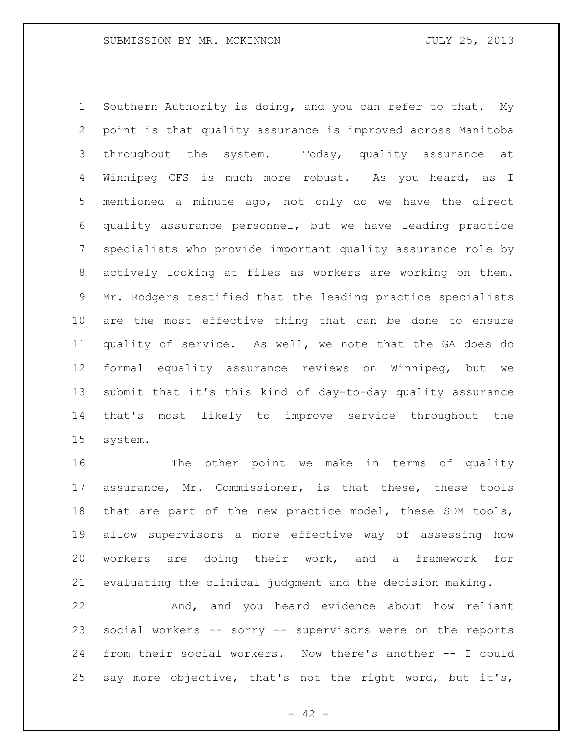Southern Authority is doing, and you can refer to that. My point is that quality assurance is improved across Manitoba throughout the system. Today, quality assurance at Winnipeg CFS is much more robust. As you heard, as I mentioned a minute ago, not only do we have the direct quality assurance personnel, but we have leading practice specialists who provide important quality assurance role by actively looking at files as workers are working on them. Mr. Rodgers testified that the leading practice specialists are the most effective thing that can be done to ensure quality of service. As well, we note that the GA does do formal equality assurance reviews on Winnipeg, but we submit that it's this kind of day-to-day quality assurance that's most likely to improve service throughout the system.

16 The other point we make in terms of quality assurance, Mr. Commissioner, is that these, these tools that are part of the new practice model, these SDM tools, allow supervisors a more effective way of assessing how workers are doing their work, and a framework for evaluating the clinical judgment and the decision making.

 And, and you heard evidence about how reliant social workers -- sorry -- supervisors were on the reports from their social workers. Now there's another -- I could say more objective, that's not the right word, but it's,

 $- 42 -$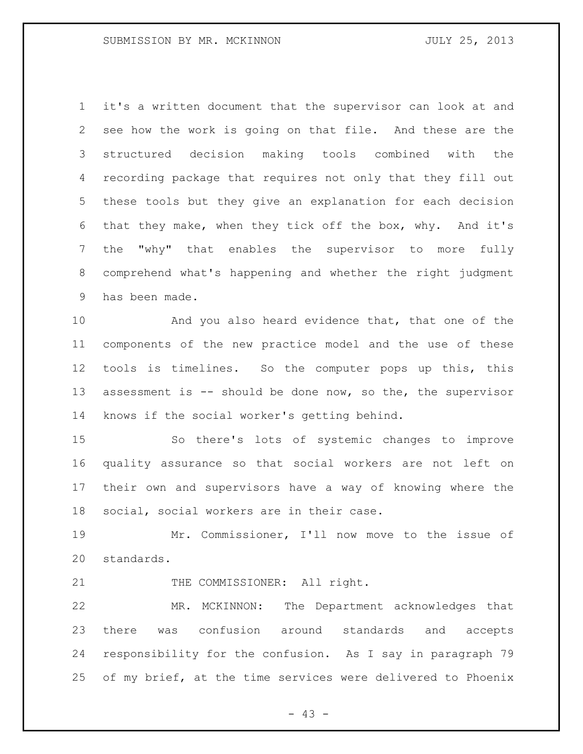it's a written document that the supervisor can look at and see how the work is going on that file. And these are the structured decision making tools combined with the recording package that requires not only that they fill out these tools but they give an explanation for each decision that they make, when they tick off the box, why. And it's the "why" that enables the supervisor to more fully comprehend what's happening and whether the right judgment has been made.

 And you also heard evidence that, that one of the components of the new practice model and the use of these tools is timelines. So the computer pops up this, this 13 assessment is -- should be done now, so the, the supervisor knows if the social worker's getting behind.

 So there's lots of systemic changes to improve quality assurance so that social workers are not left on their own and supervisors have a way of knowing where the social, social workers are in their case.

 Mr. Commissioner, I'll now move to the issue of standards.

21 THE COMMISSIONER: All right.

 MR. MCKINNON: The Department acknowledges that there was confusion around standards and accepts responsibility for the confusion. As I say in paragraph 79 of my brief, at the time services were delivered to Phoenix

- 43 -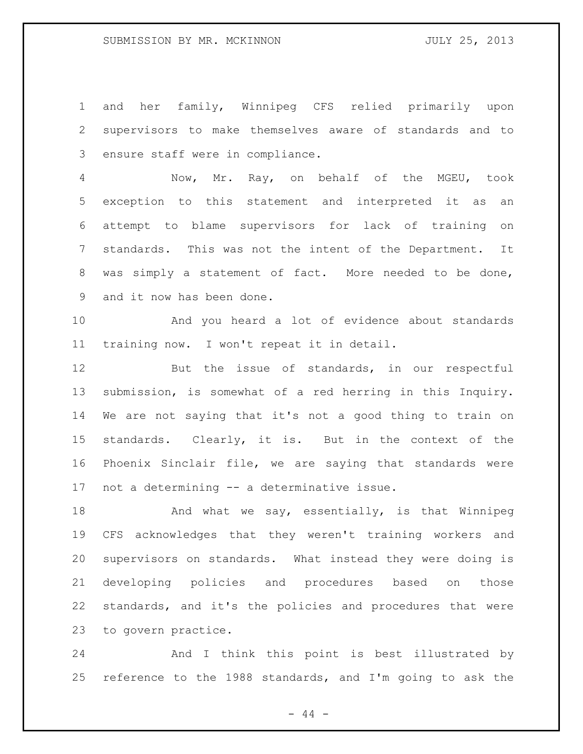and her family, Winnipeg CFS relied primarily upon supervisors to make themselves aware of standards and to ensure staff were in compliance.

 Now, Mr. Ray, on behalf of the MGEU, took exception to this statement and interpreted it as an attempt to blame supervisors for lack of training on standards. This was not the intent of the Department. It was simply a statement of fact. More needed to be done, and it now has been done.

 And you heard a lot of evidence about standards training now. I won't repeat it in detail.

 But the issue of standards, in our respectful submission, is somewhat of a red herring in this Inquiry. We are not saying that it's not a good thing to train on standards. Clearly, it is. But in the context of the Phoenix Sinclair file, we are saying that standards were not a determining -- a determinative issue.

18 And what we say, essentially, is that Winnipeg CFS acknowledges that they weren't training workers and supervisors on standards. What instead they were doing is developing policies and procedures based on those standards, and it's the policies and procedures that were to govern practice.

 And I think this point is best illustrated by reference to the 1988 standards, and I'm going to ask the

- 44 -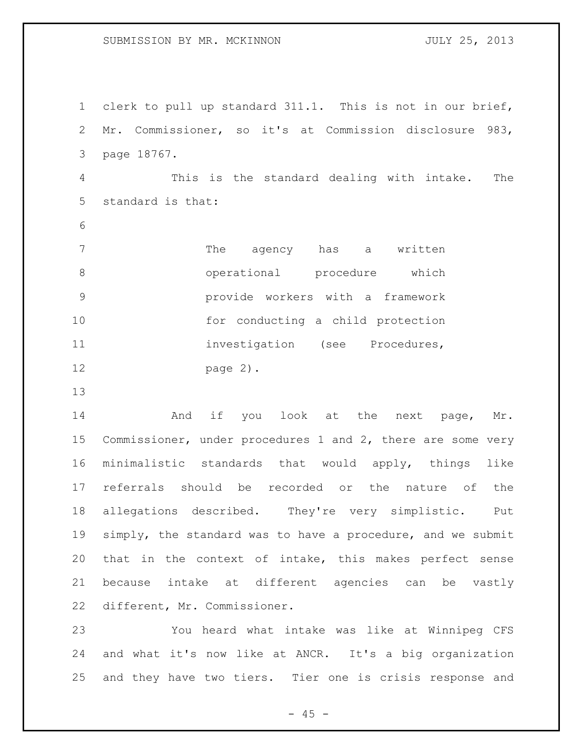clerk to pull up standard 311.1. This is not in our brief, Mr. Commissioner, so it's at Commission disclosure 983, page 18767. This is the standard dealing with intake. The standard is that: 7 The agency has a written operational procedure which provide workers with a framework 10 for conducting a child protection 11 investigation (see Procedures, page 2).

14 And if you look at the next page, Mr. Commissioner, under procedures 1 and 2, there are some very minimalistic standards that would apply, things like referrals should be recorded or the nature of the allegations described. They're very simplistic. Put simply, the standard was to have a procedure, and we submit that in the context of intake, this makes perfect sense because intake at different agencies can be vastly different, Mr. Commissioner.

 You heard what intake was like at Winnipeg CFS and what it's now like at ANCR. It's a big organization and they have two tiers. Tier one is crisis response and

 $- 45 -$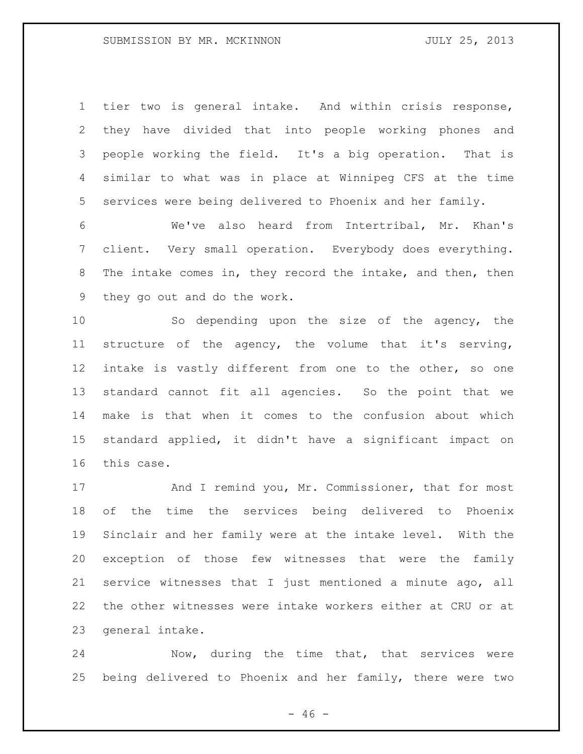tier two is general intake. And within crisis response, they have divided that into people working phones and people working the field. It's a big operation. That is similar to what was in place at Winnipeg CFS at the time services were being delivered to Phoenix and her family.

 We've also heard from Intertribal, Mr. Khan's client. Very small operation. Everybody does everything. The intake comes in, they record the intake, and then, then they go out and do the work.

 So depending upon the size of the agency, the structure of the agency, the volume that it's serving, intake is vastly different from one to the other, so one standard cannot fit all agencies. So the point that we make is that when it comes to the confusion about which standard applied, it didn't have a significant impact on this case.

17 And I remind you, Mr. Commissioner, that for most of the time the services being delivered to Phoenix Sinclair and her family were at the intake level. With the exception of those few witnesses that were the family service witnesses that I just mentioned a minute ago, all the other witnesses were intake workers either at CRU or at general intake.

 Now, during the time that, that services were being delivered to Phoenix and her family, there were two

 $- 46 -$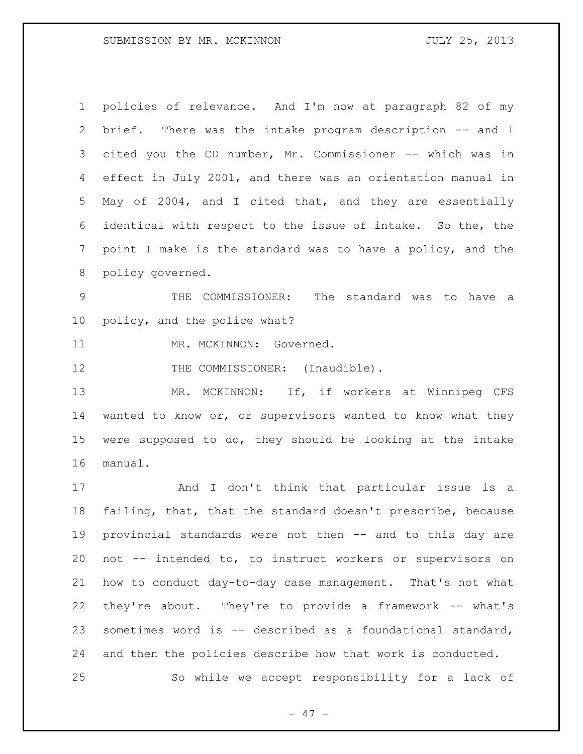| $\mathbf 1$   | policies of relevance. And I'm now at paragraph 82 of my    |
|---------------|-------------------------------------------------------------|
| $\mathbf{2}$  | brief. There was the intake program description -- and I    |
| 3             | cited you the CD number, Mr. Commissioner -- which was in   |
| 4             | effect in July 2001, and there was an orientation manual in |
| 5             | May of 2004, and I cited that, and they are essentially     |
| 6             | identical with respect to the issue of intake. So the, the  |
| 7             | point I make is the standard was to have a policy, and the  |
| 8             | policy governed.                                            |
| $\mathcal{G}$ | THE COMMISSIONER: The standard was to have a                |
| 10            | policy, and the police what?                                |
| 11            | MR. MCKINNON: Governed.                                     |
| 12            | THE COMMISSIONER: (Inaudible).                              |
| 13            | MR. MCKINNON: If, if workers at Winnipeg CFS                |
| 14            | wanted to know or, or supervisors wanted to know what they  |
| 15            | were supposed to do, they should be looking at the intake   |
| 16            | manual.                                                     |
| 17            | And I don't think that particular issue is a                |
| 18            | failing, that, that the standard doesn't prescribe, because |
| 19            | provincial standards were not then -- and to this day are   |
| 20            | not -- intended to, to instruct workers or supervisors on   |
| 21            | how to conduct day-to-day case management. That's not what  |
| 22            | they're about. They're to provide a framework -- what's     |
| 23            | sometimes word is -- described as a foundational standard,  |
| 24            | and then the policies describe how that work is conducted.  |
| 25            | So while we accept responsibility for a lack of             |

- 47 -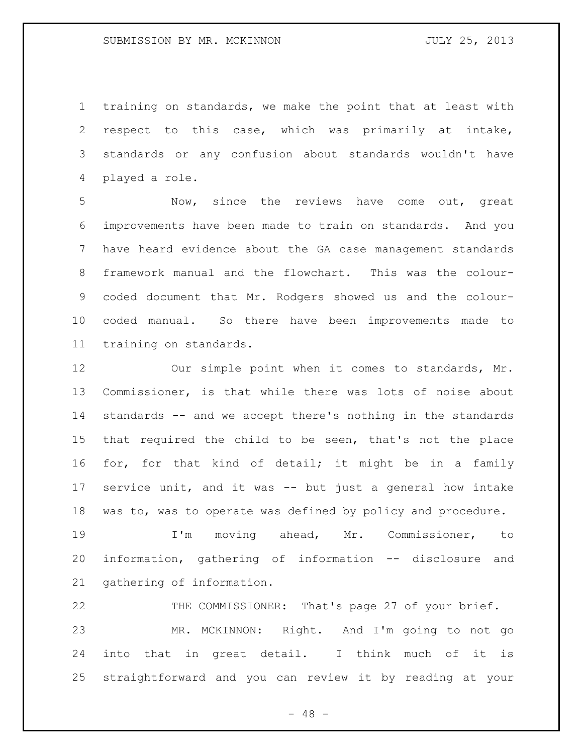training on standards, we make the point that at least with respect to this case, which was primarily at intake, standards or any confusion about standards wouldn't have played a role.

 Now, since the reviews have come out, great improvements have been made to train on standards. And you have heard evidence about the GA case management standards framework manual and the flowchart. This was the colour- coded document that Mr. Rodgers showed us and the colour- coded manual. So there have been improvements made to training on standards.

 Our simple point when it comes to standards, Mr. Commissioner, is that while there was lots of noise about standards -- and we accept there's nothing in the standards that required the child to be seen, that's not the place for, for that kind of detail; it might be in a family service unit, and it was -- but just a general how intake was to, was to operate was defined by policy and procedure.

 I'm moving ahead, Mr. Commissioner, to information, gathering of information -- disclosure and gathering of information.

 THE COMMISSIONER: That's page 27 of your brief. MR. MCKINNON: Right. And I'm going to not go into that in great detail. I think much of it is straightforward and you can review it by reading at your

- 48 -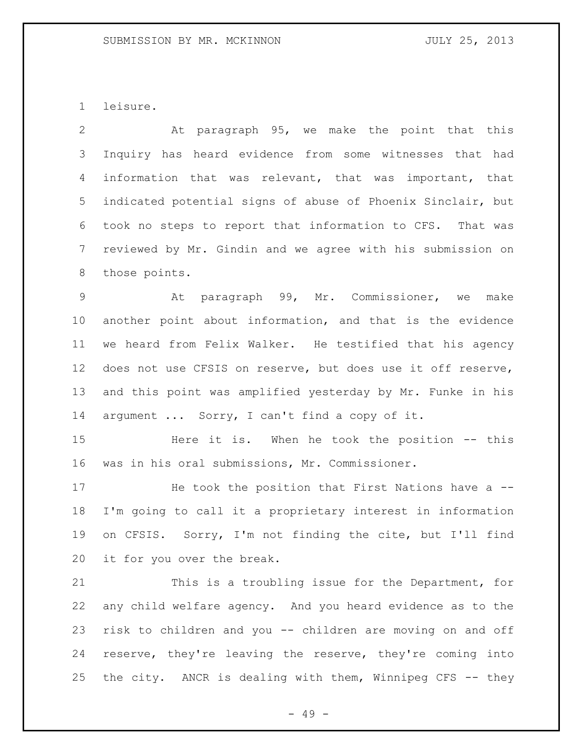leisure.

 At paragraph 95, we make the point that this Inquiry has heard evidence from some witnesses that had information that was relevant, that was important, that indicated potential signs of abuse of Phoenix Sinclair, but took no steps to report that information to CFS. That was reviewed by Mr. Gindin and we agree with his submission on those points.

 At paragraph 99, Mr. Commissioner, we make another point about information, and that is the evidence we heard from Felix Walker. He testified that his agency does not use CFSIS on reserve, but does use it off reserve, and this point was amplified yesterday by Mr. Funke in his argument ... Sorry, I can't find a copy of it.

 Here it is. When he took the position -- this was in his oral submissions, Mr. Commissioner.

17 He took the position that First Nations have a -- I'm going to call it a proprietary interest in information on CFSIS. Sorry, I'm not finding the cite, but I'll find it for you over the break.

 This is a troubling issue for the Department, for any child welfare agency. And you heard evidence as to the risk to children and you -- children are moving on and off reserve, they're leaving the reserve, they're coming into the city. ANCR is dealing with them, Winnipeg CFS -- they

- 49 -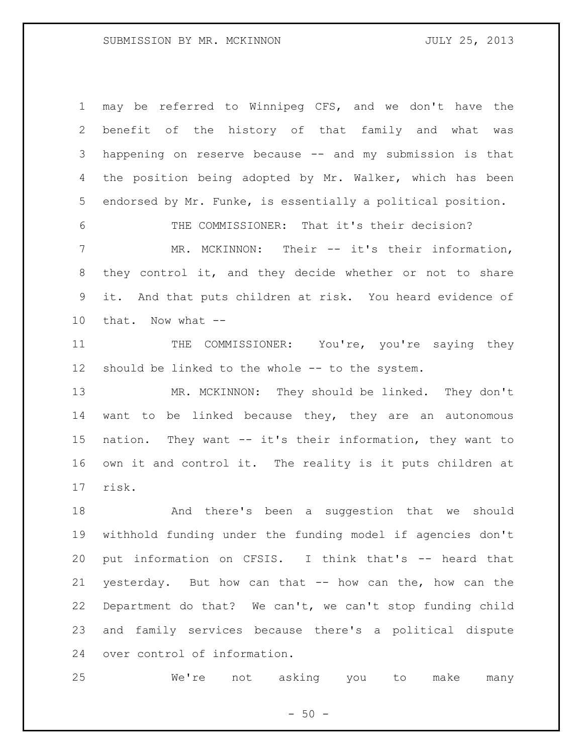may be referred to Winnipeg CFS, and we don't have the benefit of the history of that family and what was happening on reserve because -- and my submission is that 4 the position being adopted by Mr. Walker, which has been endorsed by Mr. Funke, is essentially a political position.

 THE COMMISSIONER: That it's their decision? MR. MCKINNON: Their -- it's their information, they control it, and they decide whether or not to share it. And that puts children at risk. You heard evidence of that. Now what --

11 THE COMMISSIONER: You're, you're saying they should be linked to the whole -- to the system.

 MR. MCKINNON: They should be linked. They don't want to be linked because they, they are an autonomous nation. They want -- it's their information, they want to own it and control it. The reality is it puts children at risk.

 And there's been a suggestion that we should withhold funding under the funding model if agencies don't put information on CFSIS. I think that's -- heard that yesterday. But how can that -- how can the, how can the Department do that? We can't, we can't stop funding child and family services because there's a political dispute over control of information.

We're not asking you to make many

 $-50 -$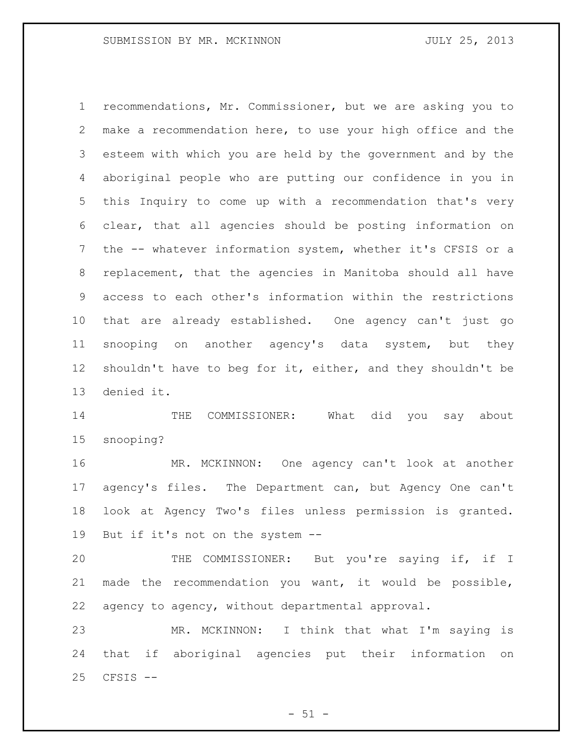recommendations, Mr. Commissioner, but we are asking you to make a recommendation here, to use your high office and the esteem with which you are held by the government and by the aboriginal people who are putting our confidence in you in this Inquiry to come up with a recommendation that's very clear, that all agencies should be posting information on the -- whatever information system, whether it's CFSIS or a replacement, that the agencies in Manitoba should all have access to each other's information within the restrictions that are already established. One agency can't just go snooping on another agency's data system, but they 12 shouldn't have to beg for it, either, and they shouldn't be denied it.

14 THE COMMISSIONER: What did you say about snooping?

 MR. MCKINNON: One agency can't look at another agency's files. The Department can, but Agency One can't look at Agency Two's files unless permission is granted. But if it's not on the system --

 THE COMMISSIONER: But you're saying if, if I made the recommendation you want, it would be possible, agency to agency, without departmental approval.

 MR. MCKINNON: I think that what I'm saying is that if aboriginal agencies put their information on CFSIS --

 $-51 -$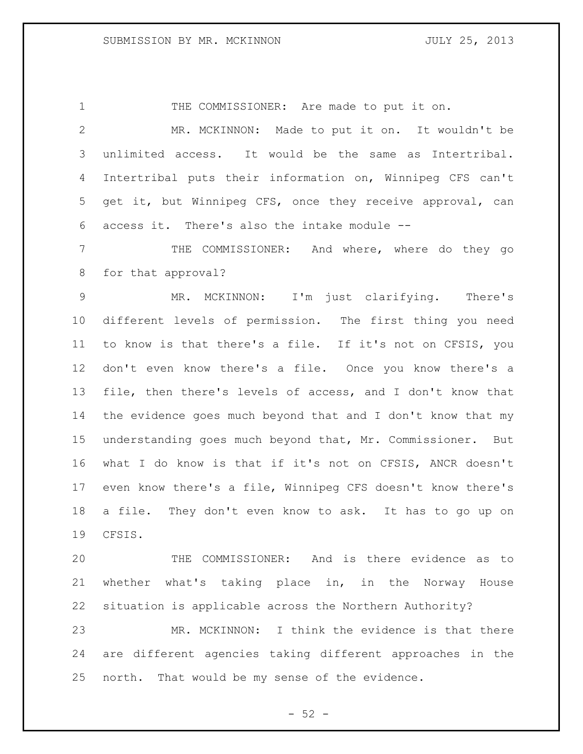1 THE COMMISSIONER: Are made to put it on.

 MR. MCKINNON: Made to put it on. It wouldn't be unlimited access. It would be the same as Intertribal. Intertribal puts their information on, Winnipeg CFS can't get it, but Winnipeg CFS, once they receive approval, can access it. There's also the intake module --

 THE COMMISSIONER: And where, where do they go for that approval?

 MR. MCKINNON: I'm just clarifying. There's different levels of permission. The first thing you need to know is that there's a file. If it's not on CFSIS, you don't even know there's a file. Once you know there's a file, then there's levels of access, and I don't know that the evidence goes much beyond that and I don't know that my understanding goes much beyond that, Mr. Commissioner. But what I do know is that if it's not on CFSIS, ANCR doesn't even know there's a file, Winnipeg CFS doesn't know there's a file. They don't even know to ask. It has to go up on CFSIS.

 THE COMMISSIONER: And is there evidence as to whether what's taking place in, in the Norway House situation is applicable across the Northern Authority?

 MR. MCKINNON: I think the evidence is that there are different agencies taking different approaches in the north. That would be my sense of the evidence.

 $-52 -$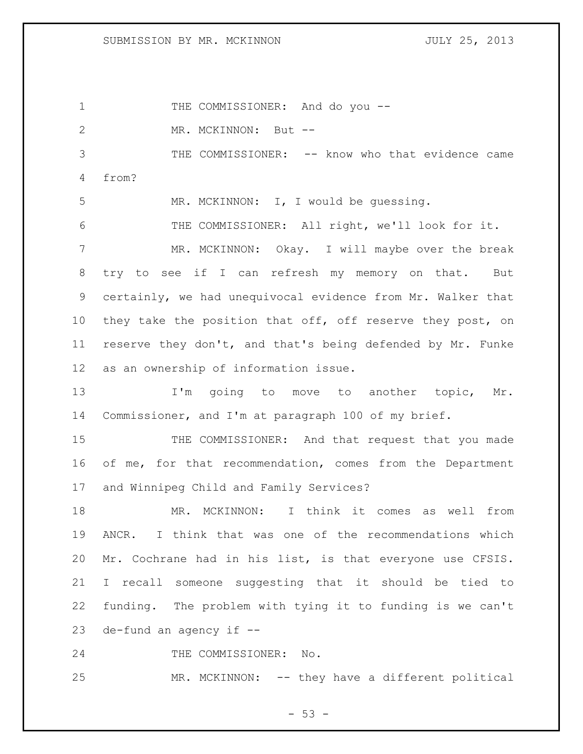1 THE COMMISSIONER: And do you --2 MR. MCKINNON: But -- THE COMMISSIONER: -- know who that evidence came from? MR. MCKINNON: I, I would be guessing. THE COMMISSIONER: All right, we'll look for it. MR. MCKINNON: Okay. I will maybe over the break try to see if I can refresh my memory on that. But certainly, we had unequivocal evidence from Mr. Walker that 10 they take the position that off, off reserve they post, on reserve they don't, and that's being defended by Mr. Funke as an ownership of information issue. 13 I'm going to move to another topic, Mr. Commissioner, and I'm at paragraph 100 of my brief. THE COMMISSIONER: And that request that you made 16 of me, for that recommendation, comes from the Department and Winnipeg Child and Family Services? MR. MCKINNON: I think it comes as well from ANCR. I think that was one of the recommendations which Mr. Cochrane had in his list, is that everyone use CFSIS. I recall someone suggesting that it should be tied to funding. The problem with tying it to funding is we can't de-fund an agency if -- THE COMMISSIONER: No. MR. MCKINNON: -- they have a different political

 $-53 -$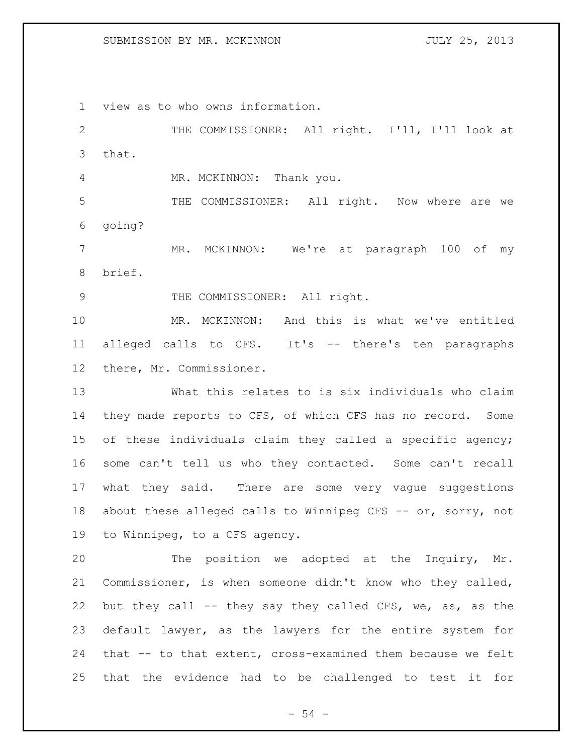view as to who owns information.

 THE COMMISSIONER: All right. I'll, I'll look at that.

4 MR. MCKINNON: Thank you.

 THE COMMISSIONER: All right. Now where are we going?

7 MR. MCKINNON: We're at paragraph 100 of my brief.

9 THE COMMISSIONER: All right.

 MR. MCKINNON: And this is what we've entitled alleged calls to CFS. It's -- there's ten paragraphs there, Mr. Commissioner.

 What this relates to is six individuals who claim they made reports to CFS, of which CFS has no record. Some of these individuals claim they called a specific agency; some can't tell us who they contacted. Some can't recall what they said. There are some very vague suggestions 18 about these alleged calls to Winnipeg CFS -- or, sorry, not to Winnipeg, to a CFS agency.

 The position we adopted at the Inquiry, Mr. Commissioner, is when someone didn't know who they called, but they call -- they say they called CFS, we, as, as the default lawyer, as the lawyers for the entire system for that -- to that extent, cross-examined them because we felt that the evidence had to be challenged to test it for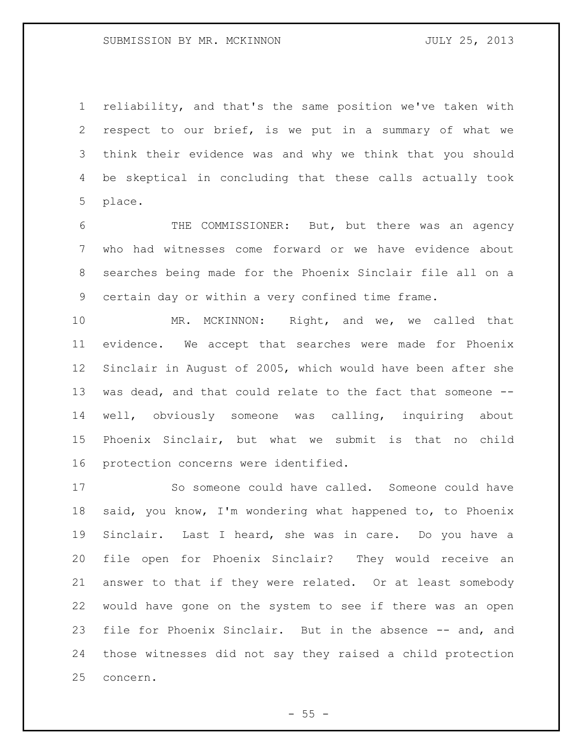reliability, and that's the same position we've taken with respect to our brief, is we put in a summary of what we think their evidence was and why we think that you should be skeptical in concluding that these calls actually took place.

 THE COMMISSIONER: But, but there was an agency who had witnesses come forward or we have evidence about searches being made for the Phoenix Sinclair file all on a certain day or within a very confined time frame.

 MR. MCKINNON: Right, and we, we called that evidence. We accept that searches were made for Phoenix Sinclair in August of 2005, which would have been after she was dead, and that could relate to the fact that someone -- well, obviously someone was calling, inquiring about Phoenix Sinclair, but what we submit is that no child protection concerns were identified.

 So someone could have called. Someone could have said, you know, I'm wondering what happened to, to Phoenix Sinclair. Last I heard, she was in care. Do you have a file open for Phoenix Sinclair? They would receive an answer to that if they were related. Or at least somebody would have gone on the system to see if there was an open file for Phoenix Sinclair. But in the absence -- and, and those witnesses did not say they raised a child protection concern.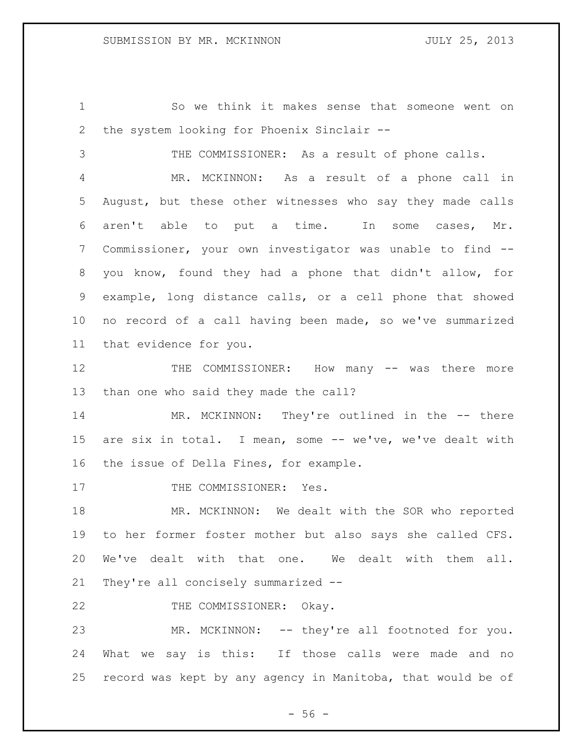So we think it makes sense that someone went on the system looking for Phoenix Sinclair --

THE COMMISSIONER: As a result of phone calls.

 MR. MCKINNON: As a result of a phone call in August, but these other witnesses who say they made calls aren't able to put a time. In some cases, Mr. Commissioner, your own investigator was unable to find -- you know, found they had a phone that didn't allow, for example, long distance calls, or a cell phone that showed no record of a call having been made, so we've summarized that evidence for you.

12 THE COMMISSIONER: How many -- was there more than one who said they made the call?

14 MR. MCKINNON: They're outlined in the -- there are six in total. I mean, some -- we've, we've dealt with the issue of Della Fines, for example.

17 THE COMMISSIONER: Yes.

 MR. MCKINNON: We dealt with the SOR who reported to her former foster mother but also says she called CFS. We've dealt with that one. We dealt with them all. They're all concisely summarized --

22 THE COMMISSIONER: Okay.

 MR. MCKINNON: -- they're all footnoted for you. What we say is this: If those calls were made and no record was kept by any agency in Manitoba, that would be of

 $- 56 -$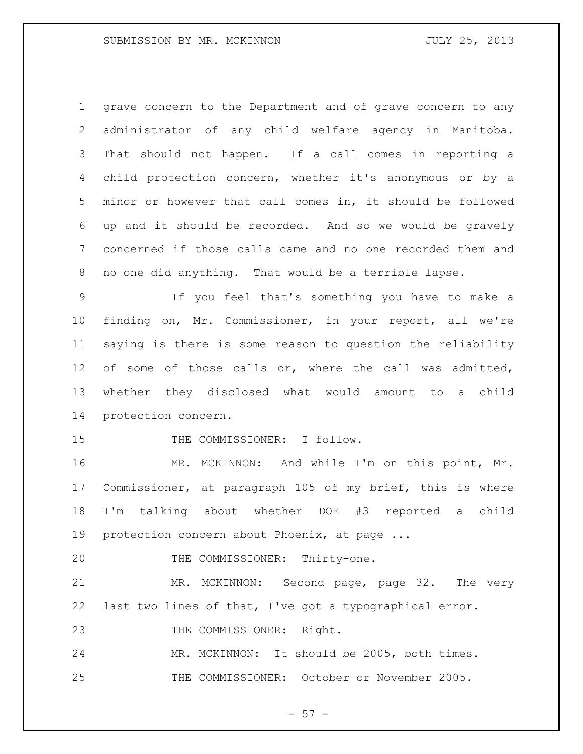grave concern to the Department and of grave concern to any administrator of any child welfare agency in Manitoba. That should not happen. If a call comes in reporting a child protection concern, whether it's anonymous or by a minor or however that call comes in, it should be followed up and it should be recorded. And so we would be gravely concerned if those calls came and no one recorded them and no one did anything. That would be a terrible lapse.

 If you feel that's something you have to make a finding on, Mr. Commissioner, in your report, all we're saying is there is some reason to question the reliability 12 of some of those calls or, where the call was admitted, whether they disclosed what would amount to a child protection concern.

15 THE COMMISSIONER: I follow.

 MR. MCKINNON: And while I'm on this point, Mr. Commissioner, at paragraph 105 of my brief, this is where I'm talking about whether DOE #3 reported a child protection concern about Phoenix, at page ...

20 THE COMMISSIONER: Thirty-one.

 MR. MCKINNON: Second page, page 32. The very last two lines of that, I've got a typographical error.

THE COMMISSIONER: Right.

 MR. MCKINNON: It should be 2005, both times. THE COMMISSIONER: October or November 2005.

 $- 57 -$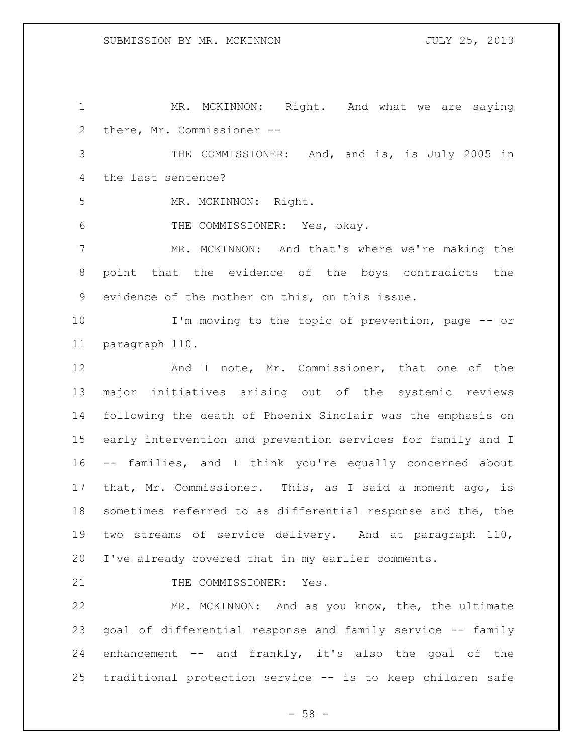1 MR. MCKINNON: Right. And what we are saying there, Mr. Commissioner --

 THE COMMISSIONER: And, and is, is July 2005 in the last sentence?

MR. MCKINNON: Right.

THE COMMISSIONER: Yes, okay.

 MR. MCKINNON: And that's where we're making the point that the evidence of the boys contradicts the evidence of the mother on this, on this issue.

 I'm moving to the topic of prevention, page -- or paragraph 110.

12 And I note, Mr. Commissioner, that one of the major initiatives arising out of the systemic reviews following the death of Phoenix Sinclair was the emphasis on early intervention and prevention services for family and I -- families, and I think you're equally concerned about that, Mr. Commissioner. This, as I said a moment ago, is sometimes referred to as differential response and the, the two streams of service delivery. And at paragraph 110, I've already covered that in my earlier comments.

21 THE COMMISSIONER: Yes.

 MR. MCKINNON: And as you know, the, the ultimate goal of differential response and family service -- family enhancement -- and frankly, it's also the goal of the traditional protection service -- is to keep children safe

 $- 58 -$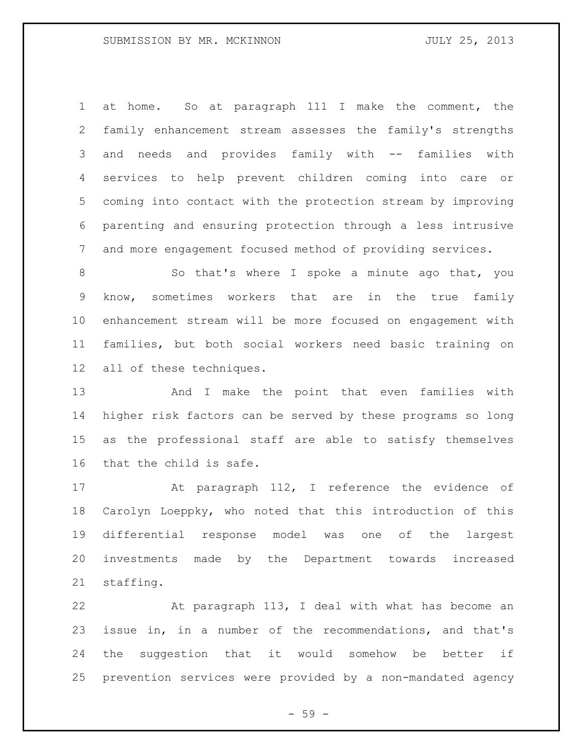at home. So at paragraph 111 I make the comment, the family enhancement stream assesses the family's strengths and needs and provides family with -- families with services to help prevent children coming into care or coming into contact with the protection stream by improving parenting and ensuring protection through a less intrusive and more engagement focused method of providing services.

8 So that's where I spoke a minute ago that, you know, sometimes workers that are in the true family enhancement stream will be more focused on engagement with families, but both social workers need basic training on all of these techniques.

 And I make the point that even families with higher risk factors can be served by these programs so long as the professional staff are able to satisfy themselves that the child is safe.

 At paragraph 112, I reference the evidence of Carolyn Loeppky, who noted that this introduction of this differential response model was one of the largest investments made by the Department towards increased staffing.

 At paragraph 113, I deal with what has become an issue in, in a number of the recommendations, and that's the suggestion that it would somehow be better if prevention services were provided by a non-mandated agency

 $-59 -$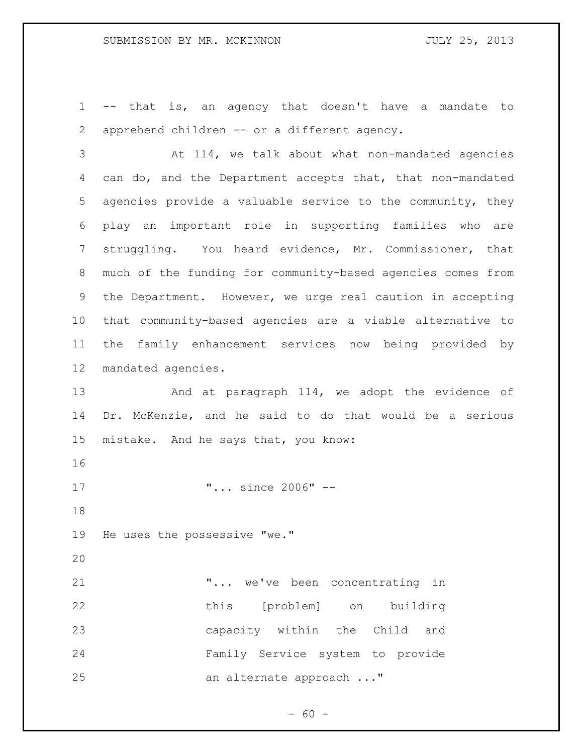-- that is, an agency that doesn't have a mandate to apprehend children -- or a different agency.

 At 114, we talk about what non-mandated agencies can do, and the Department accepts that, that non-mandated agencies provide a valuable service to the community, they play an important role in supporting families who are struggling. You heard evidence, Mr. Commissioner, that much of the funding for community-based agencies comes from the Department. However, we urge real caution in accepting that community-based agencies are a viable alternative to the family enhancement services now being provided by mandated agencies.

13 And at paragraph 114, we adopt the evidence of Dr. McKenzie, and he said to do that would be a serious mistake. And he says that, you know:

17  $\ldots$  since 2006" --

He uses the possessive "we."

 "... we've been concentrating in this [problem] on building capacity within the Child and Family Service system to provide 25 an alternate approach ..."

 $- 60 -$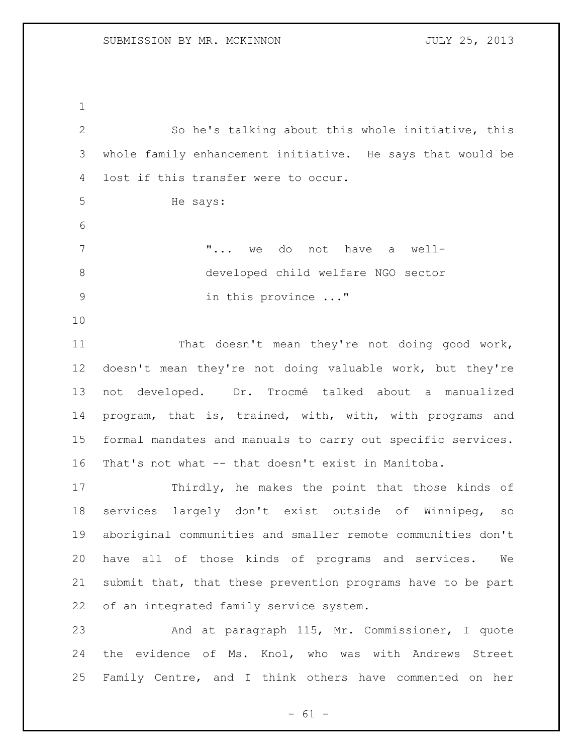So he's talking about this whole initiative, this whole family enhancement initiative. He says that would be lost if this transfer were to occur. He says: "... we do not have a well- developed child welfare NGO sector in this province ..." That doesn't mean they're not doing good work, doesn't mean they're not doing valuable work, but they're not developed. Dr. Trocmé talked about a manualized program, that is, trained, with, with, with programs and formal mandates and manuals to carry out specific services. That's not what -- that doesn't exist in Manitoba. Thirdly, he makes the point that those kinds of services largely don't exist outside of Winnipeg, so aboriginal communities and smaller remote communities don't have all of those kinds of programs and services. We submit that, that these prevention programs have to be part of an integrated family service system. And at paragraph 115, Mr. Commissioner, I quote

 the evidence of Ms. Knol, who was with Andrews Street Family Centre, and I think others have commented on her

 $- 61 -$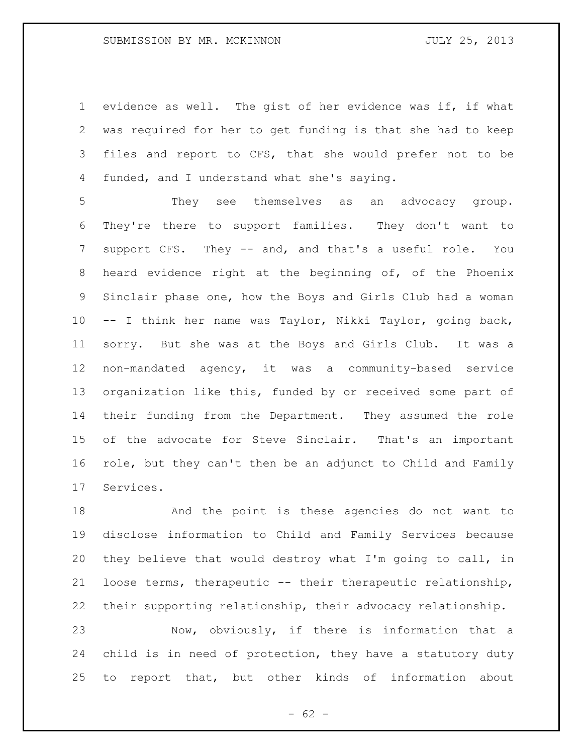evidence as well. The gist of her evidence was if, if what was required for her to get funding is that she had to keep files and report to CFS, that she would prefer not to be funded, and I understand what she's saying.

 They see themselves as an advocacy group. They're there to support families. They don't want to 7 support CFS. They -- and, and that's a useful role. You heard evidence right at the beginning of, of the Phoenix Sinclair phase one, how the Boys and Girls Club had a woman -- I think her name was Taylor, Nikki Taylor, going back, sorry. But she was at the Boys and Girls Club. It was a non-mandated agency, it was a community-based service organization like this, funded by or received some part of their funding from the Department. They assumed the role of the advocate for Steve Sinclair. That's an important role, but they can't then be an adjunct to Child and Family Services.

 And the point is these agencies do not want to disclose information to Child and Family Services because they believe that would destroy what I'm going to call, in loose terms, therapeutic -- their therapeutic relationship, their supporting relationship, their advocacy relationship. Now, obviously, if there is information that a child is in need of protection, they have a statutory duty

to report that, but other kinds of information about

 $- 62 -$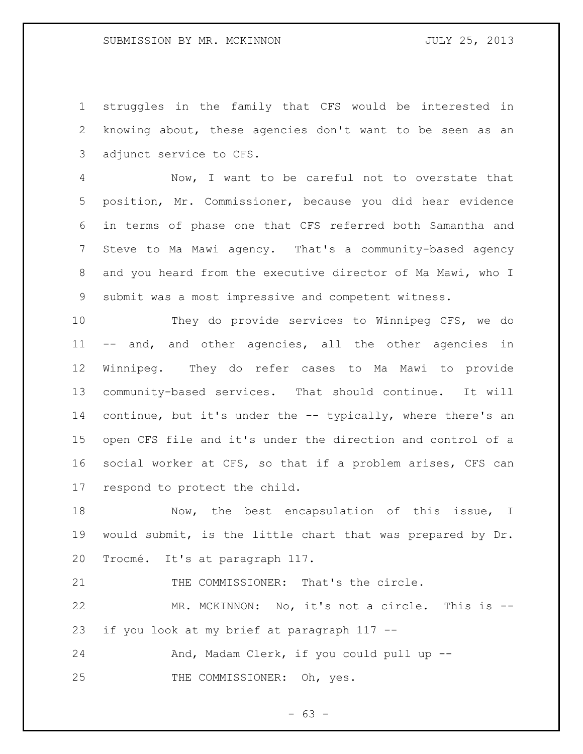struggles in the family that CFS would be interested in knowing about, these agencies don't want to be seen as an adjunct service to CFS.

 Now, I want to be careful not to overstate that position, Mr. Commissioner, because you did hear evidence in terms of phase one that CFS referred both Samantha and Steve to Ma Mawi agency. That's a community-based agency and you heard from the executive director of Ma Mawi, who I submit was a most impressive and competent witness.

 They do provide services to Winnipeg CFS, we do -- and, and other agencies, all the other agencies in Winnipeg. They do refer cases to Ma Mawi to provide community-based services. That should continue. It will continue, but it's under the -- typically, where there's an open CFS file and it's under the direction and control of a social worker at CFS, so that if a problem arises, CFS can respond to protect the child.

18 Now, the best encapsulation of this issue, I would submit, is the little chart that was prepared by Dr. Trocmé. It's at paragraph 117.

21 THE COMMISSIONER: That's the circle.

 MR. MCKINNON: No, it's not a circle. This is -- if you look at my brief at paragraph 117 --

24 And, Madam Clerk, if you could pull up --25 THE COMMISSIONER: Oh, yes.

 $- 63 -$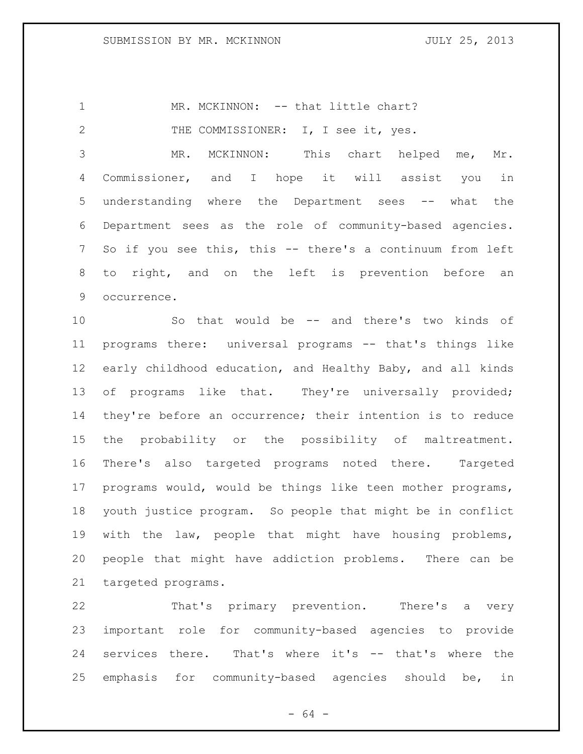1 MR. MCKINNON: -- that little chart?

2 THE COMMISSIONER: I, I see it, yes.

 MR. MCKINNON: This chart helped me, Mr. Commissioner, and I hope it will assist you in understanding where the Department sees -- what the Department sees as the role of community-based agencies. So if you see this, this -- there's a continuum from left to right, and on the left is prevention before an occurrence.

 So that would be -- and there's two kinds of programs there: universal programs -- that's things like early childhood education, and Healthy Baby, and all kinds 13 of programs like that. They're universally provided; they're before an occurrence; their intention is to reduce the probability or the possibility of maltreatment. There's also targeted programs noted there. Targeted programs would, would be things like teen mother programs, youth justice program. So people that might be in conflict with the law, people that might have housing problems, people that might have addiction problems. There can be targeted programs.

 That's primary prevention. There's a very important role for community-based agencies to provide services there. That's where it's -- that's where the emphasis for community-based agencies should be, in

 $- 64 -$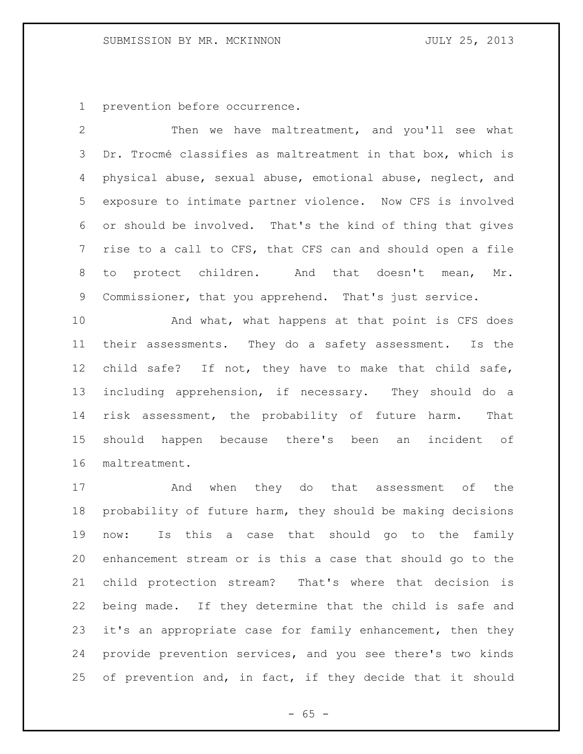prevention before occurrence.

 Then we have maltreatment, and you'll see what Dr. Trocmé classifies as maltreatment in that box, which is physical abuse, sexual abuse, emotional abuse, neglect, and exposure to intimate partner violence. Now CFS is involved or should be involved. That's the kind of thing that gives rise to a call to CFS, that CFS can and should open a file to protect children. And that doesn't mean, Mr. Commissioner, that you apprehend. That's just service.

10 And what, what happens at that point is CFS does their assessments. They do a safety assessment. Is the child safe? If not, they have to make that child safe, including apprehension, if necessary. They should do a risk assessment, the probability of future harm. That should happen because there's been an incident of maltreatment.

 And when they do that assessment of the probability of future harm, they should be making decisions now: Is this a case that should go to the family enhancement stream or is this a case that should go to the child protection stream? That's where that decision is being made. If they determine that the child is safe and it's an appropriate case for family enhancement, then they provide prevention services, and you see there's two kinds of prevention and, in fact, if they decide that it should

 $- 65 -$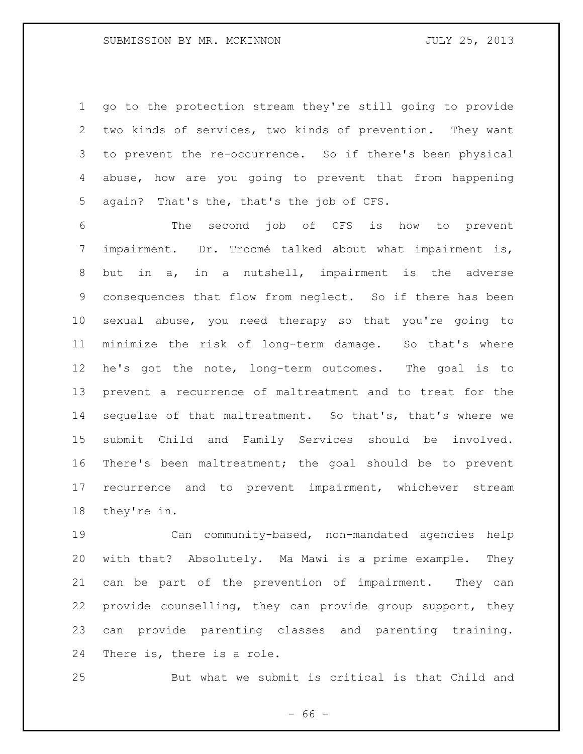go to the protection stream they're still going to provide two kinds of services, two kinds of prevention. They want to prevent the re-occurrence. So if there's been physical abuse, how are you going to prevent that from happening again? That's the, that's the job of CFS.

 The second job of CFS is how to prevent impairment. Dr. Trocmé talked about what impairment is, but in a, in a nutshell, impairment is the adverse consequences that flow from neglect. So if there has been sexual abuse, you need therapy so that you're going to minimize the risk of long-term damage. So that's where he's got the note, long-term outcomes. The goal is to prevent a recurrence of maltreatment and to treat for the sequelae of that maltreatment. So that's, that's where we submit Child and Family Services should be involved. There's been maltreatment; the goal should be to prevent recurrence and to prevent impairment, whichever stream they're in.

 Can community-based, non-mandated agencies help with that? Absolutely. Ma Mawi is a prime example. They can be part of the prevention of impairment. They can provide counselling, they can provide group support, they can provide parenting classes and parenting training. There is, there is a role.

But what we submit is critical is that Child and

 $- 66 -$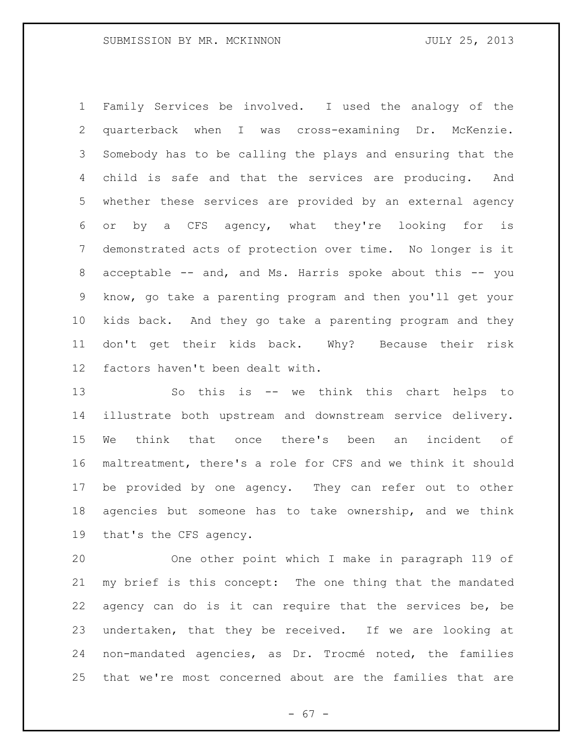Family Services be involved. I used the analogy of the quarterback when I was cross-examining Dr. McKenzie. Somebody has to be calling the plays and ensuring that the child is safe and that the services are producing. And whether these services are provided by an external agency or by a CFS agency, what they're looking for is demonstrated acts of protection over time. No longer is it acceptable -- and, and Ms. Harris spoke about this -- you know, go take a parenting program and then you'll get your kids back. And they go take a parenting program and they don't get their kids back. Why? Because their risk factors haven't been dealt with.

 So this is -- we think this chart helps to illustrate both upstream and downstream service delivery. We think that once there's been an incident of maltreatment, there's a role for CFS and we think it should be provided by one agency. They can refer out to other agencies but someone has to take ownership, and we think that's the CFS agency.

 One other point which I make in paragraph 119 of my brief is this concept: The one thing that the mandated agency can do is it can require that the services be, be undertaken, that they be received. If we are looking at non-mandated agencies, as Dr. Trocmé noted, the families that we're most concerned about are the families that are

- 67 -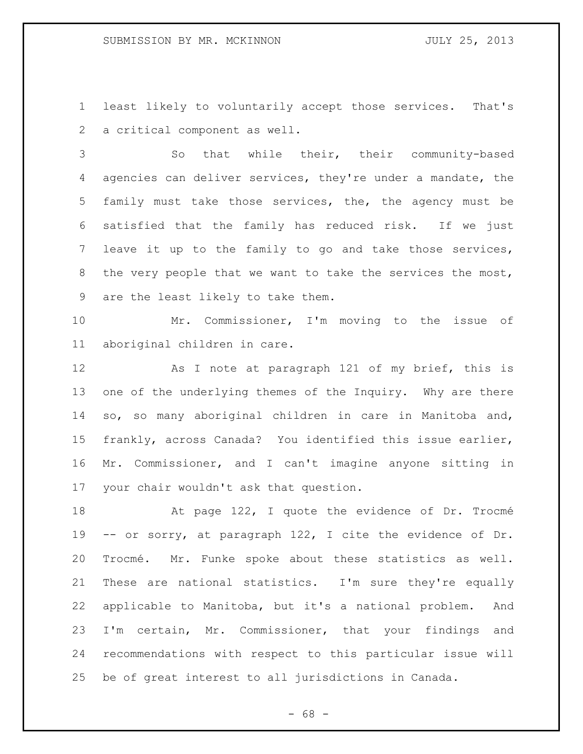least likely to voluntarily accept those services. That's a critical component as well.

 So that while their, their community-based agencies can deliver services, they're under a mandate, the family must take those services, the, the agency must be satisfied that the family has reduced risk. If we just leave it up to the family to go and take those services, 8 the very people that we want to take the services the most, are the least likely to take them.

 Mr. Commissioner, I'm moving to the issue of aboriginal children in care.

12 As I note at paragraph 121 of my brief, this is 13 one of the underlying themes of the Inquiry. Why are there so, so many aboriginal children in care in Manitoba and, frankly, across Canada? You identified this issue earlier, Mr. Commissioner, and I can't imagine anyone sitting in your chair wouldn't ask that question.

 At page 122, I quote the evidence of Dr. Trocmé -- or sorry, at paragraph 122, I cite the evidence of Dr. Trocmé. Mr. Funke spoke about these statistics as well. These are national statistics. I'm sure they're equally applicable to Manitoba, but it's a national problem. And I'm certain, Mr. Commissioner, that your findings and recommendations with respect to this particular issue will be of great interest to all jurisdictions in Canada.

- 68 -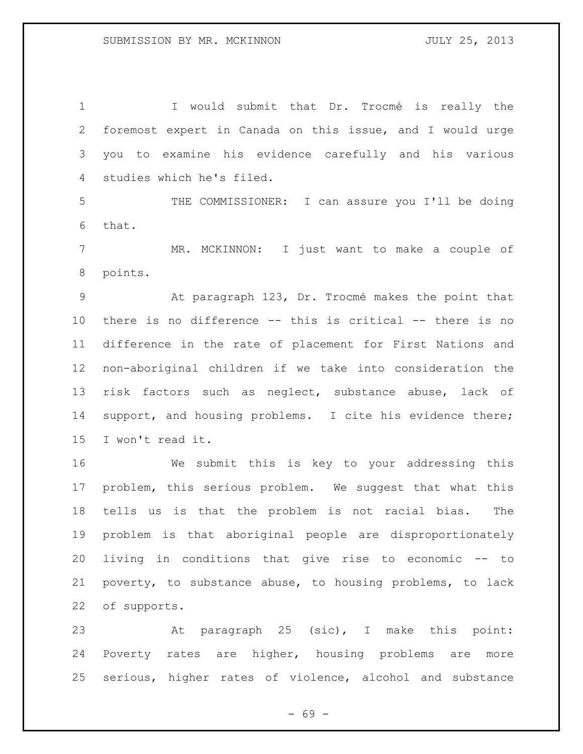I would submit that Dr. Trocmé is really the foremost expert in Canada on this issue, and I would urge you to examine his evidence carefully and his various studies which he's filed.

 THE COMMISSIONER: I can assure you I'll be doing that.

 MR. MCKINNON: I just want to make a couple of points.

 At paragraph 123, Dr. Trocmé makes the point that there is no difference -- this is critical -- there is no difference in the rate of placement for First Nations and non-aboriginal children if we take into consideration the risk factors such as neglect, substance abuse, lack of support, and housing problems. I cite his evidence there; I won't read it.

 We submit this is key to your addressing this problem, this serious problem. We suggest that what this tells us is that the problem is not racial bias. The problem is that aboriginal people are disproportionately living in conditions that give rise to economic -- to poverty, to substance abuse, to housing problems, to lack of supports.

 At paragraph 25 (sic), I make this point: Poverty rates are higher, housing problems are more serious, higher rates of violence, alcohol and substance

- 69 -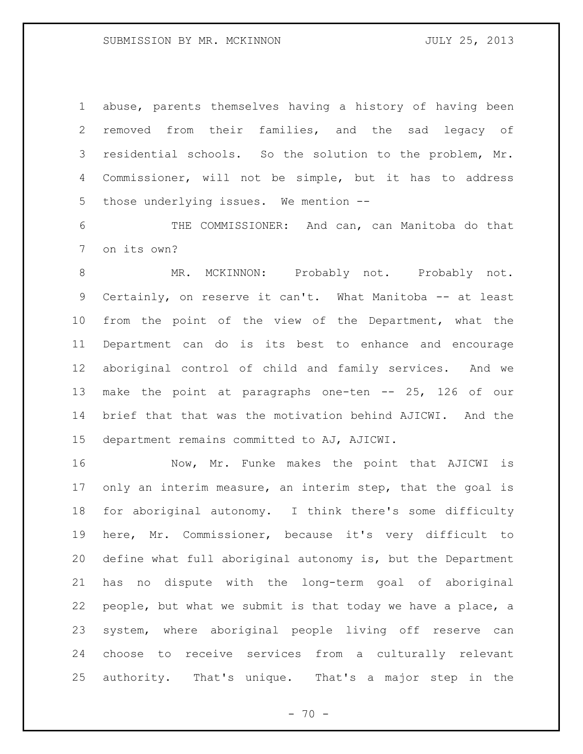abuse, parents themselves having a history of having been removed from their families, and the sad legacy of residential schools. So the solution to the problem, Mr. Commissioner, will not be simple, but it has to address those underlying issues. We mention --

 THE COMMISSIONER: And can, can Manitoba do that on its own?

 MR. MCKINNON: Probably not. Probably not. Certainly, on reserve it can't. What Manitoba -- at least from the point of the view of the Department, what the Department can do is its best to enhance and encourage aboriginal control of child and family services. And we make the point at paragraphs one-ten -- 25, 126 of our brief that that was the motivation behind AJICWI. And the department remains committed to AJ, AJICWI.

 Now, Mr. Funke makes the point that AJICWI is 17 only an interim measure, an interim step, that the goal is for aboriginal autonomy. I think there's some difficulty here, Mr. Commissioner, because it's very difficult to define what full aboriginal autonomy is, but the Department has no dispute with the long-term goal of aboriginal people, but what we submit is that today we have a place, a system, where aboriginal people living off reserve can choose to receive services from a culturally relevant authority. That's unique. That's a major step in the

 $- 70 -$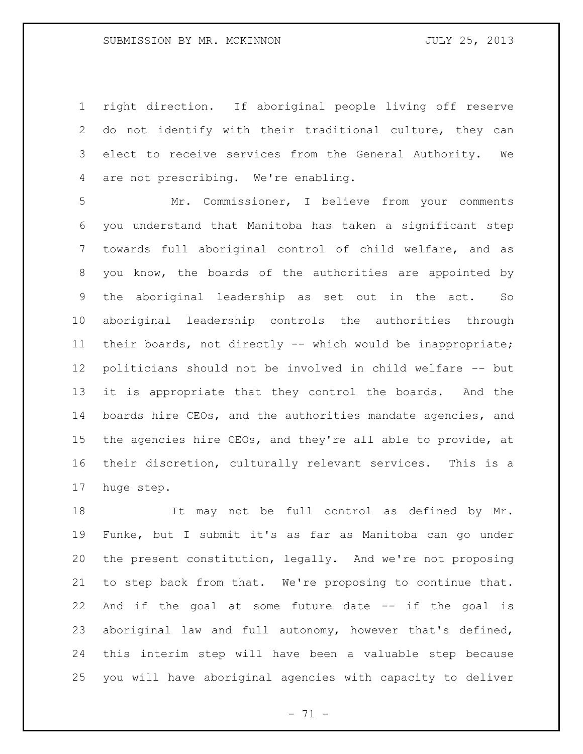right direction. If aboriginal people living off reserve do not identify with their traditional culture, they can elect to receive services from the General Authority. We are not prescribing. We're enabling.

 Mr. Commissioner, I believe from your comments you understand that Manitoba has taken a significant step towards full aboriginal control of child welfare, and as you know, the boards of the authorities are appointed by the aboriginal leadership as set out in the act. So aboriginal leadership controls the authorities through their boards, not directly -- which would be inappropriate; politicians should not be involved in child welfare -- but it is appropriate that they control the boards. And the boards hire CEOs, and the authorities mandate agencies, and the agencies hire CEOs, and they're all able to provide, at their discretion, culturally relevant services. This is a huge step.

 It may not be full control as defined by Mr. Funke, but I submit it's as far as Manitoba can go under the present constitution, legally. And we're not proposing to step back from that. We're proposing to continue that. And if the goal at some future date -- if the goal is aboriginal law and full autonomy, however that's defined, this interim step will have been a valuable step because you will have aboriginal agencies with capacity to deliver

 $- 71 -$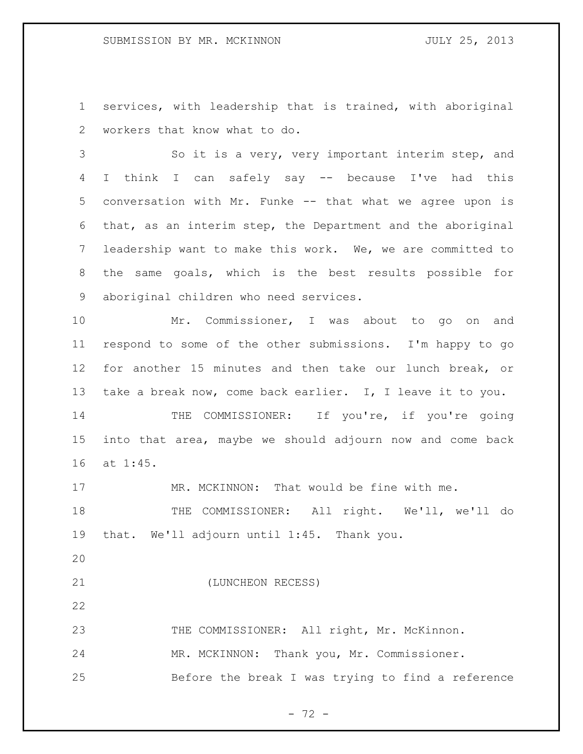services, with leadership that is trained, with aboriginal workers that know what to do.

 So it is a very, very important interim step, and I think I can safely say -- because I've had this conversation with Mr. Funke -- that what we agree upon is that, as an interim step, the Department and the aboriginal leadership want to make this work. We, we are committed to the same goals, which is the best results possible for aboriginal children who need services.

 Mr. Commissioner, I was about to go on and respond to some of the other submissions. I'm happy to go for another 15 minutes and then take our lunch break, or take a break now, come back earlier. I, I leave it to you.

14 THE COMMISSIONER: If you're, if you're going into that area, maybe we should adjourn now and come back at 1:45.

17 MR. MCKINNON: That would be fine with me.

18 THE COMMISSIONER: All right. We'll, we'll do that. We'll adjourn until 1:45. Thank you.

(LUNCHEON RECESS)

23 THE COMMISSIONER: All right, Mr. McKinnon. MR. MCKINNON: Thank you, Mr. Commissioner. Before the break I was trying to find a reference

 $- 72 -$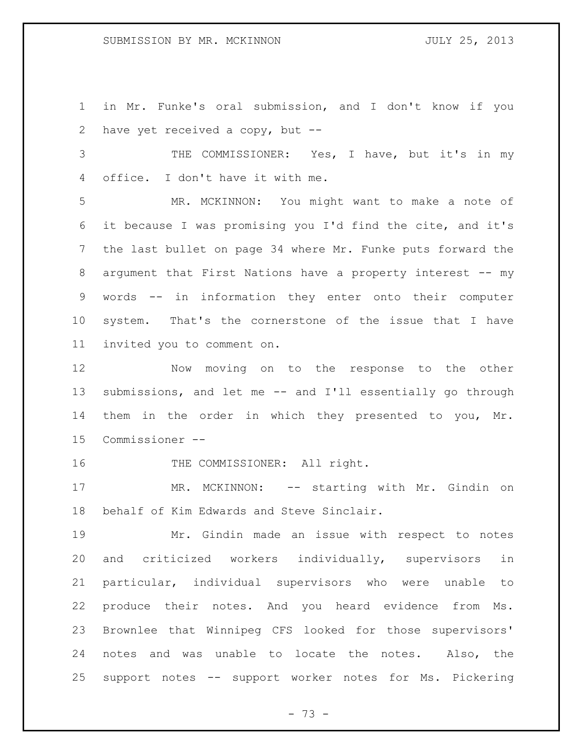in Mr. Funke's oral submission, and I don't know if you have yet received a copy, but --

 THE COMMISSIONER: Yes, I have, but it's in my office. I don't have it with me.

 MR. MCKINNON: You might want to make a note of it because I was promising you I'd find the cite, and it's the last bullet on page 34 where Mr. Funke puts forward the argument that First Nations have a property interest -- my words -- in information they enter onto their computer system. That's the cornerstone of the issue that I have invited you to comment on.

 Now moving on to the response to the other submissions, and let me -- and I'll essentially go through them in the order in which they presented to you, Mr. Commissioner --

16 THE COMMISSIONER: All right.

17 MR. MCKINNON: -- starting with Mr. Gindin on behalf of Kim Edwards and Steve Sinclair.

 Mr. Gindin made an issue with respect to notes and criticized workers individually, supervisors in particular, individual supervisors who were unable to produce their notes. And you heard evidence from Ms. Brownlee that Winnipeg CFS looked for those supervisors' notes and was unable to locate the notes. Also, the support notes -- support worker notes for Ms. Pickering

- 73 -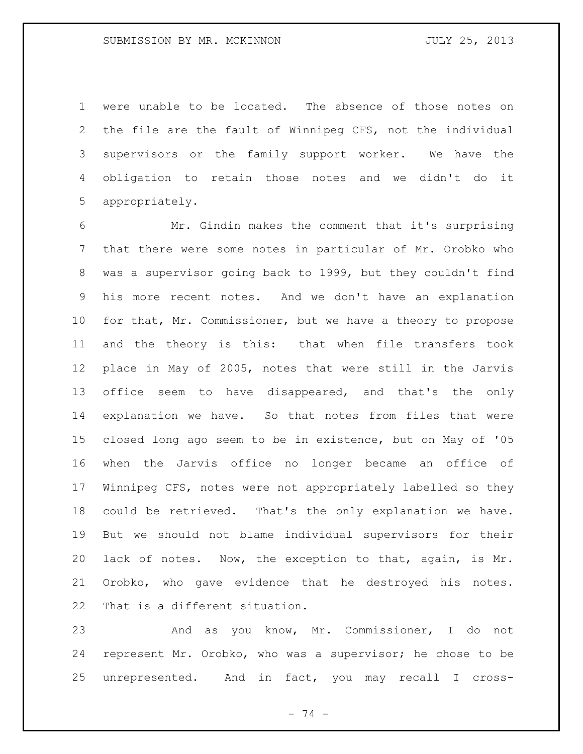were unable to be located. The absence of those notes on the file are the fault of Winnipeg CFS, not the individual supervisors or the family support worker. We have the obligation to retain those notes and we didn't do it appropriately.

 Mr. Gindin makes the comment that it's surprising that there were some notes in particular of Mr. Orobko who was a supervisor going back to 1999, but they couldn't find his more recent notes. And we don't have an explanation for that, Mr. Commissioner, but we have a theory to propose and the theory is this: that when file transfers took place in May of 2005, notes that were still in the Jarvis office seem to have disappeared, and that's the only explanation we have. So that notes from files that were closed long ago seem to be in existence, but on May of '05 when the Jarvis office no longer became an office of Winnipeg CFS, notes were not appropriately labelled so they could be retrieved. That's the only explanation we have. But we should not blame individual supervisors for their lack of notes. Now, the exception to that, again, is Mr. Orobko, who gave evidence that he destroyed his notes. That is a different situation.

 And as you know, Mr. Commissioner, I do not represent Mr. Orobko, who was a supervisor; he chose to be unrepresented. And in fact, you may recall I cross-

- 74 -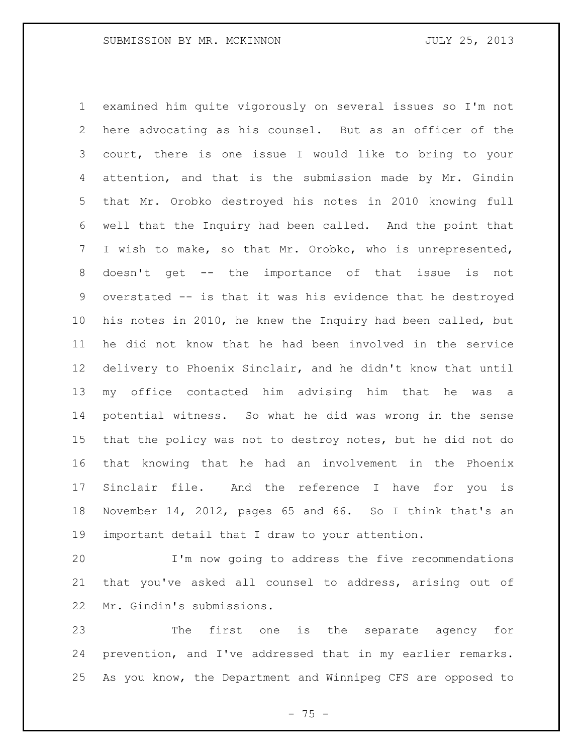examined him quite vigorously on several issues so I'm not here advocating as his counsel. But as an officer of the court, there is one issue I would like to bring to your attention, and that is the submission made by Mr. Gindin that Mr. Orobko destroyed his notes in 2010 knowing full well that the Inquiry had been called. And the point that I wish to make, so that Mr. Orobko, who is unrepresented, doesn't get -- the importance of that issue is not overstated -- is that it was his evidence that he destroyed his notes in 2010, he knew the Inquiry had been called, but he did not know that he had been involved in the service delivery to Phoenix Sinclair, and he didn't know that until my office contacted him advising him that he was a potential witness. So what he did was wrong in the sense that the policy was not to destroy notes, but he did not do that knowing that he had an involvement in the Phoenix Sinclair file. And the reference I have for you is November 14, 2012, pages 65 and 66. So I think that's an important detail that I draw to your attention.

 I'm now going to address the five recommendations that you've asked all counsel to address, arising out of Mr. Gindin's submissions.

 The first one is the separate agency for prevention, and I've addressed that in my earlier remarks. As you know, the Department and Winnipeg CFS are opposed to

 $- 75 -$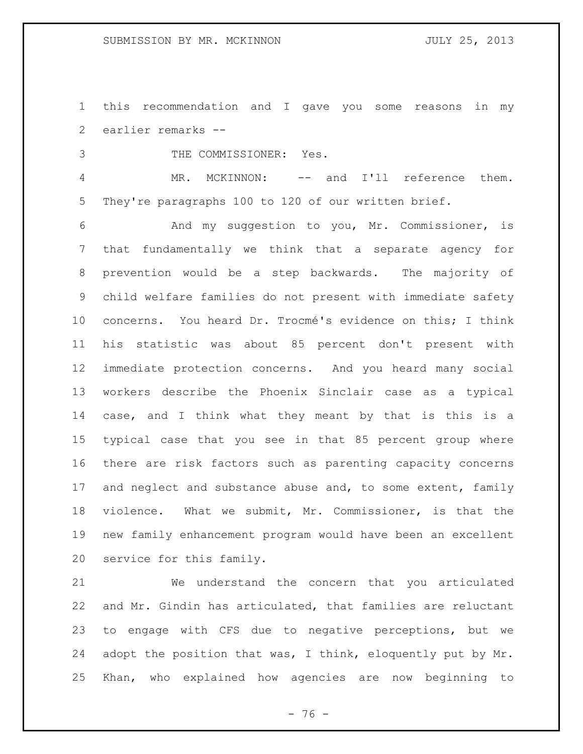this recommendation and I gave you some reasons in my earlier remarks --

THE COMMISSIONER: Yes.

 MR. MCKINNON: -- and I'll reference them. They're paragraphs 100 to 120 of our written brief.

 And my suggestion to you, Mr. Commissioner, is that fundamentally we think that a separate agency for prevention would be a step backwards. The majority of child welfare families do not present with immediate safety concerns. You heard Dr. Trocmé's evidence on this; I think his statistic was about 85 percent don't present with immediate protection concerns. And you heard many social workers describe the Phoenix Sinclair case as a typical case, and I think what they meant by that is this is a typical case that you see in that 85 percent group where there are risk factors such as parenting capacity concerns 17 and neglect and substance abuse and, to some extent, family violence. What we submit, Mr. Commissioner, is that the new family enhancement program would have been an excellent service for this family.

 We understand the concern that you articulated and Mr. Gindin has articulated, that families are reluctant to engage with CFS due to negative perceptions, but we adopt the position that was, I think, eloquently put by Mr. Khan, who explained how agencies are now beginning to

 $- 76 -$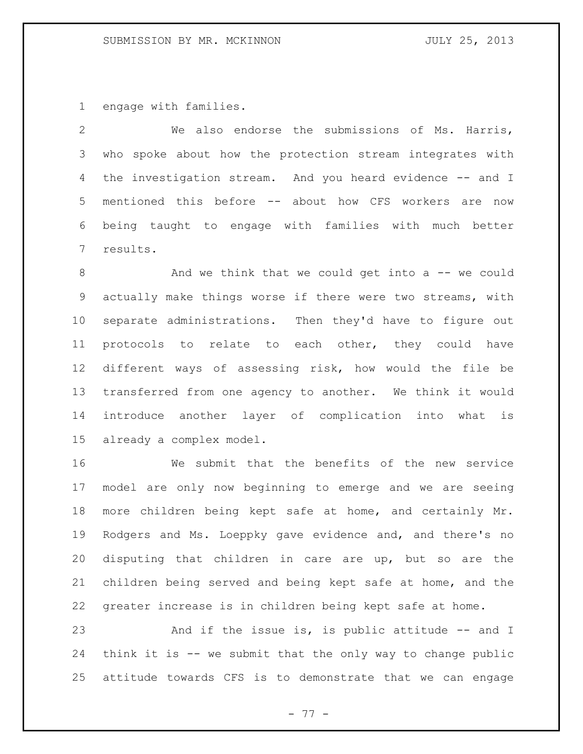engage with families.

 We also endorse the submissions of Ms. Harris, who spoke about how the protection stream integrates with 4 the investigation stream. And you heard evidence -- and I mentioned this before -- about how CFS workers are now being taught to engage with families with much better results.

8 And we think that we could get into a -- we could actually make things worse if there were two streams, with separate administrations. Then they'd have to figure out protocols to relate to each other, they could have different ways of assessing risk, how would the file be transferred from one agency to another. We think it would introduce another layer of complication into what is already a complex model.

 We submit that the benefits of the new service model are only now beginning to emerge and we are seeing more children being kept safe at home, and certainly Mr. Rodgers and Ms. Loeppky gave evidence and, and there's no disputing that children in care are up, but so are the children being served and being kept safe at home, and the greater increase is in children being kept safe at home.

23 And if the issue is, is public attitude -- and I think it is -- we submit that the only way to change public attitude towards CFS is to demonstrate that we can engage

- 77 -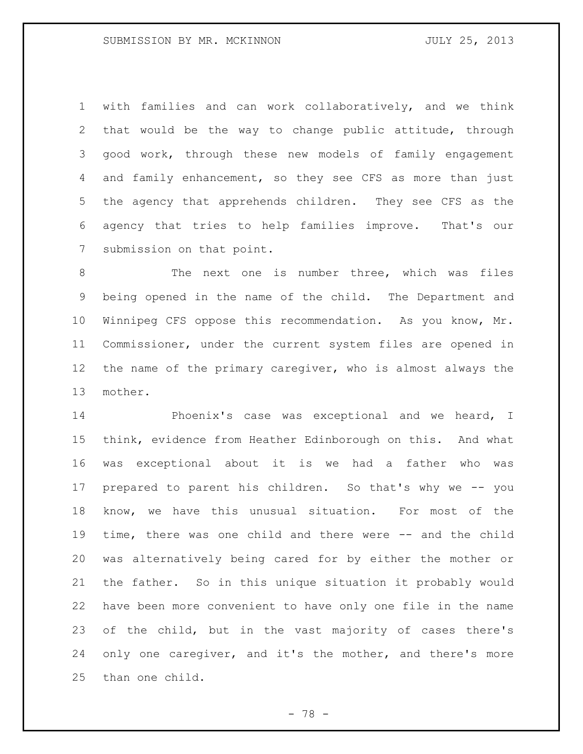with families and can work collaboratively, and we think that would be the way to change public attitude, through good work, through these new models of family engagement and family enhancement, so they see CFS as more than just the agency that apprehends children. They see CFS as the agency that tries to help families improve. That's our submission on that point.

 The next one is number three, which was files being opened in the name of the child. The Department and Winnipeg CFS oppose this recommendation. As you know, Mr. Commissioner, under the current system files are opened in the name of the primary caregiver, who is almost always the mother.

 Phoenix's case was exceptional and we heard, I think, evidence from Heather Edinborough on this. And what was exceptional about it is we had a father who was prepared to parent his children. So that's why we -- you know, we have this unusual situation. For most of the time, there was one child and there were -- and the child was alternatively being cared for by either the mother or the father. So in this unique situation it probably would have been more convenient to have only one file in the name of the child, but in the vast majority of cases there's only one caregiver, and it's the mother, and there's more than one child.

- 78 -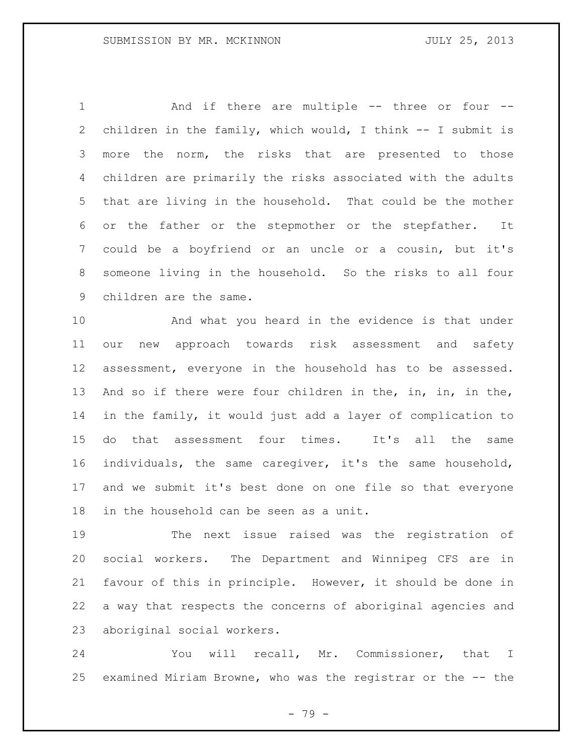1 And if there are multiple -- three or four -- children in the family, which would, I think -- I submit is more the norm, the risks that are presented to those children are primarily the risks associated with the adults that are living in the household. That could be the mother or the father or the stepmother or the stepfather. It could be a boyfriend or an uncle or a cousin, but it's someone living in the household. So the risks to all four children are the same.

 And what you heard in the evidence is that under our new approach towards risk assessment and safety assessment, everyone in the household has to be assessed. 13 And so if there were four children in the, in, in, in the, in the family, it would just add a layer of complication to do that assessment four times. It's all the same individuals, the same caregiver, it's the same household, and we submit it's best done on one file so that everyone in the household can be seen as a unit.

 The next issue raised was the registration of social workers. The Department and Winnipeg CFS are in favour of this in principle. However, it should be done in a way that respects the concerns of aboriginal agencies and aboriginal social workers.

 You will recall, Mr. Commissioner, that I examined Miriam Browne, who was the registrar or the -- the

- 79 -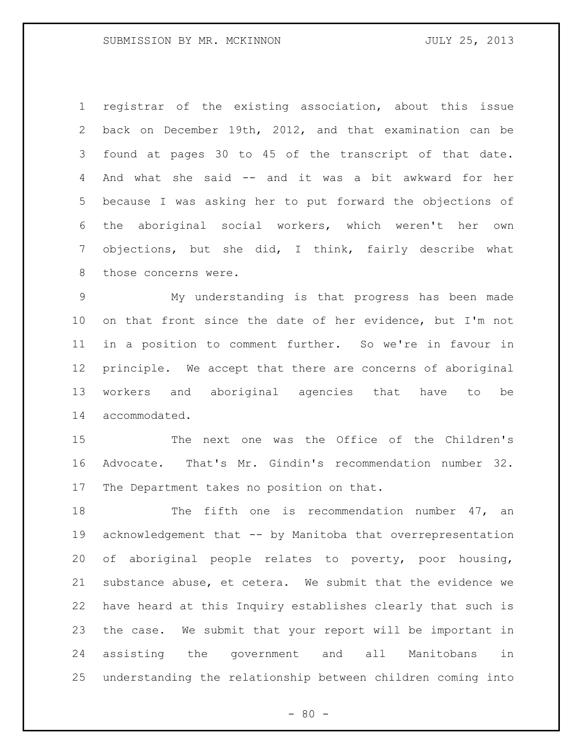registrar of the existing association, about this issue back on December 19th, 2012, and that examination can be found at pages 30 to 45 of the transcript of that date. And what she said -- and it was a bit awkward for her because I was asking her to put forward the objections of the aboriginal social workers, which weren't her own objections, but she did, I think, fairly describe what those concerns were.

 My understanding is that progress has been made on that front since the date of her evidence, but I'm not in a position to comment further. So we're in favour in principle. We accept that there are concerns of aboriginal workers and aboriginal agencies that have to be accommodated.

 The next one was the Office of the Children's Advocate. That's Mr. Gindin's recommendation number 32. The Department takes no position on that.

18 The fifth one is recommendation number 47, an acknowledgement that -- by Manitoba that overrepresentation of aboriginal people relates to poverty, poor housing, substance abuse, et cetera. We submit that the evidence we have heard at this Inquiry establishes clearly that such is the case. We submit that your report will be important in assisting the government and all Manitobans in understanding the relationship between children coming into

 $- 80 -$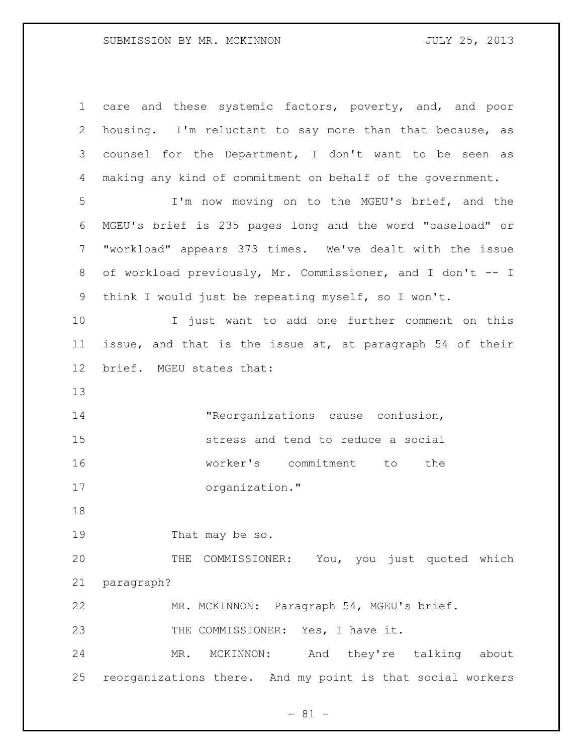care and these systemic factors, poverty, and, and poor housing. I'm reluctant to say more than that because, as counsel for the Department, I don't want to be seen as making any kind of commitment on behalf of the government. I'm now moving on to the MGEU's brief, and the MGEU's brief is 235 pages long and the word "caseload" or "workload" appears 373 times. We've dealt with the issue 8 of workload previously, Mr. Commissioner, and I don't -- I think I would just be repeating myself, so I won't. I just want to add one further comment on this issue, and that is the issue at, at paragraph 54 of their brief. MGEU states that: "Reorganizations cause confusion, stress and tend to reduce a social worker's commitment to the organization." 19 That may be so. THE COMMISSIONER: You, you just quoted which paragraph? MR. MCKINNON: Paragraph 54, MGEU's brief. 23 THE COMMISSIONER: Yes, I have it. MR. MCKINNON: And they're talking about reorganizations there. And my point is that social workers

- 81 -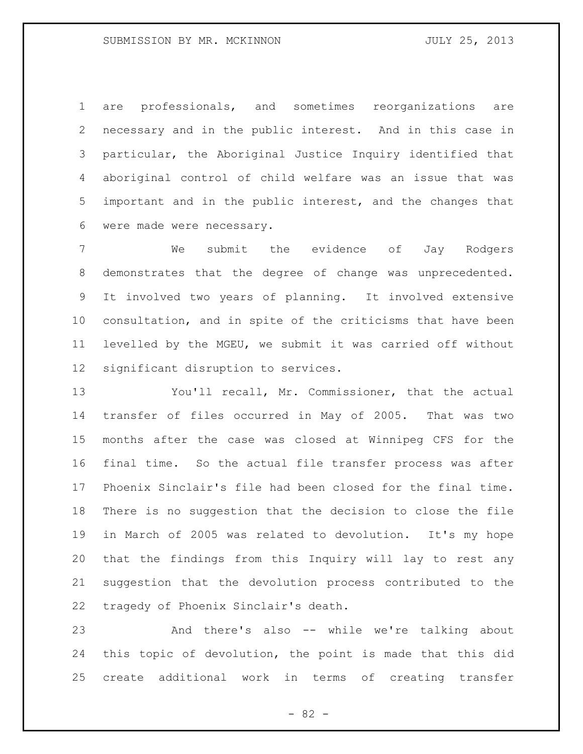are professionals, and sometimes reorganizations are necessary and in the public interest. And in this case in particular, the Aboriginal Justice Inquiry identified that aboriginal control of child welfare was an issue that was important and in the public interest, and the changes that were made were necessary.

 We submit the evidence of Jay Rodgers demonstrates that the degree of change was unprecedented. It involved two years of planning. It involved extensive consultation, and in spite of the criticisms that have been levelled by the MGEU, we submit it was carried off without significant disruption to services.

 You'll recall, Mr. Commissioner, that the actual transfer of files occurred in May of 2005. That was two months after the case was closed at Winnipeg CFS for the final time. So the actual file transfer process was after Phoenix Sinclair's file had been closed for the final time. There is no suggestion that the decision to close the file in March of 2005 was related to devolution. It's my hope that the findings from this Inquiry will lay to rest any suggestion that the devolution process contributed to the tragedy of Phoenix Sinclair's death.

 And there's also -- while we're talking about this topic of devolution, the point is made that this did create additional work in terms of creating transfer

- 82 -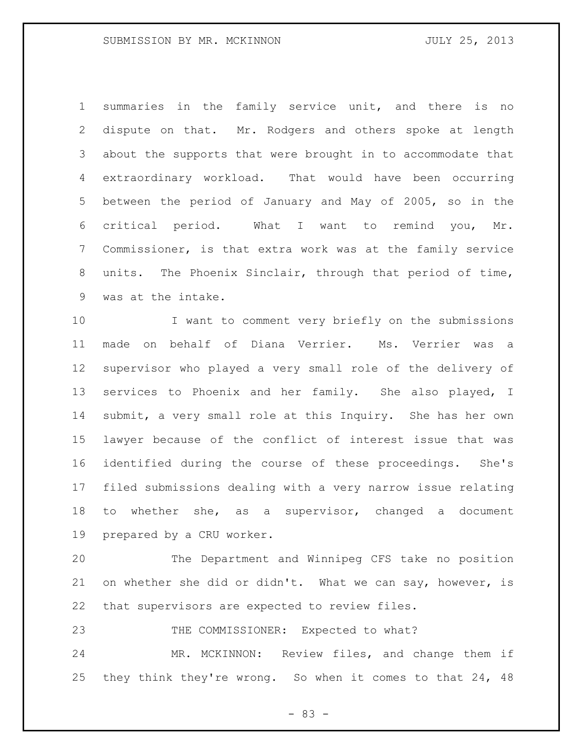summaries in the family service unit, and there is no dispute on that. Mr. Rodgers and others spoke at length about the supports that were brought in to accommodate that extraordinary workload. That would have been occurring between the period of January and May of 2005, so in the critical period. What I want to remind you, Mr. Commissioner, is that extra work was at the family service units. The Phoenix Sinclair, through that period of time, was at the intake.

 I want to comment very briefly on the submissions made on behalf of Diana Verrier. Ms. Verrier was a supervisor who played a very small role of the delivery of services to Phoenix and her family. She also played, I submit, a very small role at this Inquiry. She has her own lawyer because of the conflict of interest issue that was identified during the course of these proceedings. She's filed submissions dealing with a very narrow issue relating to whether she, as a supervisor, changed a document prepared by a CRU worker.

 The Department and Winnipeg CFS take no position 21 on whether she did or didn't. What we can say, however, is that supervisors are expected to review files.

23 THE COMMISSIONER: Expected to what?

 MR. MCKINNON: Review files, and change them if they think they're wrong. So when it comes to that 24, 48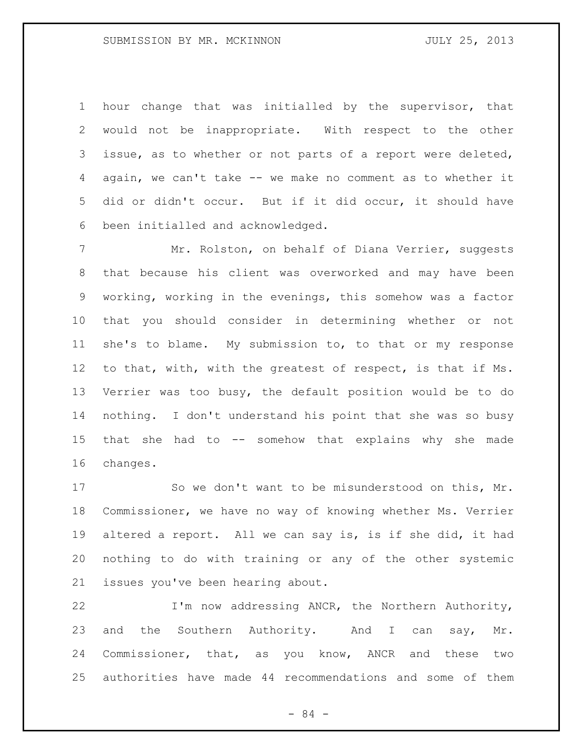hour change that was initialled by the supervisor, that would not be inappropriate. With respect to the other issue, as to whether or not parts of a report were deleted, again, we can't take -- we make no comment as to whether it did or didn't occur. But if it did occur, it should have been initialled and acknowledged.

7 Mr. Rolston, on behalf of Diana Verrier, suggests that because his client was overworked and may have been working, working in the evenings, this somehow was a factor that you should consider in determining whether or not she's to blame. My submission to, to that or my response to that, with, with the greatest of respect, is that if Ms. Verrier was too busy, the default position would be to do nothing. I don't understand his point that she was so busy that she had to -- somehow that explains why she made changes.

 So we don't want to be misunderstood on this, Mr. Commissioner, we have no way of knowing whether Ms. Verrier altered a report. All we can say is, is if she did, it had nothing to do with training or any of the other systemic issues you've been hearing about.

 I'm now addressing ANCR, the Northern Authority, 23 and the Southern Authority. And I can say, Mr. Commissioner, that, as you know, ANCR and these two authorities have made 44 recommendations and some of them

- 84 -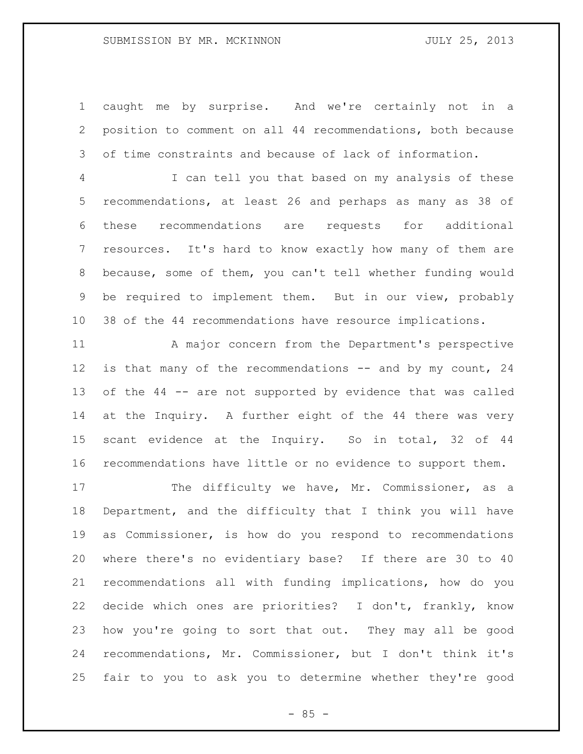caught me by surprise. And we're certainly not in a position to comment on all 44 recommendations, both because of time constraints and because of lack of information.

 I can tell you that based on my analysis of these recommendations, at least 26 and perhaps as many as 38 of these recommendations are requests for additional resources. It's hard to know exactly how many of them are because, some of them, you can't tell whether funding would be required to implement them. But in our view, probably 38 of the 44 recommendations have resource implications.

 A major concern from the Department's perspective 12 is that many of the recommendations -- and by my count, 24 of the 44 -- are not supported by evidence that was called at the Inquiry. A further eight of the 44 there was very scant evidence at the Inquiry. So in total, 32 of 44 recommendations have little or no evidence to support them.

17 The difficulty we have, Mr. Commissioner, as a Department, and the difficulty that I think you will have as Commissioner, is how do you respond to recommendations where there's no evidentiary base? If there are 30 to 40 recommendations all with funding implications, how do you decide which ones are priorities? I don't, frankly, know how you're going to sort that out. They may all be good recommendations, Mr. Commissioner, but I don't think it's fair to you to ask you to determine whether they're good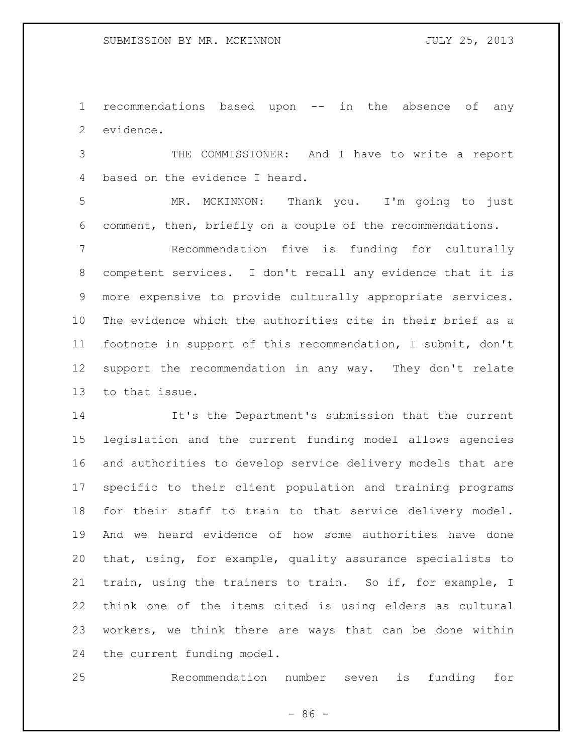recommendations based upon -- in the absence of any evidence.

 THE COMMISSIONER: And I have to write a report based on the evidence I heard.

 MR. MCKINNON: Thank you. I'm going to just comment, then, briefly on a couple of the recommendations.

 Recommendation five is funding for culturally competent services. I don't recall any evidence that it is more expensive to provide culturally appropriate services. The evidence which the authorities cite in their brief as a footnote in support of this recommendation, I submit, don't support the recommendation in any way. They don't relate to that issue.

 It's the Department's submission that the current legislation and the current funding model allows agencies and authorities to develop service delivery models that are specific to their client population and training programs for their staff to train to that service delivery model. And we heard evidence of how some authorities have done that, using, for example, quality assurance specialists to train, using the trainers to train. So if, for example, I think one of the items cited is using elders as cultural workers, we think there are ways that can be done within the current funding model.

Recommendation number seven is funding for

 $-86 -$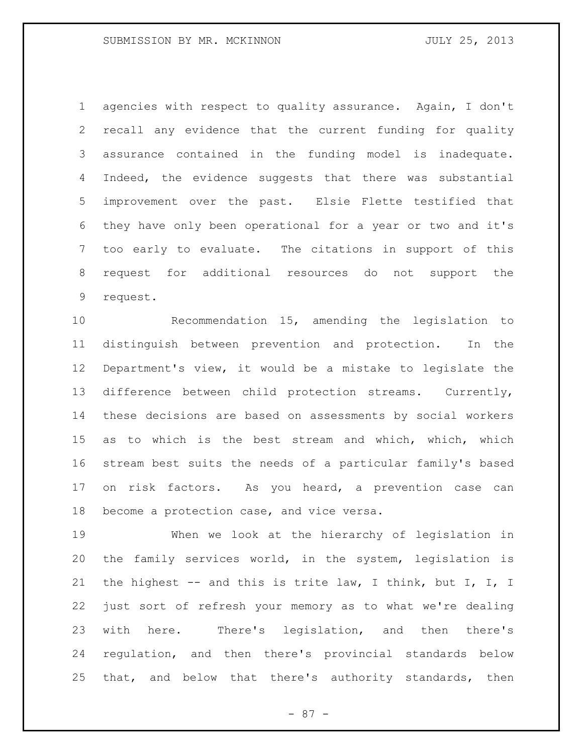agencies with respect to quality assurance. Again, I don't recall any evidence that the current funding for quality assurance contained in the funding model is inadequate. 4 Indeed, the evidence suggests that there was substantial improvement over the past. Elsie Flette testified that they have only been operational for a year or two and it's too early to evaluate. The citations in support of this request for additional resources do not support the request.

 Recommendation 15, amending the legislation to distinguish between prevention and protection. In the Department's view, it would be a mistake to legislate the difference between child protection streams. Currently, these decisions are based on assessments by social workers as to which is the best stream and which, which, which stream best suits the needs of a particular family's based on risk factors. As you heard, a prevention case can become a protection case, and vice versa.

 When we look at the hierarchy of legislation in the family services world, in the system, legislation is the highest -- and this is trite law, I think, but I, I, I just sort of refresh your memory as to what we're dealing with here. There's legislation, and then there's regulation, and then there's provincial standards below that, and below that there's authority standards, then

- 87 -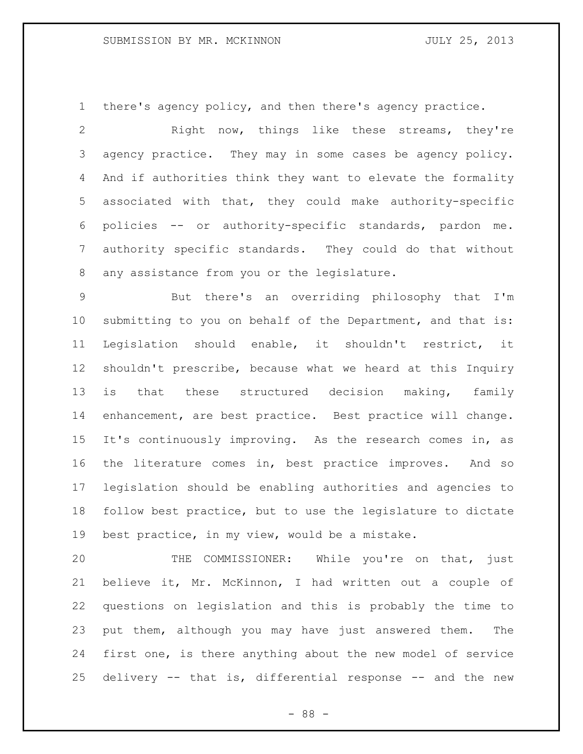there's agency policy, and then there's agency practice.

 Right now, things like these streams, they're agency practice. They may in some cases be agency policy. And if authorities think they want to elevate the formality associated with that, they could make authority-specific policies -- or authority-specific standards, pardon me. authority specific standards. They could do that without any assistance from you or the legislature.

 But there's an overriding philosophy that I'm submitting to you on behalf of the Department, and that is: Legislation should enable, it shouldn't restrict, it shouldn't prescribe, because what we heard at this Inquiry is that these structured decision making, family enhancement, are best practice. Best practice will change. It's continuously improving. As the research comes in, as the literature comes in, best practice improves. And so legislation should be enabling authorities and agencies to follow best practice, but to use the legislature to dictate best practice, in my view, would be a mistake.

 THE COMMISSIONER: While you're on that, just believe it, Mr. McKinnon, I had written out a couple of questions on legislation and this is probably the time to put them, although you may have just answered them. The first one, is there anything about the new model of service delivery -- that is, differential response -- and the new

- 88 -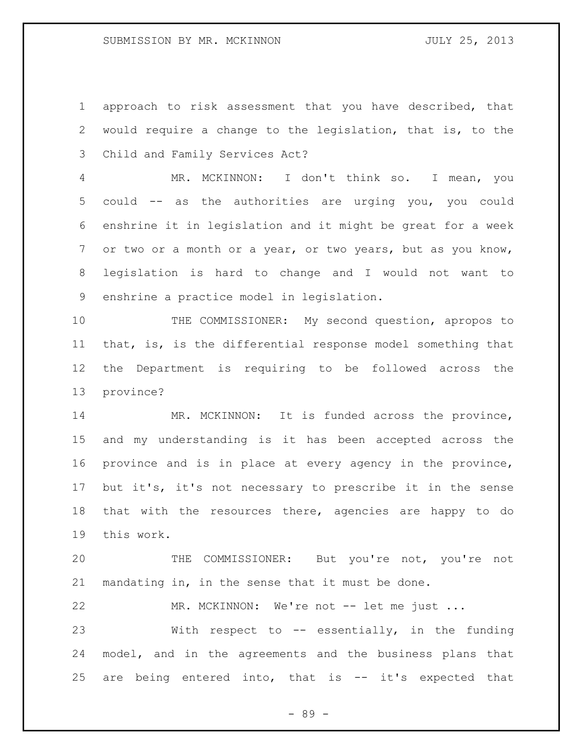approach to risk assessment that you have described, that would require a change to the legislation, that is, to the Child and Family Services Act?

 MR. MCKINNON: I don't think so. I mean, you could -- as the authorities are urging you, you could enshrine it in legislation and it might be great for a week or two or a month or a year, or two years, but as you know, legislation is hard to change and I would not want to enshrine a practice model in legislation.

10 THE COMMISSIONER: My second question, apropos to that, is, is the differential response model something that the Department is requiring to be followed across the province?

14 MR. MCKINNON: It is funded across the province, and my understanding is it has been accepted across the province and is in place at every agency in the province, but it's, it's not necessary to prescribe it in the sense that with the resources there, agencies are happy to do this work.

 THE COMMISSIONER: But you're not, you're not mandating in, in the sense that it must be done.

22 MR. MCKINNON: We're not -- let me just ...

 With respect to -- essentially, in the funding model, and in the agreements and the business plans that 25 are being entered into, that is -- it's expected that

- 89 -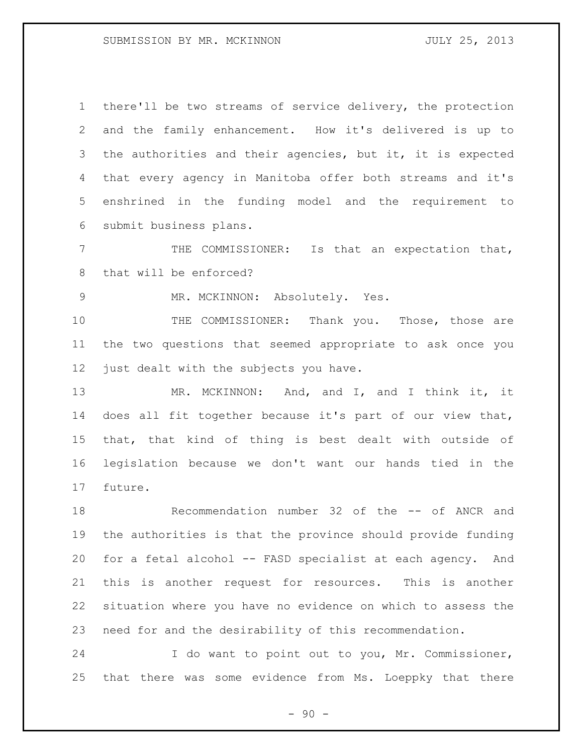there'll be two streams of service delivery, the protection and the family enhancement. How it's delivered is up to the authorities and their agencies, but it, it is expected that every agency in Manitoba offer both streams and it's enshrined in the funding model and the requirement to submit business plans.

 THE COMMISSIONER: Is that an expectation that, that will be enforced?

MR. MCKINNON: Absolutely. Yes.

 THE COMMISSIONER: Thank you. Those, those are the two questions that seemed appropriate to ask once you 12 just dealt with the subjects you have.

13 MR. MCKINNON: And, and I, and I think it, it does all fit together because it's part of our view that, that, that kind of thing is best dealt with outside of legislation because we don't want our hands tied in the future.

 Recommendation number 32 of the -- of ANCR and the authorities is that the province should provide funding for a fetal alcohol -- FASD specialist at each agency. And this is another request for resources. This is another situation where you have no evidence on which to assess the need for and the desirability of this recommendation.

 I do want to point out to you, Mr. Commissioner, that there was some evidence from Ms. Loeppky that there

 $-90 -$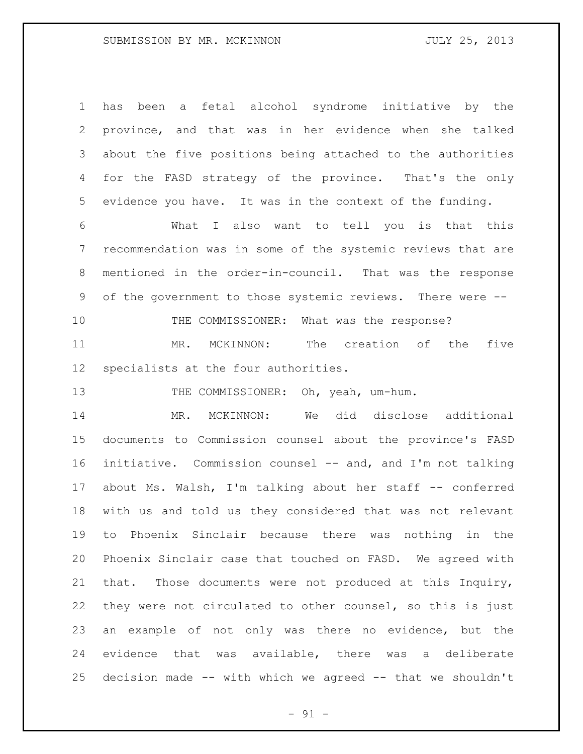has been a fetal alcohol syndrome initiative by the province, and that was in her evidence when she talked about the five positions being attached to the authorities for the FASD strategy of the province. That's the only evidence you have. It was in the context of the funding.

 What I also want to tell you is that this recommendation was in some of the systemic reviews that are mentioned in the order-in-council. That was the response of the government to those systemic reviews. There were -- 10 THE COMMISSIONER: What was the response?

 MR. MCKINNON: The creation of the five specialists at the four authorities.

13 THE COMMISSIONER: Oh, yeah, um-hum.

 MR. MCKINNON: We did disclose additional documents to Commission counsel about the province's FASD initiative. Commission counsel -- and, and I'm not talking about Ms. Walsh, I'm talking about her staff -- conferred with us and told us they considered that was not relevant to Phoenix Sinclair because there was nothing in the Phoenix Sinclair case that touched on FASD. We agreed with that. Those documents were not produced at this Inquiry, they were not circulated to other counsel, so this is just an example of not only was there no evidence, but the evidence that was available, there was a deliberate decision made -- with which we agreed -- that we shouldn't

 $-91 -$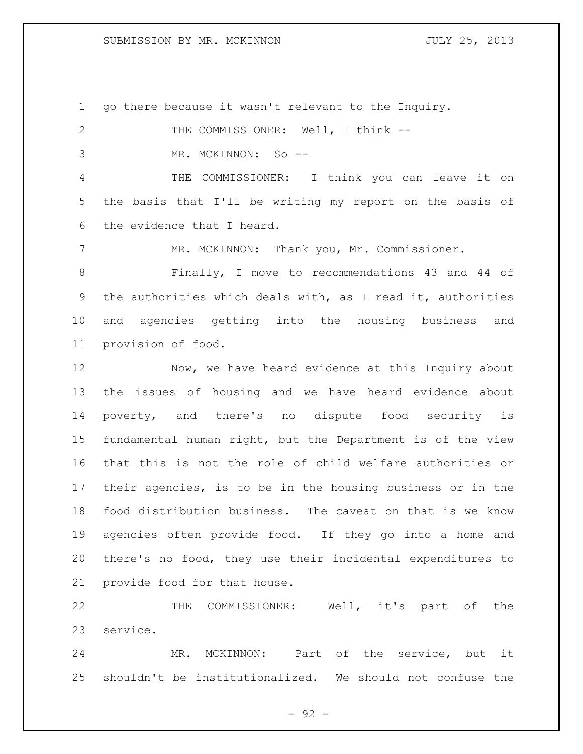go there because it wasn't relevant to the Inquiry.

2 THE COMMISSIONER: Well, I think -- MR. MCKINNON: So -- THE COMMISSIONER: I think you can leave it on the basis that I'll be writing my report on the basis of the evidence that I heard. MR. MCKINNON: Thank you, Mr. Commissioner. Finally, I move to recommendations 43 and 44 of the authorities which deals with, as I read it, authorities and agencies getting into the housing business and provision of food. 12 Now, we have heard evidence at this Inquiry about the issues of housing and we have heard evidence about poverty, and there's no dispute food security is fundamental human right, but the Department is of the view that this is not the role of child welfare authorities or their agencies, is to be in the housing business or in the food distribution business. The caveat on that is we know agencies often provide food. If they go into a home and there's no food, they use their incidental expenditures to provide food for that house.

 THE COMMISSIONER: Well, it's part of the service.

 MR. MCKINNON: Part of the service, but it shouldn't be institutionalized. We should not confuse the

 $-92 -$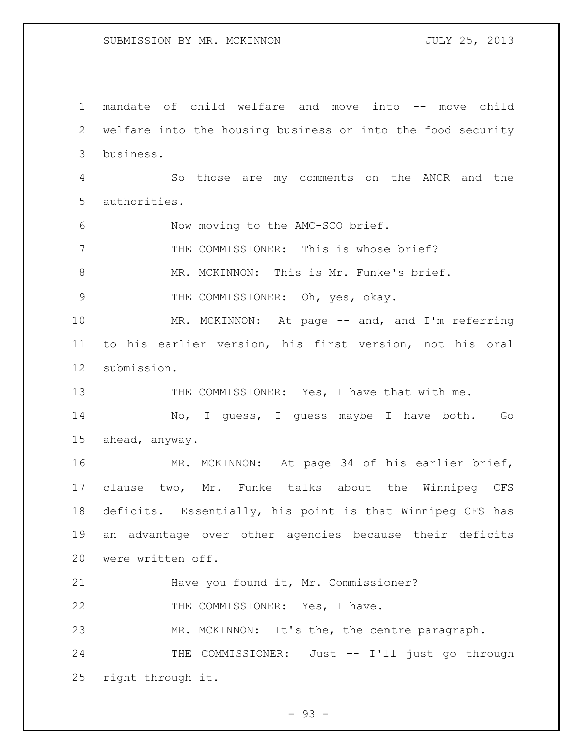mandate of child welfare and move into -- move child welfare into the housing business or into the food security business. So those are my comments on the ANCR and the authorities. Now moving to the AMC-SCO brief. THE COMMISSIONER: This is whose brief? MR. MCKINNON: This is Mr. Funke's brief. THE COMMISSIONER: Oh, yes, okay. 10 MR. MCKINNON: At page -- and, and I'm referring to his earlier version, his first version, not his oral submission. 13 THE COMMISSIONER: Yes, I have that with me. No, I guess, I guess maybe I have both. Go ahead, anyway. MR. MCKINNON: At page 34 of his earlier brief, clause two, Mr. Funke talks about the Winnipeg CFS deficits. Essentially, his point is that Winnipeg CFS has an advantage over other agencies because their deficits were written off. Have you found it, Mr. Commissioner? 22 THE COMMISSIONER: Yes, I have. MR. MCKINNON: It's the, the centre paragraph. 24 THE COMMISSIONER: Just -- I'll just go through right through it.

 $-93 -$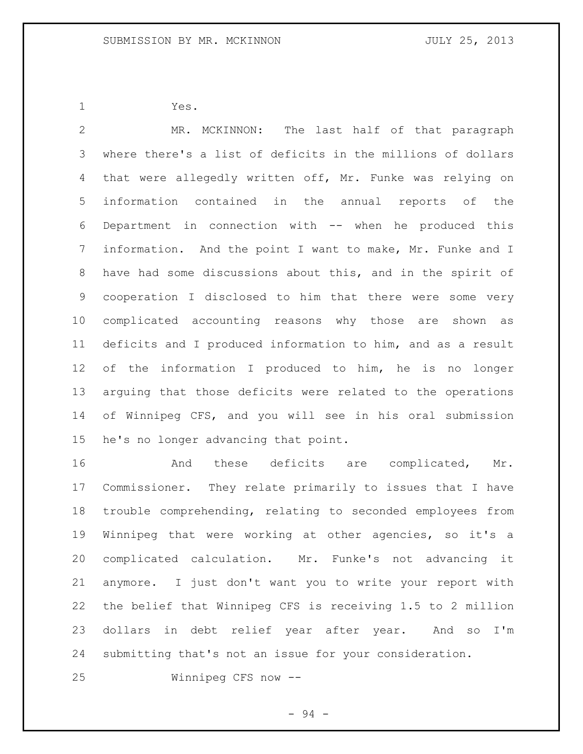Yes.

 MR. MCKINNON: The last half of that paragraph where there's a list of deficits in the millions of dollars that were allegedly written off, Mr. Funke was relying on information contained in the annual reports of the Department in connection with -- when he produced this information. And the point I want to make, Mr. Funke and I have had some discussions about this, and in the spirit of cooperation I disclosed to him that there were some very complicated accounting reasons why those are shown as deficits and I produced information to him, and as a result of the information I produced to him, he is no longer arguing that those deficits were related to the operations of Winnipeg CFS, and you will see in his oral submission he's no longer advancing that point.

 And these deficits are complicated, Mr. Commissioner. They relate primarily to issues that I have trouble comprehending, relating to seconded employees from Winnipeg that were working at other agencies, so it's a complicated calculation. Mr. Funke's not advancing it anymore. I just don't want you to write your report with the belief that Winnipeg CFS is receiving 1.5 to 2 million dollars in debt relief year after year. And so I'm submitting that's not an issue for your consideration.

Winnipeg CFS now --

- 94 -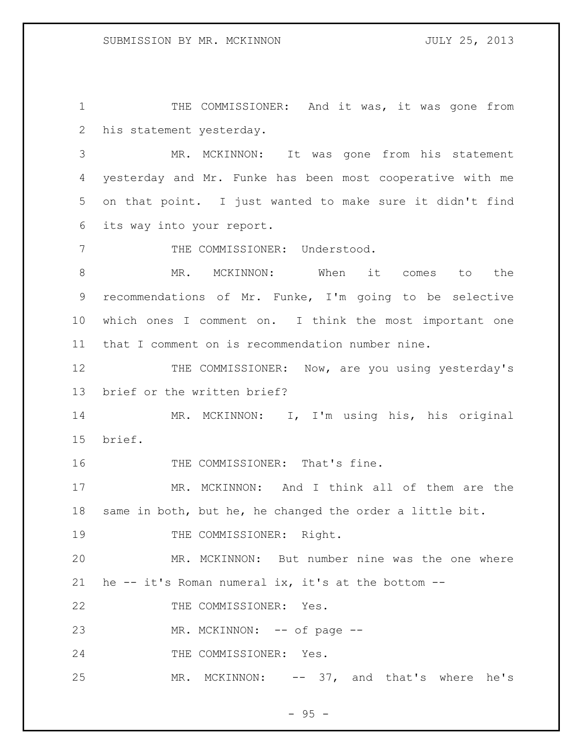THE COMMISSIONER: And it was, it was gone from his statement yesterday.

 MR. MCKINNON: It was gone from his statement yesterday and Mr. Funke has been most cooperative with me on that point. I just wanted to make sure it didn't find its way into your report.

7 THE COMMISSIONER: Understood.

8 MR. MCKINNON: When it comes to the recommendations of Mr. Funke, I'm going to be selective which ones I comment on. I think the most important one that I comment on is recommendation number nine.

12 THE COMMISSIONER: Now, are you using yesterday's brief or the written brief?

 MR. MCKINNON: I, I'm using his, his original brief.

THE COMMISSIONER: That's fine.

 MR. MCKINNON: And I think all of them are the same in both, but he, he changed the order a little bit.

19 THE COMMISSIONER: Right.

 MR. MCKINNON: But number nine was the one where he -- it's Roman numeral ix, it's at the bottom --

22 THE COMMISSIONER: Yes.

23 MR. MCKINNON: -- of page --

24 THE COMMISSIONER: Yes.

25 MR. MCKINNON: -- 37, and that's where he's

 $-95 -$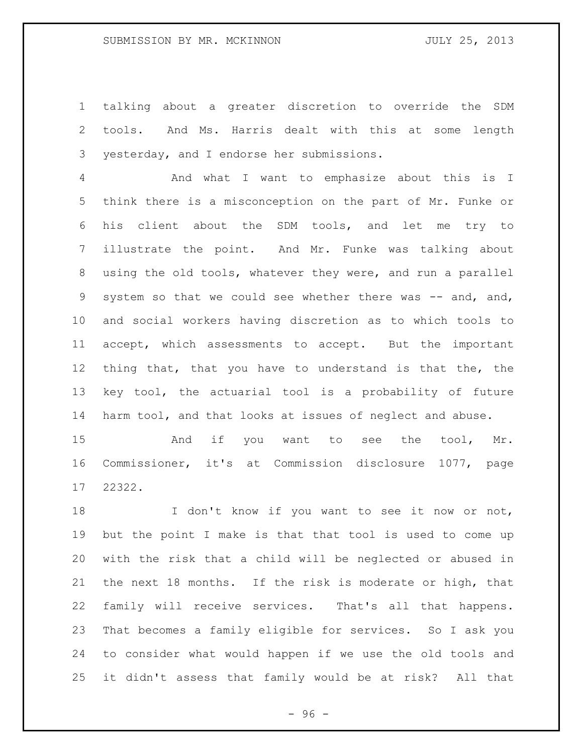talking about a greater discretion to override the SDM tools. And Ms. Harris dealt with this at some length yesterday, and I endorse her submissions.

 And what I want to emphasize about this is I think there is a misconception on the part of Mr. Funke or his client about the SDM tools, and let me try to illustrate the point. And Mr. Funke was talking about using the old tools, whatever they were, and run a parallel 9 system so that we could see whether there was -- and, and, and social workers having discretion as to which tools to accept, which assessments to accept. But the important thing that, that you have to understand is that the, the key tool, the actuarial tool is a probability of future harm tool, and that looks at issues of neglect and abuse.

15 And if you want to see the tool, Mr. Commissioner, it's at Commission disclosure 1077, page 22322.

18 I don't know if you want to see it now or not, but the point I make is that that tool is used to come up with the risk that a child will be neglected or abused in the next 18 months. If the risk is moderate or high, that family will receive services. That's all that happens. That becomes a family eligible for services. So I ask you to consider what would happen if we use the old tools and it didn't assess that family would be at risk? All that

 $-96 -$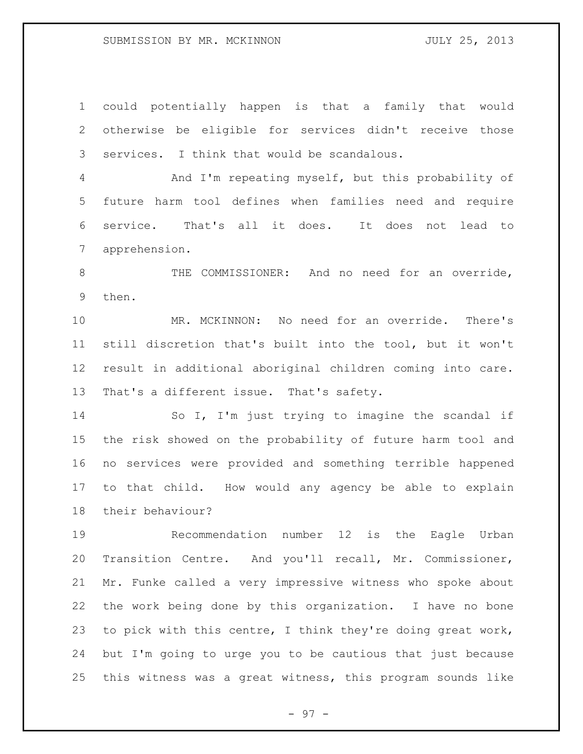could potentially happen is that a family that would otherwise be eligible for services didn't receive those services. I think that would be scandalous. And I'm repeating myself, but this probability of future harm tool defines when families need and require service. That's all it does. It does not lead to apprehension. 8 THE COMMISSIONER: And no need for an override, then. MR. MCKINNON: No need for an override. There's still discretion that's built into the tool, but it won't

 result in additional aboriginal children coming into care. That's a different issue. That's safety.

 So I, I'm just trying to imagine the scandal if the risk showed on the probability of future harm tool and no services were provided and something terrible happened to that child. How would any agency be able to explain their behaviour?

 Recommendation number 12 is the Eagle Urban Transition Centre. And you'll recall, Mr. Commissioner, Mr. Funke called a very impressive witness who spoke about the work being done by this organization. I have no bone to pick with this centre, I think they're doing great work, but I'm going to urge you to be cautious that just because this witness was a great witness, this program sounds like

- 97 -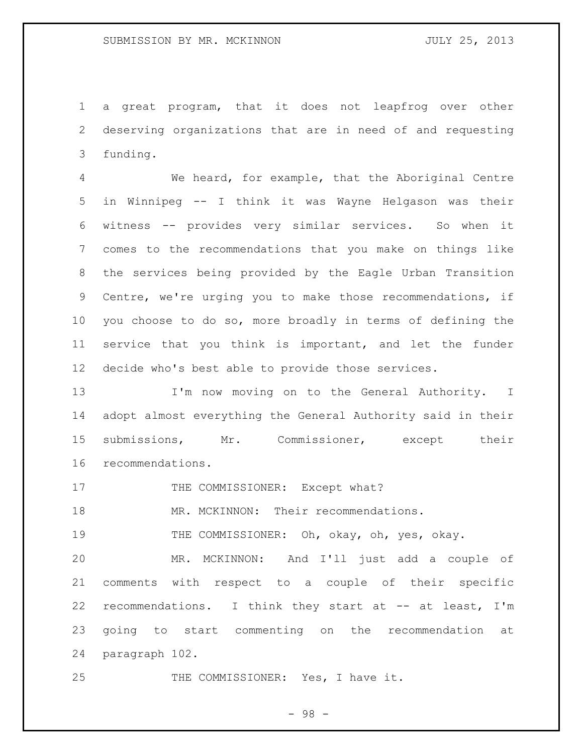a great program, that it does not leapfrog over other deserving organizations that are in need of and requesting funding.

 We heard, for example, that the Aboriginal Centre in Winnipeg -- I think it was Wayne Helgason was their witness -- provides very similar services. So when it comes to the recommendations that you make on things like the services being provided by the Eagle Urban Transition Centre, we're urging you to make those recommendations, if you choose to do so, more broadly in terms of defining the service that you think is important, and let the funder decide who's best able to provide those services.

13 I'm now moving on to the General Authority. I adopt almost everything the General Authority said in their submissions, Mr. Commissioner, except their recommendations.

17 THE COMMISSIONER: Except what?

18 MR. MCKINNON: Their recommendations.

THE COMMISSIONER: Oh, okay, oh, yes, okay.

 MR. MCKINNON: And I'll just add a couple of comments with respect to a couple of their specific 22 recommendations. I think they start at -- at least, I'm going to start commenting on the recommendation at paragraph 102.

25 THE COMMISSIONER: Yes, I have it.

- 98 -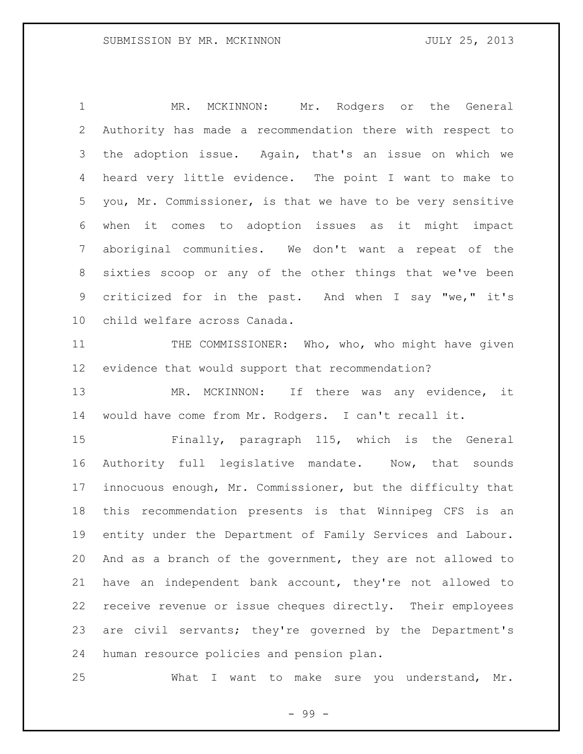MR. MCKINNON: Mr. Rodgers or the General Authority has made a recommendation there with respect to the adoption issue. Again, that's an issue on which we heard very little evidence. The point I want to make to you, Mr. Commissioner, is that we have to be very sensitive when it comes to adoption issues as it might impact aboriginal communities. We don't want a repeat of the sixties scoop or any of the other things that we've been criticized for in the past. And when I say "we," it's child welfare across Canada.

11 THE COMMISSIONER: Who, who, who might have given evidence that would support that recommendation?

 MR. MCKINNON: If there was any evidence, it would have come from Mr. Rodgers. I can't recall it.

 Finally, paragraph 115, which is the General Authority full legislative mandate. Now, that sounds innocuous enough, Mr. Commissioner, but the difficulty that this recommendation presents is that Winnipeg CFS is an entity under the Department of Family Services and Labour. And as a branch of the government, they are not allowed to have an independent bank account, they're not allowed to receive revenue or issue cheques directly. Their employees are civil servants; they're governed by the Department's human resource policies and pension plan.

What I want to make sure you understand, Mr.

- 99 -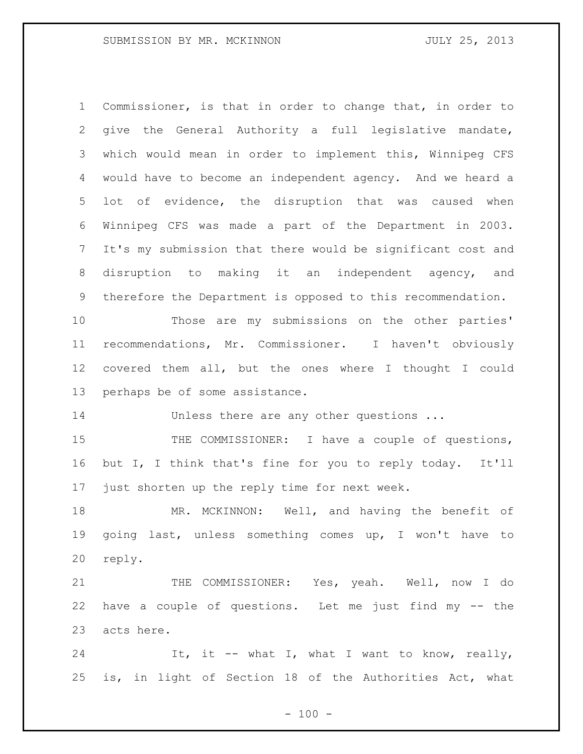Commissioner, is that in order to change that, in order to give the General Authority a full legislative mandate, which would mean in order to implement this, Winnipeg CFS would have to become an independent agency. And we heard a lot of evidence, the disruption that was caused when Winnipeg CFS was made a part of the Department in 2003. It's my submission that there would be significant cost and disruption to making it an independent agency, and therefore the Department is opposed to this recommendation. Those are my submissions on the other parties' recommendations, Mr. Commissioner. I haven't obviously covered them all, but the ones where I thought I could perhaps be of some assistance. 14 Unless there are any other questions ... 15 THE COMMISSIONER: I have a couple of questions, but I, I think that's fine for you to reply today. It'll just shorten up the reply time for next week. MR. MCKINNON: Well, and having the benefit of going last, unless something comes up, I won't have to reply. 21 THE COMMISSIONER: Yes, yeah. Well, now I do have a couple of questions. Let me just find my -- the acts here. 24 It, it -- what I, what I want to know, really, is, in light of Section 18 of the Authorities Act, what

 $- 100 -$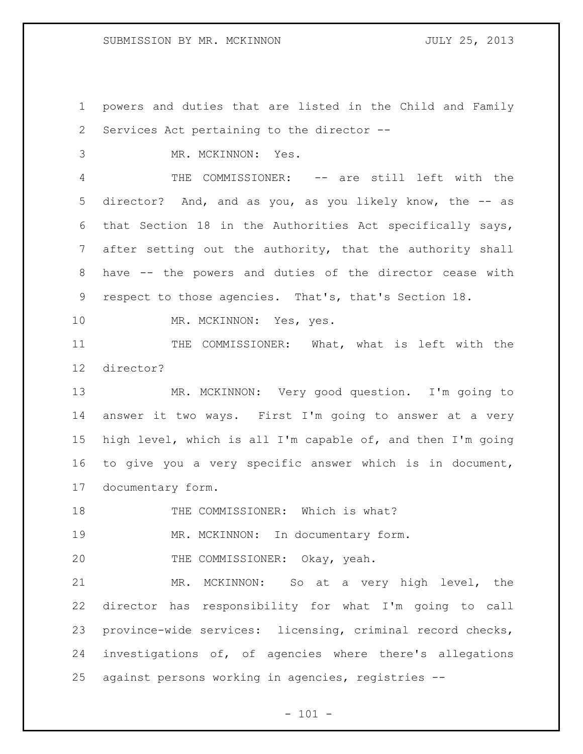powers and duties that are listed in the Child and Family Services Act pertaining to the director -- MR. MCKINNON: Yes. THE COMMISSIONER: -- are still left with the director? And, and as you, as you likely know, the -- as that Section 18 in the Authorities Act specifically says, after setting out the authority, that the authority shall have -- the powers and duties of the director cease with respect to those agencies. That's, that's Section 18. 10 MR. MCKINNON: Yes, yes. THE COMMISSIONER: What, what is left with the director? MR. MCKINNON: Very good question. I'm going to answer it two ways. First I'm going to answer at a very high level, which is all I'm capable of, and then I'm going to give you a very specific answer which is in document, documentary form. 18 THE COMMISSIONER: Which is what? MR. MCKINNON: In documentary form. 20 THE COMMISSIONER: Okay, yeah. MR. MCKINNON: So at a very high level, the director has responsibility for what I'm going to call province-wide services: licensing, criminal record checks, investigations of, of agencies where there's allegations against persons working in agencies, registries --

 $- 101 -$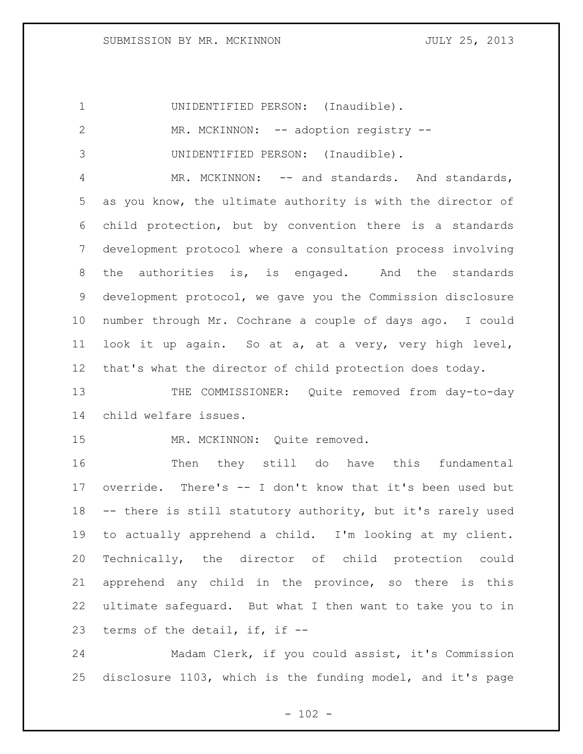UNIDENTIFIED PERSON: (Inaudible). 2 MR. MCKINNON: -- adoption registry -- UNIDENTIFIED PERSON: (Inaudible). 4 MR. MCKINNON: -- and standards. And standards, as you know, the ultimate authority is with the director of child protection, but by convention there is a standards development protocol where a consultation process involving the authorities is, is engaged. And the standards development protocol, we gave you the Commission disclosure number through Mr. Cochrane a couple of days ago. I could look it up again. So at a, at a very, very high level, that's what the director of child protection does today. 13 THE COMMISSIONER: Quite removed from day-to-day child welfare issues. 15 MR. MCKINNON: Quite removed. Then they still do have this fundamental override. There's -- I don't know that it's been used but -- there is still statutory authority, but it's rarely used to actually apprehend a child. I'm looking at my client.

 Technically, the director of child protection could apprehend any child in the province, so there is this ultimate safeguard. But what I then want to take you to in terms of the detail, if, if --

 Madam Clerk, if you could assist, it's Commission disclosure 1103, which is the funding model, and it's page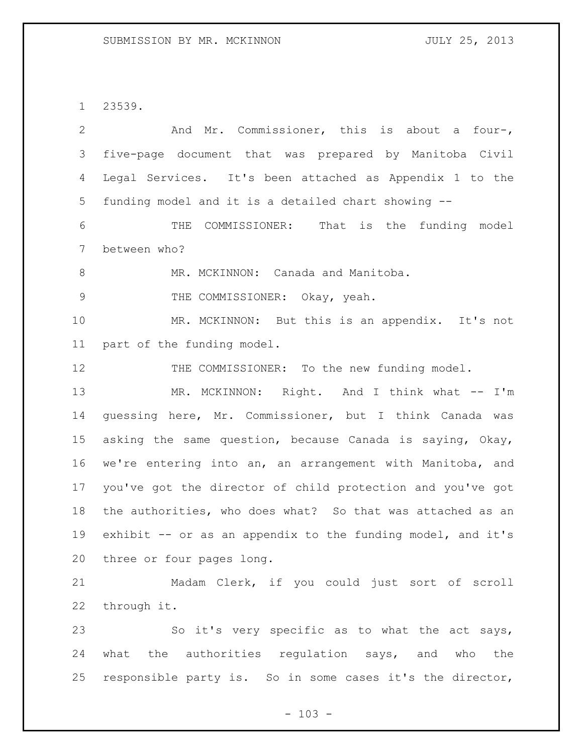23539.

| 2  | And Mr. Commissioner, this is about a four-,                |
|----|-------------------------------------------------------------|
| 3  | five-page document that was prepared by Manitoba Civil      |
| 4  | Legal Services. It's been attached as Appendix 1 to the     |
| 5  | funding model and it is a detailed chart showing --         |
| 6  | COMMISSIONER: That is the funding model<br>THE              |
| 7  | between who?                                                |
| 8  | MR. MCKINNON: Canada and Manitoba.                          |
| 9  | THE COMMISSIONER: Okay, yeah.                               |
| 10 | MR. MCKINNON: But this is an appendix. It's not             |
| 11 | part of the funding model.                                  |
| 12 | THE COMMISSIONER: To the new funding model.                 |
| 13 | MR. MCKINNON: Right. And I think what -- I'm                |
| 14 | guessing here, Mr. Commissioner, but I think Canada was     |
| 15 | asking the same question, because Canada is saying, Okay,   |
| 16 | we're entering into an, an arrangement with Manitoba, and   |
| 17 | you've got the director of child protection and you've got  |
| 18 | the authorities, who does what? So that was attached as an  |
| 19 | exhibit -- or as an appendix to the funding model, and it's |
| 20 | three or four pages long.                                   |
| 21 | Madam Clerk, if you could just sort of scroll               |
| 22 | through it.                                                 |
| 23 | So it's very specific as to what the act says,              |
| 24 | what the authorities regulation says, and who the           |
| 25 | responsible party is. So in some cases it's the director,   |

- 103 -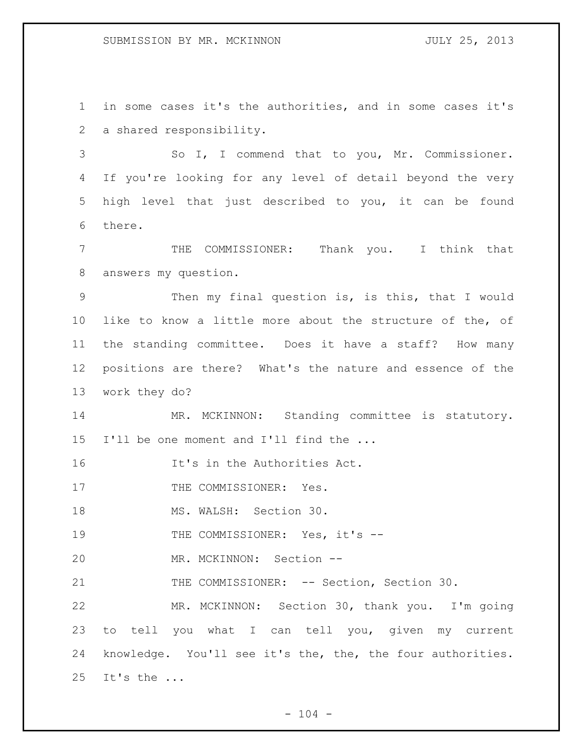in some cases it's the authorities, and in some cases it's a shared responsibility.

 So I, I commend that to you, Mr. Commissioner. If you're looking for any level of detail beyond the very high level that just described to you, it can be found there.

 THE COMMISSIONER: Thank you. I think that answers my question.

 Then my final question is, is this, that I would like to know a little more about the structure of the, of the standing committee. Does it have a staff? How many positions are there? What's the nature and essence of the work they do?

14 MR. MCKINNON: Standing committee is statutory. I'll be one moment and I'll find the ...

It's in the Authorities Act.

17 THE COMMISSIONER: Yes.

18 MS. WALSH: Section 30.

19 THE COMMISSIONER: Yes, it's --

MR. MCKINNON: Section --

21 THE COMMISSIONER: -- Section, Section 30.

 MR. MCKINNON: Section 30, thank you. I'm going to tell you what I can tell you, given my current knowledge. You'll see it's the, the, the four authorities. It's the ...

 $- 104 -$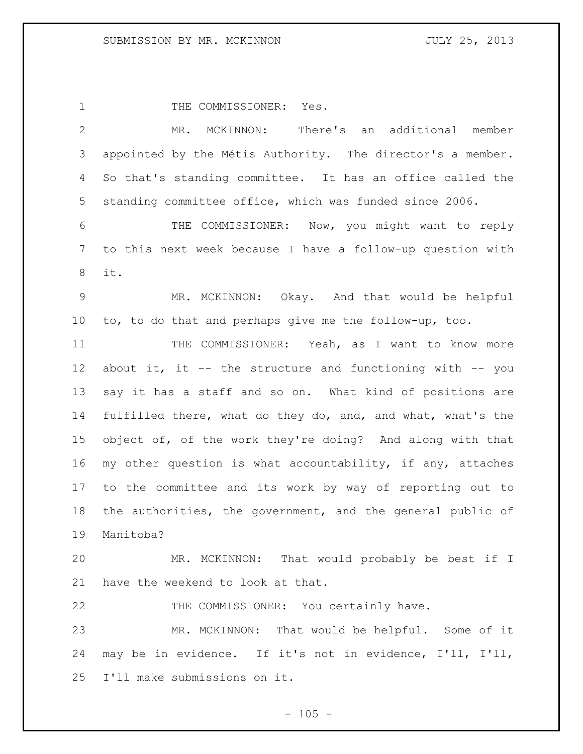1 THE COMMISSIONER: Yes. MR. MCKINNON: There's an additional member appointed by the Métis Authority. The director's a member. So that's standing committee. It has an office called the standing committee office, which was funded since 2006. THE COMMISSIONER: Now, you might want to reply to this next week because I have a follow-up question with it. MR. MCKINNON: Okay. And that would be helpful to, to do that and perhaps give me the follow-up, too. 11 THE COMMISSIONER: Yeah, as I want to know more about it, it -- the structure and functioning with -- you say it has a staff and so on. What kind of positions are fulfilled there, what do they do, and, and what, what's the object of, of the work they're doing? And along with that my other question is what accountability, if any, attaches to the committee and its work by way of reporting out to the authorities, the government, and the general public of Manitoba? MR. MCKINNON: That would probably be best if I have the weekend to look at that. THE COMMISSIONER: You certainly have. MR. MCKINNON: That would be helpful. Some of it may be in evidence. If it's not in evidence, I'll, I'll, I'll make submissions on it.

 $- 105 -$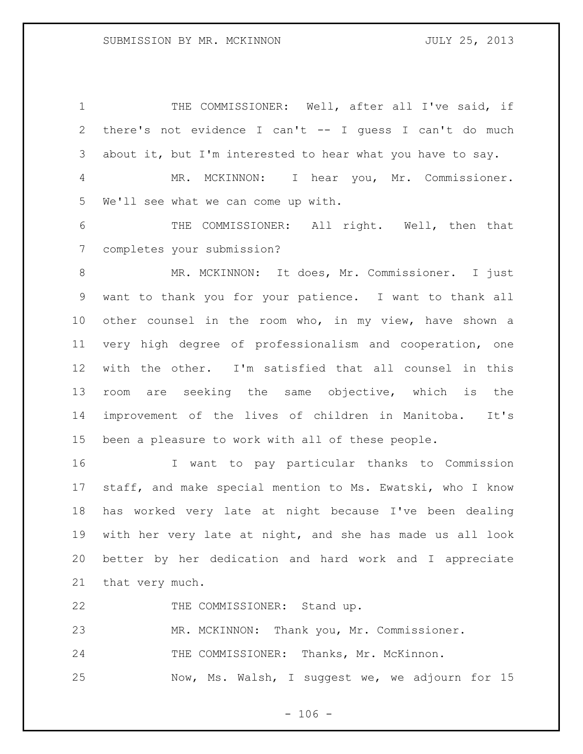1 THE COMMISSIONER: Well, after all I've said, if there's not evidence I can't -- I guess I can't do much about it, but I'm interested to hear what you have to say. MR. MCKINNON: I hear you, Mr. Commissioner. We'll see what we can come up with.

 THE COMMISSIONER: All right. Well, then that completes your submission?

 MR. MCKINNON: It does, Mr. Commissioner. I just want to thank you for your patience. I want to thank all other counsel in the room who, in my view, have shown a very high degree of professionalism and cooperation, one with the other. I'm satisfied that all counsel in this room are seeking the same objective, which is the improvement of the lives of children in Manitoba. It's been a pleasure to work with all of these people.

 I want to pay particular thanks to Commission staff, and make special mention to Ms. Ewatski, who I know has worked very late at night because I've been dealing with her very late at night, and she has made us all look better by her dedication and hard work and I appreciate that very much.

22 THE COMMISSIONER: Stand up.

MR. MCKINNON: Thank you, Mr. Commissioner.

24 THE COMMISSIONER: Thanks, Mr. McKinnon.

Now, Ms. Walsh, I suggest we, we adjourn for 15

 $- 106 -$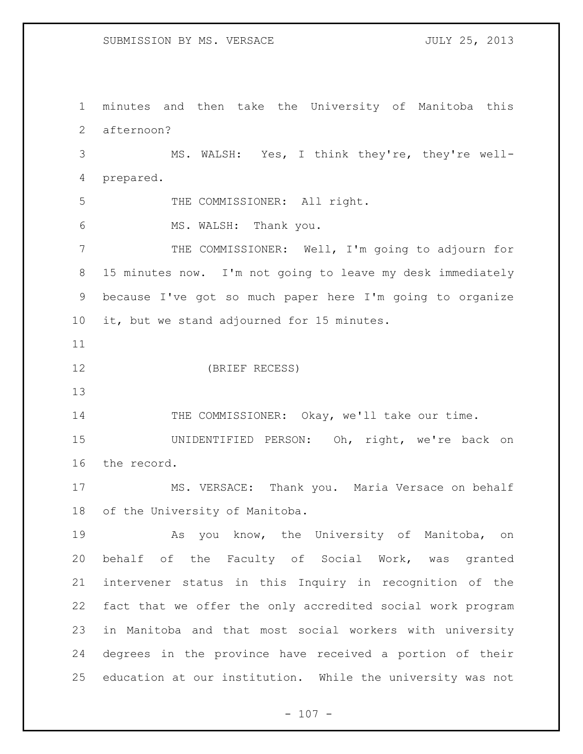SUBMISSION BY MS. VERSACE JULY 25, 2013

 minutes and then take the University of Manitoba this afternoon?

 MS. WALSH: Yes, I think they're, they're well-prepared.

5 THE COMMISSIONER: All right.

MS. WALSH: Thank you.

 THE COMMISSIONER: Well, I'm going to adjourn for 15 minutes now. I'm not going to leave my desk immediately because I've got so much paper here I'm going to organize it, but we stand adjourned for 15 minutes.

(BRIEF RECESS)

14 THE COMMISSIONER: Okay, we'll take our time.

 UNIDENTIFIED PERSON: Oh, right, we're back on the record.

 MS. VERSACE: Thank you. Maria Versace on behalf of the University of Manitoba.

 As you know, the University of Manitoba, on behalf of the Faculty of Social Work, was granted intervener status in this Inquiry in recognition of the fact that we offer the only accredited social work program in Manitoba and that most social workers with university degrees in the province have received a portion of their education at our institution. While the university was not

 $- 107 -$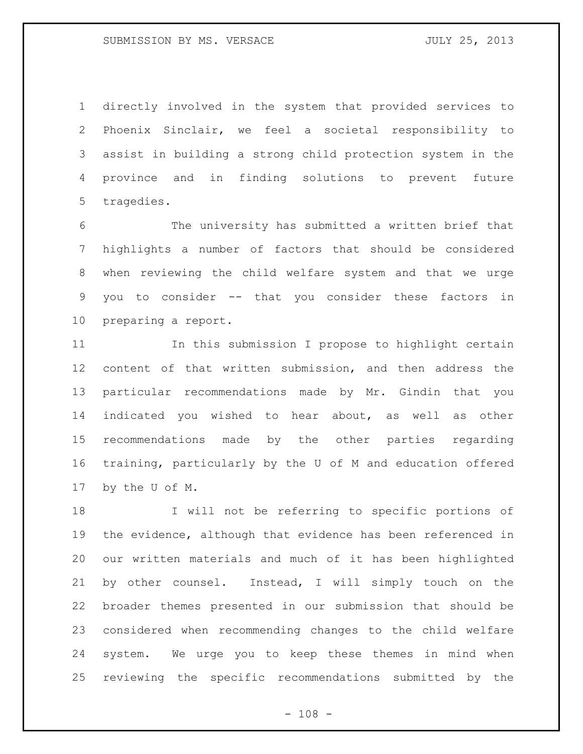directly involved in the system that provided services to Phoenix Sinclair, we feel a societal responsibility to assist in building a strong child protection system in the province and in finding solutions to prevent future tragedies.

 The university has submitted a written brief that highlights a number of factors that should be considered when reviewing the child welfare system and that we urge you to consider -- that you consider these factors in preparing a report.

 In this submission I propose to highlight certain content of that written submission, and then address the particular recommendations made by Mr. Gindin that you indicated you wished to hear about, as well as other recommendations made by the other parties regarding training, particularly by the U of M and education offered by the U of M.

 I will not be referring to specific portions of the evidence, although that evidence has been referenced in our written materials and much of it has been highlighted by other counsel. Instead, I will simply touch on the broader themes presented in our submission that should be considered when recommending changes to the child welfare system. We urge you to keep these themes in mind when reviewing the specific recommendations submitted by the

 $- 108 -$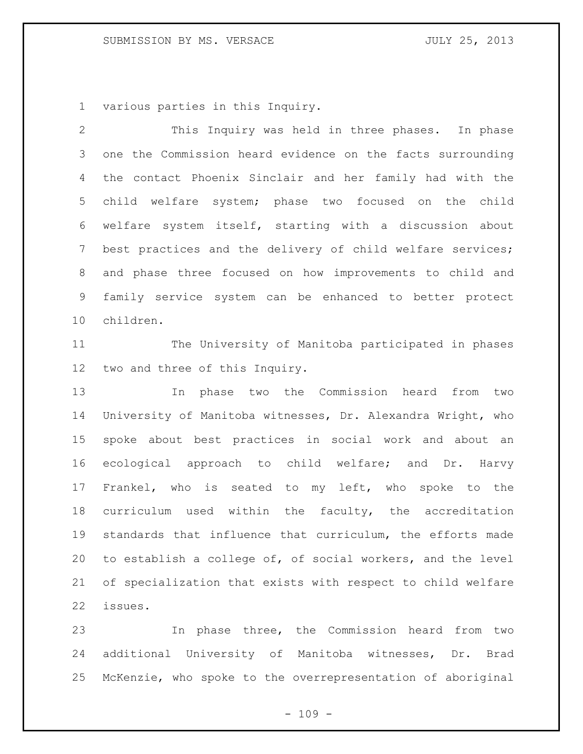## SUBMISSION BY MS. VERSACE JULY 25, 2013

various parties in this Inquiry.

 This Inquiry was held in three phases. In phase one the Commission heard evidence on the facts surrounding the contact Phoenix Sinclair and her family had with the child welfare system; phase two focused on the child welfare system itself, starting with a discussion about best practices and the delivery of child welfare services; and phase three focused on how improvements to child and family service system can be enhanced to better protect children.

 The University of Manitoba participated in phases two and three of this Inquiry.

 In phase two the Commission heard from two University of Manitoba witnesses, Dr. Alexandra Wright, who spoke about best practices in social work and about an ecological approach to child welfare; and Dr. Harvy Frankel, who is seated to my left, who spoke to the curriculum used within the faculty, the accreditation standards that influence that curriculum, the efforts made to establish a college of, of social workers, and the level of specialization that exists with respect to child welfare issues.

 In phase three, the Commission heard from two additional University of Manitoba witnesses, Dr. Brad McKenzie, who spoke to the overrepresentation of aboriginal

 $- 109 -$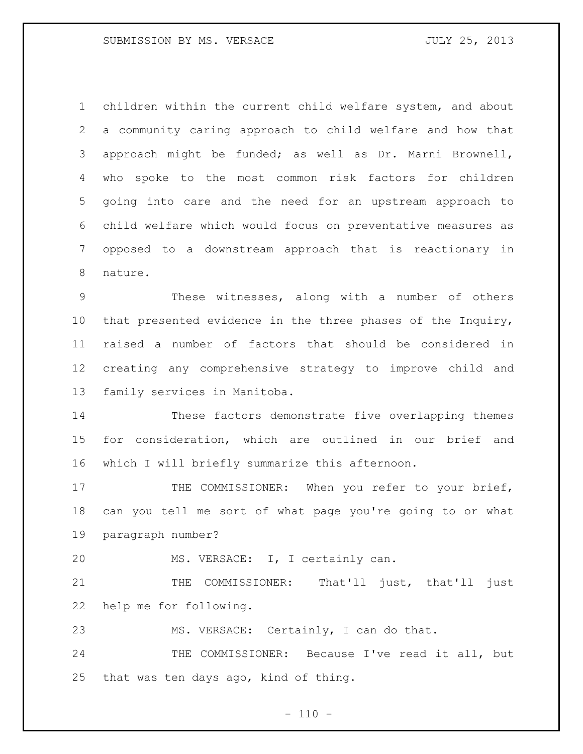children within the current child welfare system, and about a community caring approach to child welfare and how that approach might be funded; as well as Dr. Marni Brownell, who spoke to the most common risk factors for children going into care and the need for an upstream approach to child welfare which would focus on preventative measures as opposed to a downstream approach that is reactionary in nature.

 These witnesses, along with a number of others that presented evidence in the three phases of the Inquiry, raised a number of factors that should be considered in creating any comprehensive strategy to improve child and family services in Manitoba.

 These factors demonstrate five overlapping themes for consideration, which are outlined in our brief and which I will briefly summarize this afternoon.

17 THE COMMISSIONER: When you refer to your brief, can you tell me sort of what page you're going to or what paragraph number?

MS. VERSACE: I, I certainly can.

21 THE COMMISSIONER: That'll just, that'll just help me for following.

MS. VERSACE: Certainly, I can do that.

24 THE COMMISSIONER: Because I've read it all, but that was ten days ago, kind of thing.

 $- 110 -$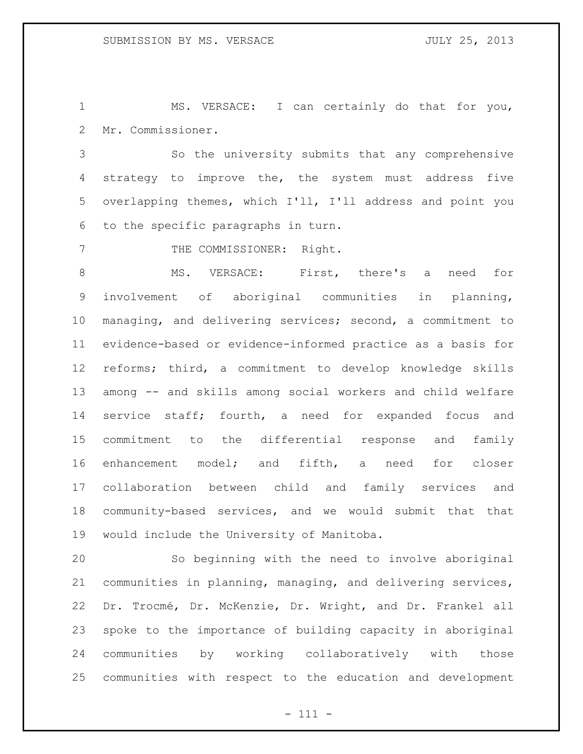MS. VERSACE: I can certainly do that for you, Mr. Commissioner.

 So the university submits that any comprehensive strategy to improve the, the system must address five overlapping themes, which I'll, I'll address and point you to the specific paragraphs in turn.

7 THE COMMISSIONER: Right.

 MS. VERSACE: First, there's a need for involvement of aboriginal communities in planning, managing, and delivering services; second, a commitment to evidence-based or evidence-informed practice as a basis for reforms; third, a commitment to develop knowledge skills among -- and skills among social workers and child welfare service staff; fourth, a need for expanded focus and commitment to the differential response and family enhancement model; and fifth, a need for closer collaboration between child and family services and community-based services, and we would submit that that would include the University of Manitoba.

 So beginning with the need to involve aboriginal communities in planning, managing, and delivering services, Dr. Trocmé, Dr. McKenzie, Dr. Wright, and Dr. Frankel all spoke to the importance of building capacity in aboriginal communities by working collaboratively with those communities with respect to the education and development

- 111 -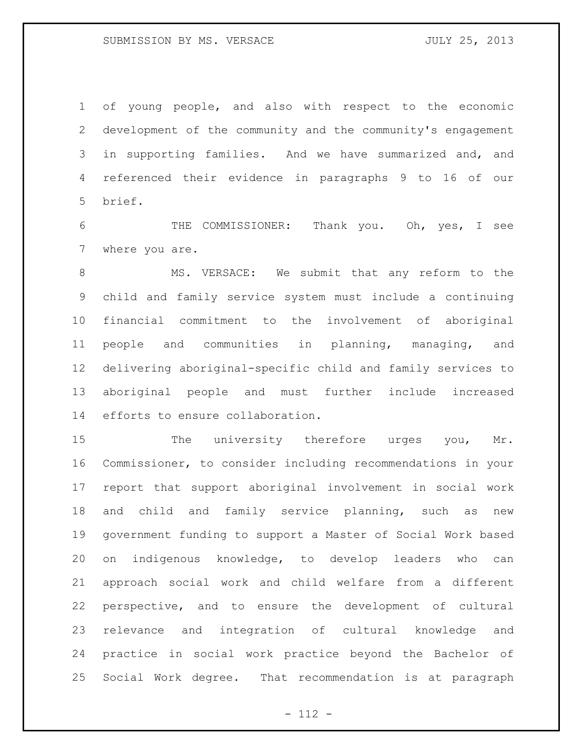of young people, and also with respect to the economic development of the community and the community's engagement in supporting families. And we have summarized and, and referenced their evidence in paragraphs 9 to 16 of our brief.

 THE COMMISSIONER: Thank you. Oh, yes, I see where you are.

 MS. VERSACE: We submit that any reform to the child and family service system must include a continuing financial commitment to the involvement of aboriginal people and communities in planning, managing, and delivering aboriginal-specific child and family services to aboriginal people and must further include increased efforts to ensure collaboration.

15 The university therefore urges you, Mr. Commissioner, to consider including recommendations in your report that support aboriginal involvement in social work and child and family service planning, such as new government funding to support a Master of Social Work based on indigenous knowledge, to develop leaders who can approach social work and child welfare from a different perspective, and to ensure the development of cultural relevance and integration of cultural knowledge and practice in social work practice beyond the Bachelor of Social Work degree. That recommendation is at paragraph

- 112 -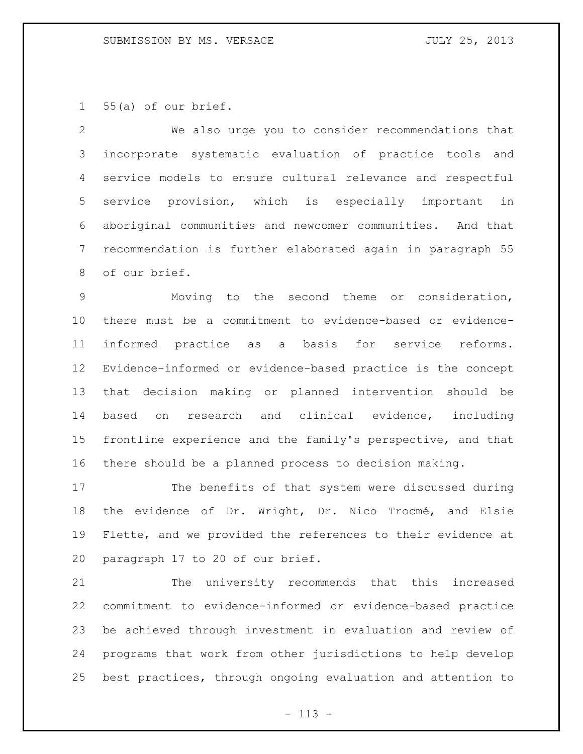55(a) of our brief.

 We also urge you to consider recommendations that incorporate systematic evaluation of practice tools and service models to ensure cultural relevance and respectful service provision, which is especially important in aboriginal communities and newcomer communities. And that recommendation is further elaborated again in paragraph 55 of our brief.

 Moving to the second theme or consideration, there must be a commitment to evidence-based or evidence- informed practice as a basis for service reforms. Evidence-informed or evidence-based practice is the concept that decision making or planned intervention should be based on research and clinical evidence, including frontline experience and the family's perspective, and that there should be a planned process to decision making.

 The benefits of that system were discussed during the evidence of Dr. Wright, Dr. Nico Trocmé, and Elsie Flette, and we provided the references to their evidence at paragraph 17 to 20 of our brief.

 The university recommends that this increased commitment to evidence-informed or evidence-based practice be achieved through investment in evaluation and review of programs that work from other jurisdictions to help develop best practices, through ongoing evaluation and attention to

- 113 -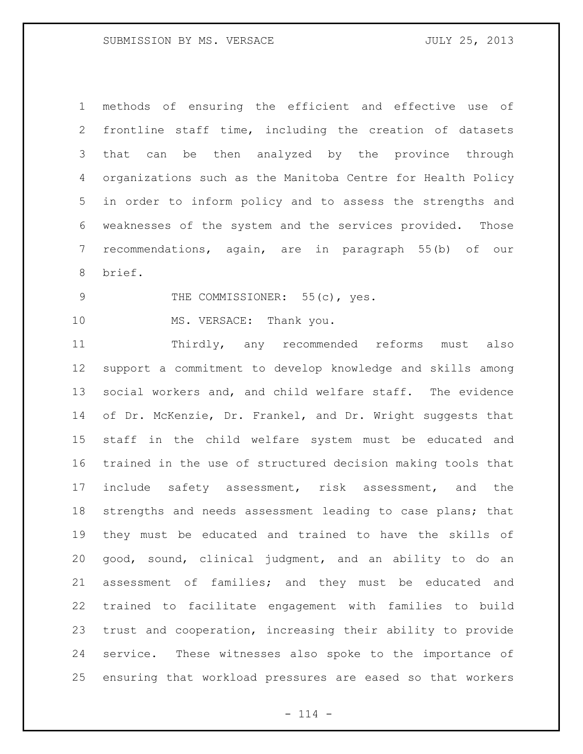methods of ensuring the efficient and effective use of frontline staff time, including the creation of datasets that can be then analyzed by the province through organizations such as the Manitoba Centre for Health Policy in order to inform policy and to assess the strengths and weaknesses of the system and the services provided. Those recommendations, again, are in paragraph 55(b) of our brief.

9 THE COMMISSIONER: 55(c), yes.

10 MS. VERSACE: Thank you.

 Thirdly, any recommended reforms must also support a commitment to develop knowledge and skills among social workers and, and child welfare staff. The evidence 14 of Dr. McKenzie, Dr. Frankel, and Dr. Wright suggests that staff in the child welfare system must be educated and trained in the use of structured decision making tools that include safety assessment, risk assessment, and the strengths and needs assessment leading to case plans; that they must be educated and trained to have the skills of good, sound, clinical judgment, and an ability to do an assessment of families; and they must be educated and trained to facilitate engagement with families to build trust and cooperation, increasing their ability to provide service. These witnesses also spoke to the importance of ensuring that workload pressures are eased so that workers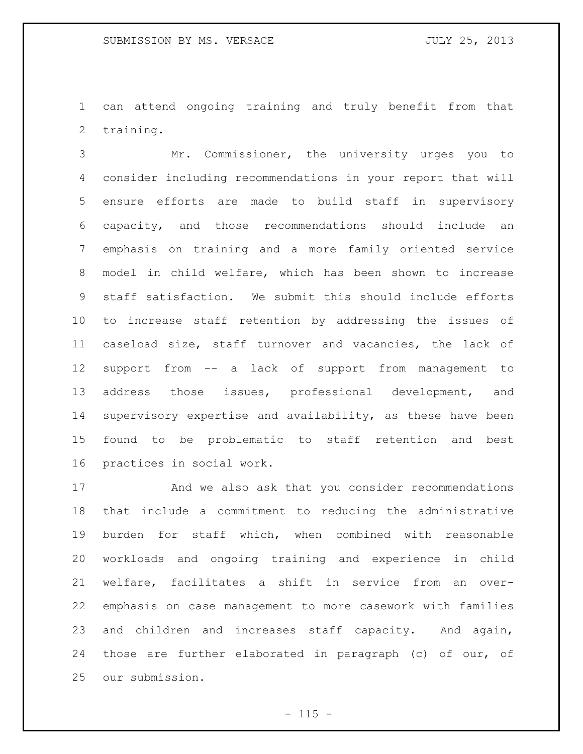can attend ongoing training and truly benefit from that training.

 Mr. Commissioner, the university urges you to consider including recommendations in your report that will ensure efforts are made to build staff in supervisory capacity, and those recommendations should include an emphasis on training and a more family oriented service model in child welfare, which has been shown to increase staff satisfaction. We submit this should include efforts to increase staff retention by addressing the issues of caseload size, staff turnover and vacancies, the lack of support from -- a lack of support from management to address those issues, professional development, and supervisory expertise and availability, as these have been found to be problematic to staff retention and best practices in social work.

 And we also ask that you consider recommendations that include a commitment to reducing the administrative burden for staff which, when combined with reasonable workloads and ongoing training and experience in child welfare, facilitates a shift in service from an over- emphasis on case management to more casework with families and children and increases staff capacity. And again, those are further elaborated in paragraph (c) of our, of our submission.

 $- 115 -$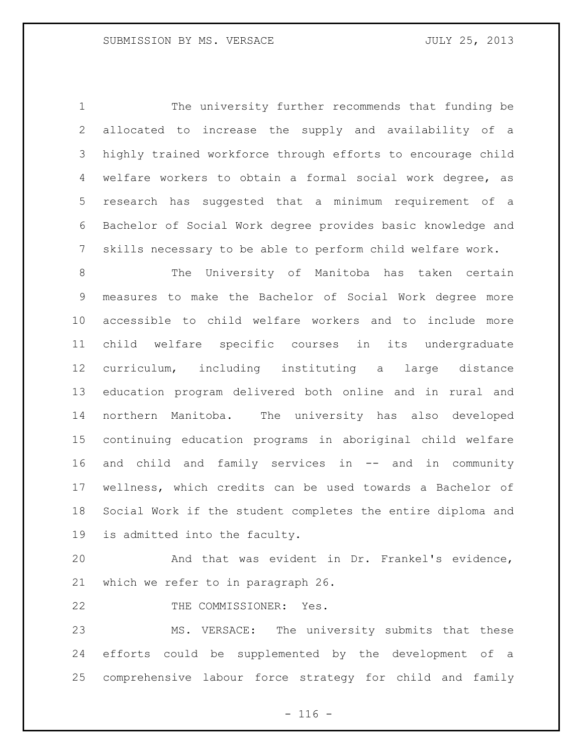The university further recommends that funding be allocated to increase the supply and availability of a highly trained workforce through efforts to encourage child welfare workers to obtain a formal social work degree, as research has suggested that a minimum requirement of a Bachelor of Social Work degree provides basic knowledge and skills necessary to be able to perform child welfare work.

 The University of Manitoba has taken certain measures to make the Bachelor of Social Work degree more accessible to child welfare workers and to include more child welfare specific courses in its undergraduate curriculum, including instituting a large distance education program delivered both online and in rural and northern Manitoba. The university has also developed continuing education programs in aboriginal child welfare and child and family services in -- and in community wellness, which credits can be used towards a Bachelor of Social Work if the student completes the entire diploma and is admitted into the faculty.

 And that was evident in Dr. Frankel's evidence, which we refer to in paragraph 26.

22 THE COMMISSIONER: Yes.

 MS. VERSACE: The university submits that these efforts could be supplemented by the development of a comprehensive labour force strategy for child and family

 $- 116 -$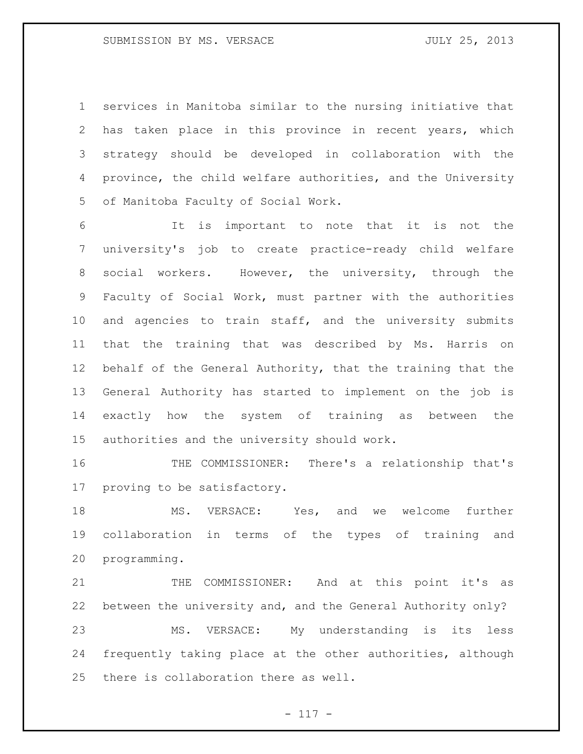services in Manitoba similar to the nursing initiative that has taken place in this province in recent years, which strategy should be developed in collaboration with the province, the child welfare authorities, and the University of Manitoba Faculty of Social Work.

 It is important to note that it is not the university's job to create practice-ready child welfare social workers. However, the university, through the Faculty of Social Work, must partner with the authorities and agencies to train staff, and the university submits that the training that was described by Ms. Harris on behalf of the General Authority, that the training that the General Authority has started to implement on the job is exactly how the system of training as between the authorities and the university should work.

 THE COMMISSIONER: There's a relationship that's proving to be satisfactory.

 MS. VERSACE: Yes, and we welcome further collaboration in terms of the types of training and programming.

 THE COMMISSIONER: And at this point it's as between the university and, and the General Authority only? MS. VERSACE: My understanding is its less frequently taking place at the other authorities, although there is collaboration there as well.

- 117 -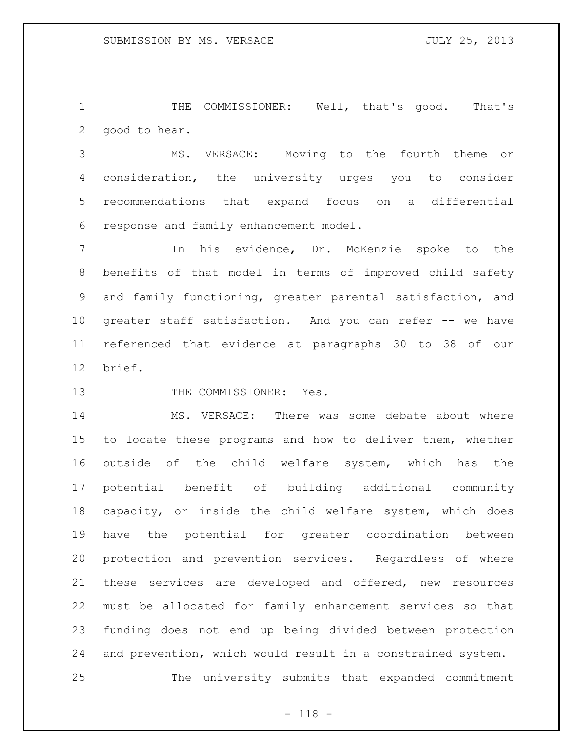THE COMMISSIONER: Well, that's good. That's good to hear.

 MS. VERSACE: Moving to the fourth theme or consideration, the university urges you to consider recommendations that expand focus on a differential response and family enhancement model.

 In his evidence, Dr. McKenzie spoke to the benefits of that model in terms of improved child safety and family functioning, greater parental satisfaction, and greater staff satisfaction. And you can refer -- we have referenced that evidence at paragraphs 30 to 38 of our brief.

13 THE COMMISSIONER: Yes.

 MS. VERSACE: There was some debate about where to locate these programs and how to deliver them, whether outside of the child welfare system, which has the potential benefit of building additional community capacity, or inside the child welfare system, which does have the potential for greater coordination between protection and prevention services. Regardless of where these services are developed and offered, new resources must be allocated for family enhancement services so that funding does not end up being divided between protection and prevention, which would result in a constrained system. The university submits that expanded commitment

- 118 -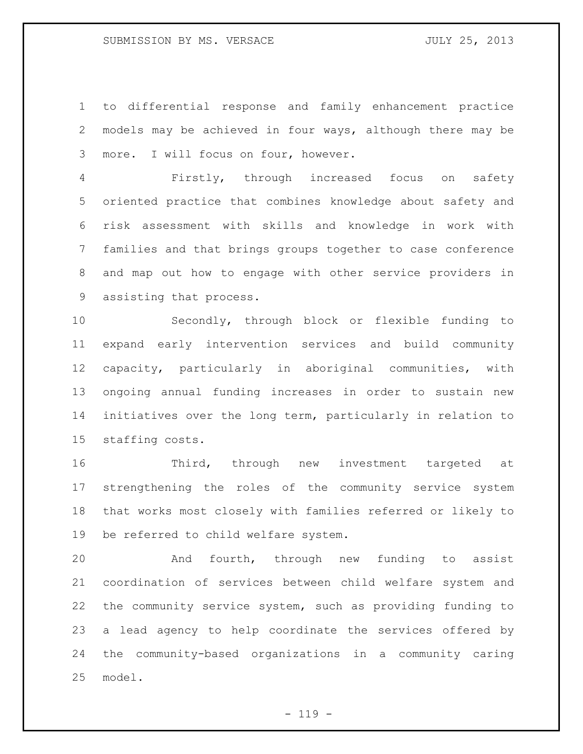to differential response and family enhancement practice models may be achieved in four ways, although there may be more. I will focus on four, however.

 Firstly, through increased focus on safety oriented practice that combines knowledge about safety and risk assessment with skills and knowledge in work with families and that brings groups together to case conference and map out how to engage with other service providers in assisting that process.

 Secondly, through block or flexible funding to expand early intervention services and build community capacity, particularly in aboriginal communities, with ongoing annual funding increases in order to sustain new initiatives over the long term, particularly in relation to staffing costs.

16 Third, through new investment targeted at strengthening the roles of the community service system that works most closely with families referred or likely to be referred to child welfare system.

 And fourth, through new funding to assist coordination of services between child welfare system and the community service system, such as providing funding to a lead agency to help coordinate the services offered by the community-based organizations in a community caring model.

 $- 119 -$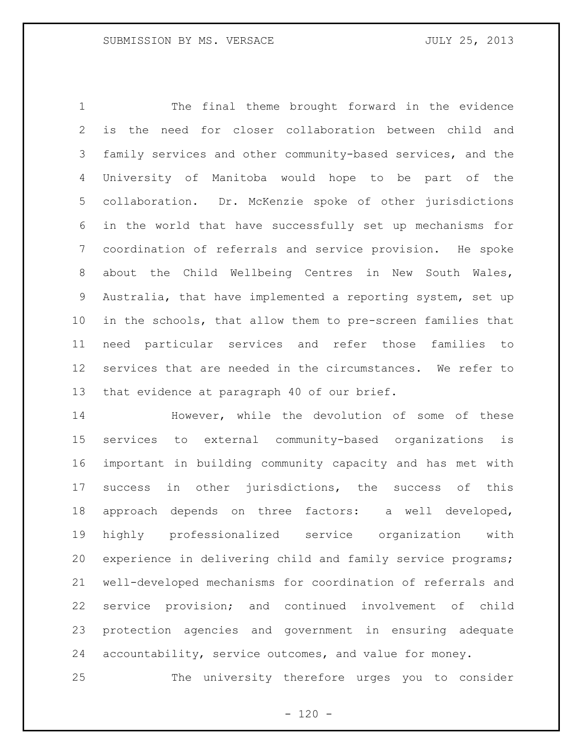The final theme brought forward in the evidence is the need for closer collaboration between child and family services and other community-based services, and the University of Manitoba would hope to be part of the collaboration. Dr. McKenzie spoke of other jurisdictions in the world that have successfully set up mechanisms for coordination of referrals and service provision. He spoke about the Child Wellbeing Centres in New South Wales, Australia, that have implemented a reporting system, set up in the schools, that allow them to pre-screen families that need particular services and refer those families to services that are needed in the circumstances. We refer to that evidence at paragraph 40 of our brief.

 However, while the devolution of some of these services to external community-based organizations is important in building community capacity and has met with success in other jurisdictions, the success of this approach depends on three factors: a well developed, highly professionalized service organization with experience in delivering child and family service programs; well-developed mechanisms for coordination of referrals and service provision; and continued involvement of child protection agencies and government in ensuring adequate accountability, service outcomes, and value for money.

The university therefore urges you to consider

 $- 120 -$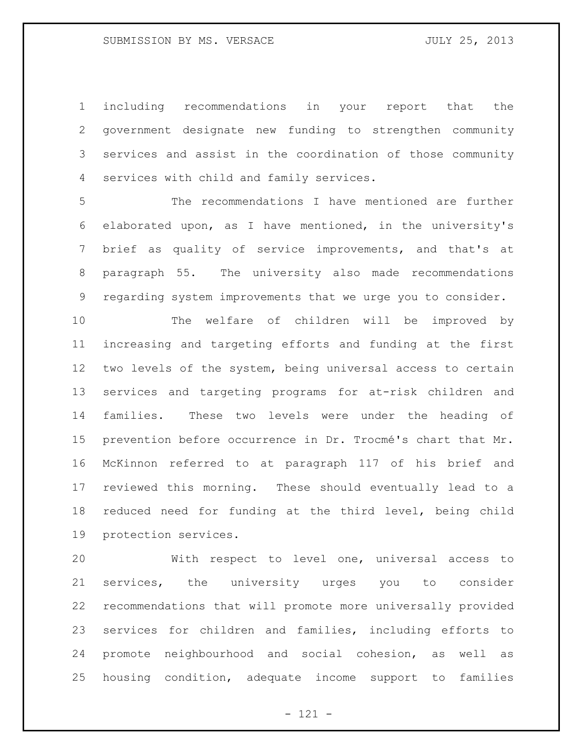including recommendations in your report that the government designate new funding to strengthen community services and assist in the coordination of those community services with child and family services.

 The recommendations I have mentioned are further elaborated upon, as I have mentioned, in the university's brief as quality of service improvements, and that's at paragraph 55. The university also made recommendations regarding system improvements that we urge you to consider.

 The welfare of children will be improved by increasing and targeting efforts and funding at the first two levels of the system, being universal access to certain services and targeting programs for at-risk children and families. These two levels were under the heading of prevention before occurrence in Dr. Trocmé's chart that Mr. McKinnon referred to at paragraph 117 of his brief and reviewed this morning. These should eventually lead to a reduced need for funding at the third level, being child protection services.

 With respect to level one, universal access to services, the university urges you to consider recommendations that will promote more universally provided services for children and families, including efforts to promote neighbourhood and social cohesion, as well as housing condition, adequate income support to families

- 121 -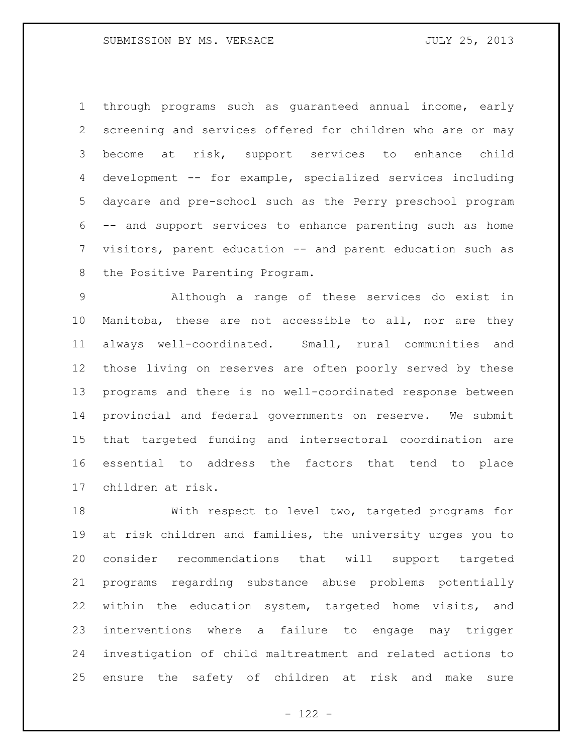through programs such as guaranteed annual income, early screening and services offered for children who are or may become at risk, support services to enhance child development -- for example, specialized services including daycare and pre-school such as the Perry preschool program -- and support services to enhance parenting such as home visitors, parent education -- and parent education such as the Positive Parenting Program.

 Although a range of these services do exist in Manitoba, these are not accessible to all, nor are they always well-coordinated. Small, rural communities and those living on reserves are often poorly served by these programs and there is no well-coordinated response between provincial and federal governments on reserve. We submit that targeted funding and intersectoral coordination are essential to address the factors that tend to place children at risk.

 With respect to level two, targeted programs for at risk children and families, the university urges you to consider recommendations that will support targeted programs regarding substance abuse problems potentially within the education system, targeted home visits, and interventions where a failure to engage may trigger investigation of child maltreatment and related actions to ensure the safety of children at risk and make sure

- 122 -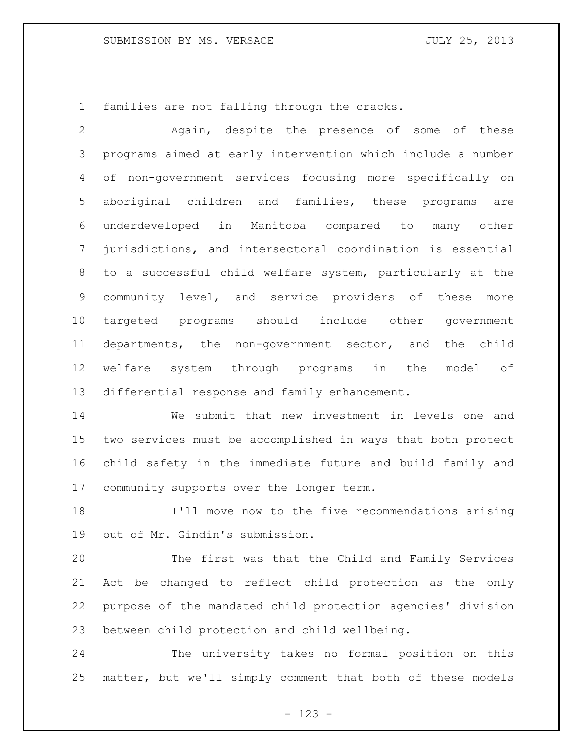families are not falling through the cracks.

 Again, despite the presence of some of these programs aimed at early intervention which include a number of non-government services focusing more specifically on aboriginal children and families, these programs are underdeveloped in Manitoba compared to many other jurisdictions, and intersectoral coordination is essential to a successful child welfare system, particularly at the community level, and service providers of these more targeted programs should include other government departments, the non-government sector, and the child welfare system through programs in the model of differential response and family enhancement.

 We submit that new investment in levels one and two services must be accomplished in ways that both protect child safety in the immediate future and build family and 17 community supports over the longer term.

 I'll move now to the five recommendations arising out of Mr. Gindin's submission.

 The first was that the Child and Family Services Act be changed to reflect child protection as the only purpose of the mandated child protection agencies' division between child protection and child wellbeing.

 The university takes no formal position on this matter, but we'll simply comment that both of these models

- 123 -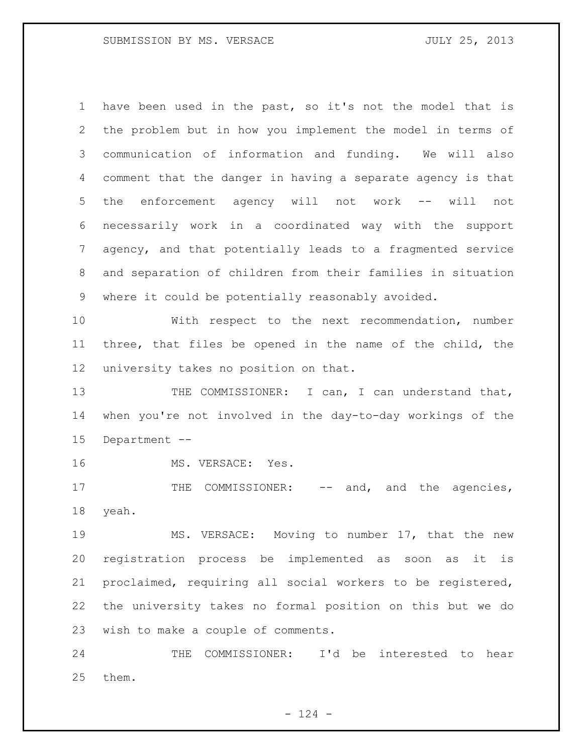have been used in the past, so it's not the model that is the problem but in how you implement the model in terms of communication of information and funding. We will also comment that the danger in having a separate agency is that the enforcement agency will not work -- will not necessarily work in a coordinated way with the support agency, and that potentially leads to a fragmented service and separation of children from their families in situation where it could be potentially reasonably avoided.

 With respect to the next recommendation, number three, that files be opened in the name of the child, the university takes no position on that.

13 THE COMMISSIONER: I can, I can understand that, when you're not involved in the day-to-day workings of the Department --

MS. VERSACE: Yes.

17 THE COMMISSIONER: -- and, and the agencies, yeah.

 MS. VERSACE: Moving to number 17, that the new registration process be implemented as soon as it is proclaimed, requiring all social workers to be registered, the university takes no formal position on this but we do wish to make a couple of comments.

 THE COMMISSIONER: I'd be interested to hear them.

 $- 124 -$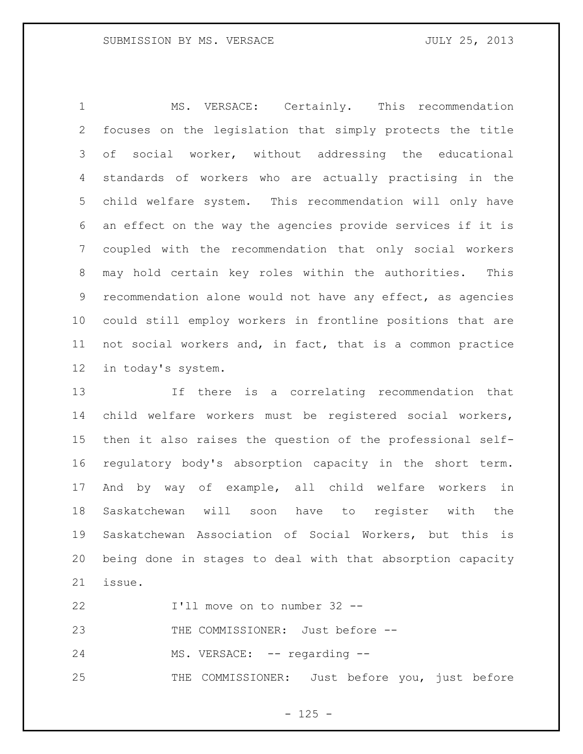MS. VERSACE: Certainly. This recommendation focuses on the legislation that simply protects the title of social worker, without addressing the educational standards of workers who are actually practising in the child welfare system. This recommendation will only have an effect on the way the agencies provide services if it is coupled with the recommendation that only social workers may hold certain key roles within the authorities. This recommendation alone would not have any effect, as agencies could still employ workers in frontline positions that are not social workers and, in fact, that is a common practice in today's system.

 If there is a correlating recommendation that child welfare workers must be registered social workers, then it also raises the question of the professional self- regulatory body's absorption capacity in the short term. And by way of example, all child welfare workers in Saskatchewan will soon have to register with the Saskatchewan Association of Social Workers, but this is being done in stages to deal with that absorption capacity issue.

I'll move on to number 32 --

23 THE COMMISSIONER: Just before --

24 MS. VERSACE: -- regarding --

THE COMMISSIONER: Just before you, just before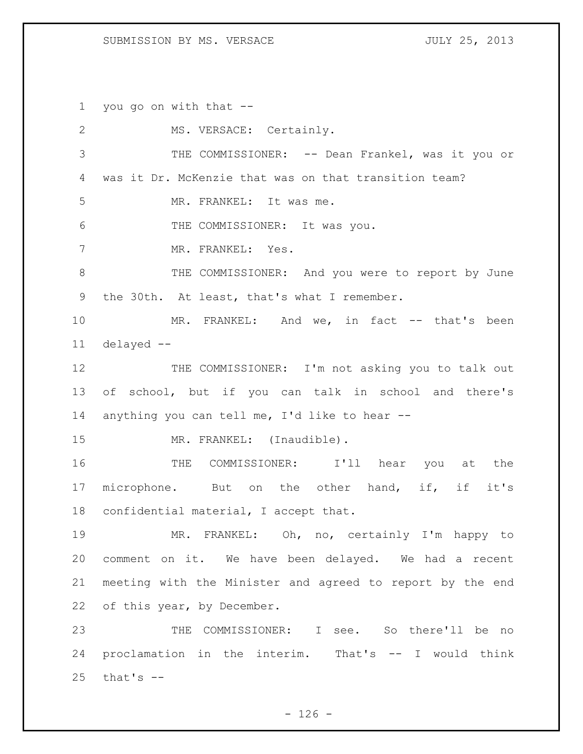## SUBMISSION BY MS. VERSACE JULY 25, 2013

you go on with that --

| 2  | MS. VERSACE: Certainly.                                   |
|----|-----------------------------------------------------------|
| 3  | THE COMMISSIONER: -- Dean Frankel, was it you or          |
| 4  | was it Dr. McKenzie that was on that transition team?     |
| 5  | MR. FRANKEL: It was me.                                   |
| 6  | THE COMMISSIONER: It was you.                             |
| 7  | MR. FRANKEL: Yes.                                         |
| 8  | THE COMMISSIONER: And you were to report by June          |
| 9  | the 30th. At least, that's what I remember.               |
| 10 | MR. FRANKEL: And we, in fact -- that's been               |
| 11 | $delayed --$                                              |
| 12 | THE COMMISSIONER: I'm not asking you to talk out          |
| 13 | of school, but if you can talk in school and there's      |
| 14 | anything you can tell me, I'd like to hear --             |
| 15 | MR. FRANKEL: (Inaudible).                                 |
| 16 | COMMISSIONER: I'll hear you at the<br>THE                 |
|    |                                                           |
| 17 | microphone. But on the other hand, if, if it's            |
| 18 | confidential material, I accept that.                     |
| 19 | MR. FRANKEL: Oh, no, certainly I'm happy to               |
| 20 | comment on it. We have been delayed. We had a recent      |
| 21 | meeting with the Minister and agreed to report by the end |
| 22 | of this year, by December.                                |
| 23 | THE COMMISSIONER: I see. So there'll be no                |
| 24 | proclamation in the interim. That's -- I would think      |

- 126 -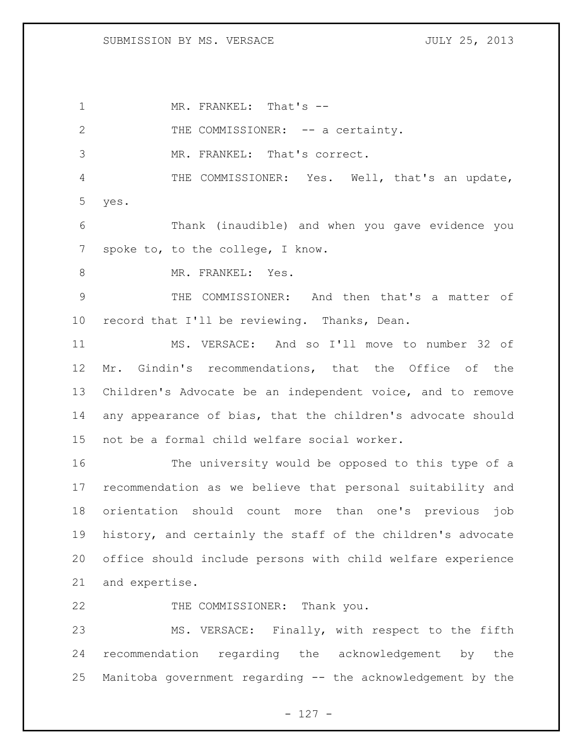SUBMISSION BY MS. VERSACE JULY 25, 2013

1 MR. FRANKEL: That's --2 THE COMMISSIONER: -- a certainty. MR. FRANKEL: That's correct. THE COMMISSIONER: Yes. Well, that's an update, yes. Thank (inaudible) and when you gave evidence you spoke to, to the college, I know. 8 MR. FRANKEL: Yes. THE COMMISSIONER: And then that's a matter of record that I'll be reviewing. Thanks, Dean. MS. VERSACE: And so I'll move to number 32 of Mr. Gindin's recommendations, that the Office of the Children's Advocate be an independent voice, and to remove any appearance of bias, that the children's advocate should not be a formal child welfare social worker. The university would be opposed to this type of a recommendation as we believe that personal suitability and orientation should count more than one's previous job history, and certainly the staff of the children's advocate office should include persons with child welfare experience and expertise. 22 THE COMMISSIONER: Thank you. MS. VERSACE: Finally, with respect to the fifth recommendation regarding the acknowledgement by the

Manitoba government regarding -- the acknowledgement by the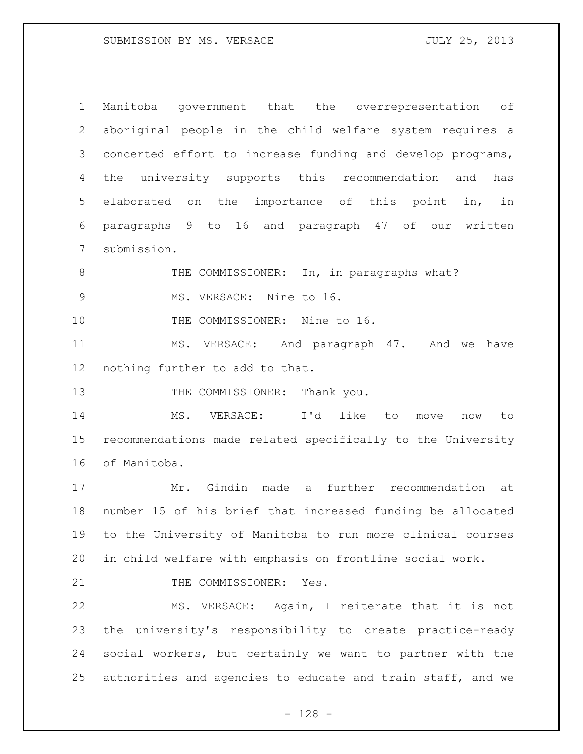Manitoba government that the overrepresentation of aboriginal people in the child welfare system requires a concerted effort to increase funding and develop programs, the university supports this recommendation and has elaborated on the importance of this point in, in paragraphs 9 to 16 and paragraph 47 of our written submission. 8 THE COMMISSIONER: In, in paragraphs what? 9 MS. VERSACE: Nine to 16. 10 THE COMMISSIONER: Nine to 16. MS. VERSACE: And paragraph 47. And we have nothing further to add to that. 13 THE COMMISSIONER: Thank you. MS. VERSACE: I'd like to move now to recommendations made related specifically to the University of Manitoba. Mr. Gindin made a further recommendation at number 15 of his brief that increased funding be allocated to the University of Manitoba to run more clinical courses in child welfare with emphasis on frontline social work. 21 THE COMMISSIONER: Yes. MS. VERSACE: Again, I reiterate that it is not the university's responsibility to create practice-ready social workers, but certainly we want to partner with the authorities and agencies to educate and train staff, and we

- 128 -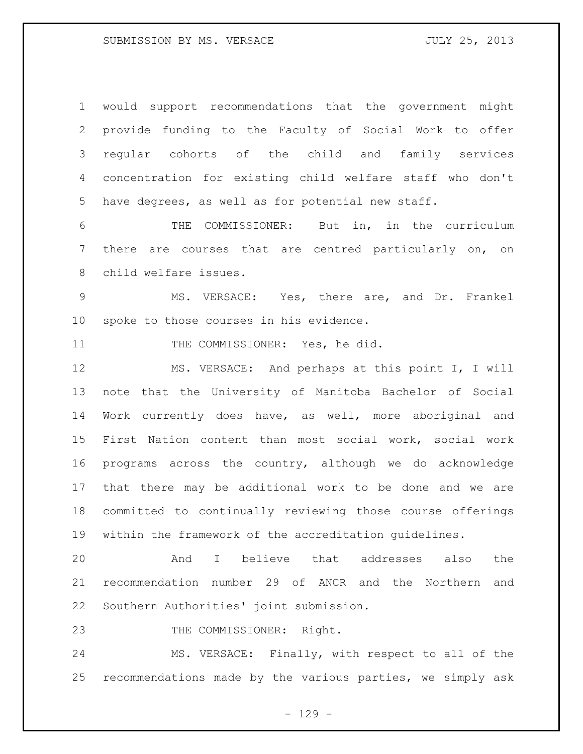## SUBMISSION BY MS. VERSACE JULY 25, 2013

 would support recommendations that the government might provide funding to the Faculty of Social Work to offer regular cohorts of the child and family services concentration for existing child welfare staff who don't have degrees, as well as for potential new staff.

 THE COMMISSIONER: But in, in the curriculum there are courses that are centred particularly on, on child welfare issues.

 MS. VERSACE: Yes, there are, and Dr. Frankel spoke to those courses in his evidence.

11 THE COMMISSIONER: Yes, he did.

 MS. VERSACE: And perhaps at this point I, I will note that the University of Manitoba Bachelor of Social Work currently does have, as well, more aboriginal and First Nation content than most social work, social work programs across the country, although we do acknowledge that there may be additional work to be done and we are committed to continually reviewing those course offerings within the framework of the accreditation guidelines.

 And I believe that addresses also the recommendation number 29 of ANCR and the Northern and Southern Authorities' joint submission.

23 THE COMMISSIONER: Right.

 MS. VERSACE: Finally, with respect to all of the recommendations made by the various parties, we simply ask

 $- 129 -$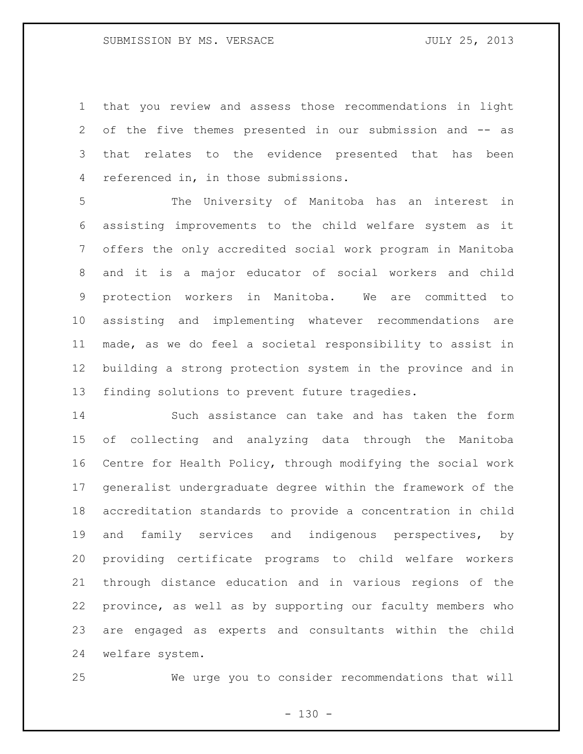that you review and assess those recommendations in light of the five themes presented in our submission and -- as that relates to the evidence presented that has been referenced in, in those submissions.

 The University of Manitoba has an interest in assisting improvements to the child welfare system as it offers the only accredited social work program in Manitoba and it is a major educator of social workers and child protection workers in Manitoba. We are committed to assisting and implementing whatever recommendations are made, as we do feel a societal responsibility to assist in building a strong protection system in the province and in finding solutions to prevent future tragedies.

 Such assistance can take and has taken the form of collecting and analyzing data through the Manitoba Centre for Health Policy, through modifying the social work generalist undergraduate degree within the framework of the accreditation standards to provide a concentration in child and family services and indigenous perspectives, by providing certificate programs to child welfare workers through distance education and in various regions of the province, as well as by supporting our faculty members who are engaged as experts and consultants within the child welfare system.

We urge you to consider recommendations that will

 $- 130 -$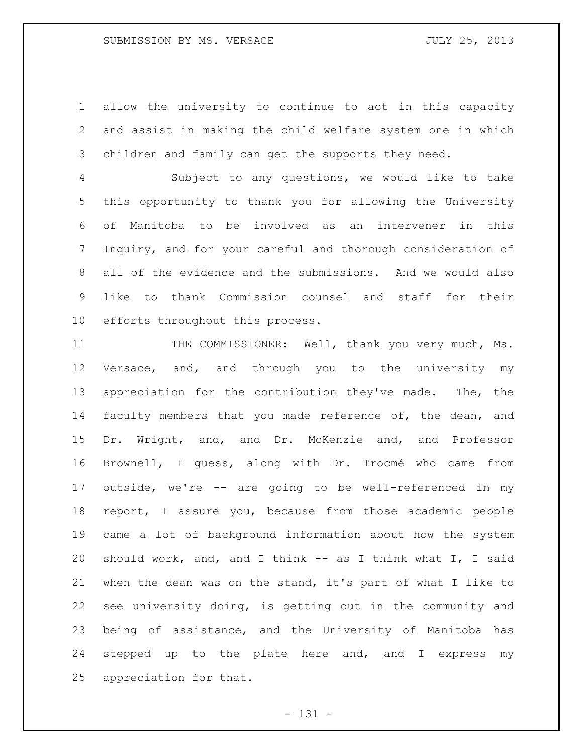## SUBMISSION BY MS. VERSACE JULY 25, 2013

 allow the university to continue to act in this capacity and assist in making the child welfare system one in which children and family can get the supports they need.

 Subject to any questions, we would like to take this opportunity to thank you for allowing the University of Manitoba to be involved as an intervener in this Inquiry, and for your careful and thorough consideration of all of the evidence and the submissions. And we would also like to thank Commission counsel and staff for their efforts throughout this process.

11 THE COMMISSIONER: Well, thank you very much, Ms. Versace, and, and through you to the university my appreciation for the contribution they've made. The, the faculty members that you made reference of, the dean, and Dr. Wright, and, and Dr. McKenzie and, and Professor Brownell, I guess, along with Dr. Trocmé who came from outside, we're -- are going to be well-referenced in my report, I assure you, because from those academic people came a lot of background information about how the system 20 should work, and, and I think -- as I think what I, I said when the dean was on the stand, it's part of what I like to see university doing, is getting out in the community and being of assistance, and the University of Manitoba has stepped up to the plate here and, and I express my appreciation for that.

- 131 -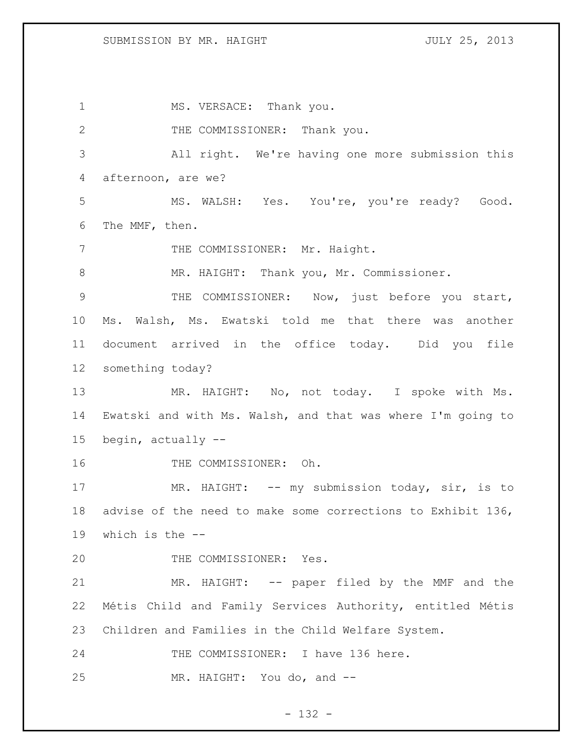1 MS. VERSACE: Thank you. 2 THE COMMISSIONER: Thank you. All right. We're having one more submission this afternoon, are we? MS. WALSH: Yes. You're, you're ready? Good. The MMF, then. 7 THE COMMISSIONER: Mr. Haight. 8 MR. HAIGHT: Thank you, Mr. Commissioner. THE COMMISSIONER: Now, just before you start, Ms. Walsh, Ms. Ewatski told me that there was another document arrived in the office today. Did you file something today? MR. HAIGHT: No, not today. I spoke with Ms. Ewatski and with Ms. Walsh, and that was where I'm going to begin, actually -- THE COMMISSIONER: Oh. 17 MR. HAIGHT: -- my submission today, sir, is to advise of the need to make some corrections to Exhibit 136, which is the -- THE COMMISSIONER: Yes. MR. HAIGHT: -- paper filed by the MMF and the Métis Child and Family Services Authority, entitled Métis Children and Families in the Child Welfare System. THE COMMISSIONER: I have 136 here. MR. HAIGHT: You do, and --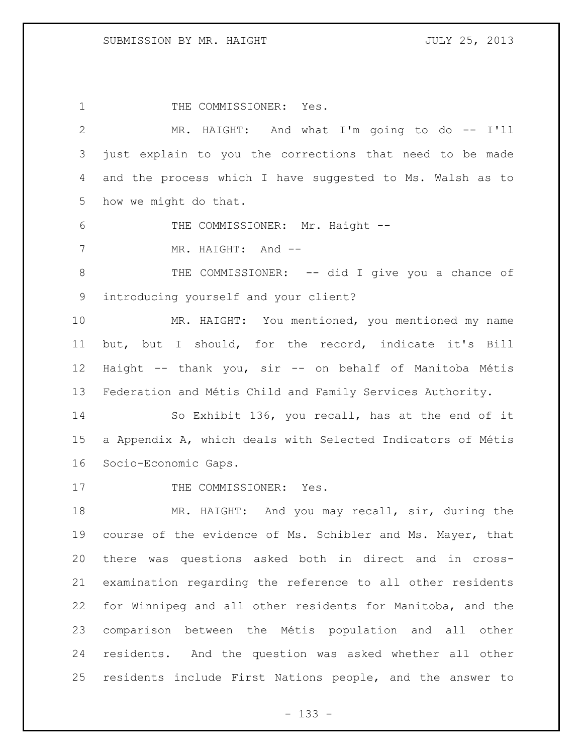1 THE COMMISSIONER: Yes. MR. HAIGHT: And what I'm going to do -- I'll just explain to you the corrections that need to be made and the process which I have suggested to Ms. Walsh as to how we might do that. 6 THE COMMISSIONER: Mr. Haight --7 MR. HAIGHT: And --8 THE COMMISSIONER: -- did I give you a chance of introducing yourself and your client? MR. HAIGHT: You mentioned, you mentioned my name but, but I should, for the record, indicate it's Bill Haight -- thank you, sir -- on behalf of Manitoba Métis Federation and Métis Child and Family Services Authority. So Exhibit 136, you recall, has at the end of it a Appendix A, which deals with Selected Indicators of Métis Socio-Economic Gaps. 17 THE COMMISSIONER: Yes. MR. HAIGHT: And you may recall, sir, during the course of the evidence of Ms. Schibler and Ms. Mayer, that there was questions asked both in direct and in cross- examination regarding the reference to all other residents for Winnipeg and all other residents for Manitoba, and the comparison between the Métis population and all other residents. And the question was asked whether all other residents include First Nations people, and the answer to

- 133 -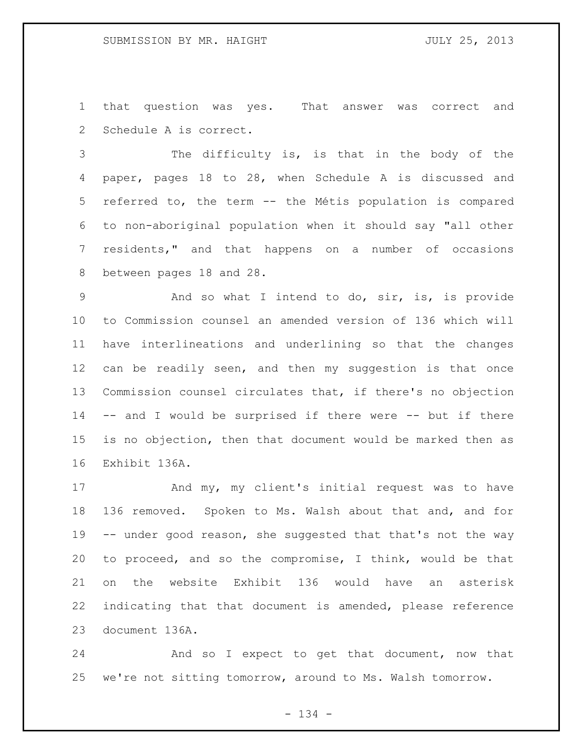that question was yes. That answer was correct and Schedule A is correct.

 The difficulty is, is that in the body of the paper, pages 18 to 28, when Schedule A is discussed and referred to, the term -- the Métis population is compared to non-aboriginal population when it should say "all other residents," and that happens on a number of occasions between pages 18 and 28.

 And so what I intend to do, sir, is, is provide to Commission counsel an amended version of 136 which will have interlineations and underlining so that the changes can be readily seen, and then my suggestion is that once Commission counsel circulates that, if there's no objection -- and I would be surprised if there were -- but if there is no objection, then that document would be marked then as Exhibit 136A.

17 And my, my client's initial request was to have 136 removed. Spoken to Ms. Walsh about that and, and for -- under good reason, she suggested that that's not the way to proceed, and so the compromise, I think, would be that on the website Exhibit 136 would have an asterisk indicating that that document is amended, please reference document 136A.

 And so I expect to get that document, now that we're not sitting tomorrow, around to Ms. Walsh tomorrow.

- 134 -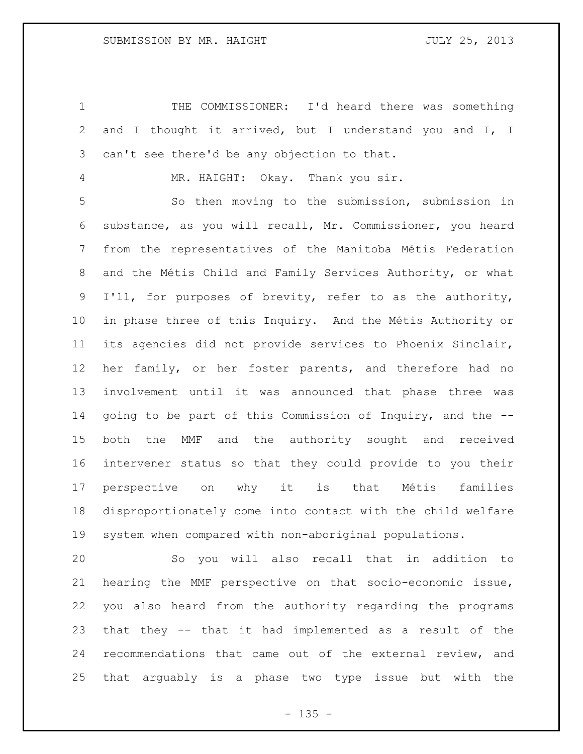THE COMMISSIONER: I'd heard there was something and I thought it arrived, but I understand you and I, I can't see there'd be any objection to that.

MR. HAIGHT: Okay. Thank you sir.

 So then moving to the submission, submission in substance, as you will recall, Mr. Commissioner, you heard from the representatives of the Manitoba Métis Federation and the Métis Child and Family Services Authority, or what I'll, for purposes of brevity, refer to as the authority, in phase three of this Inquiry. And the Métis Authority or its agencies did not provide services to Phoenix Sinclair, her family, or her foster parents, and therefore had no involvement until it was announced that phase three was going to be part of this Commission of Inquiry, and the -- both the MMF and the authority sought and received intervener status so that they could provide to you their perspective on why it is that Métis families disproportionately come into contact with the child welfare system when compared with non-aboriginal populations.

 So you will also recall that in addition to hearing the MMF perspective on that socio-economic issue, you also heard from the authority regarding the programs that they -- that it had implemented as a result of the recommendations that came out of the external review, and that arguably is a phase two type issue but with the

 $- 135 -$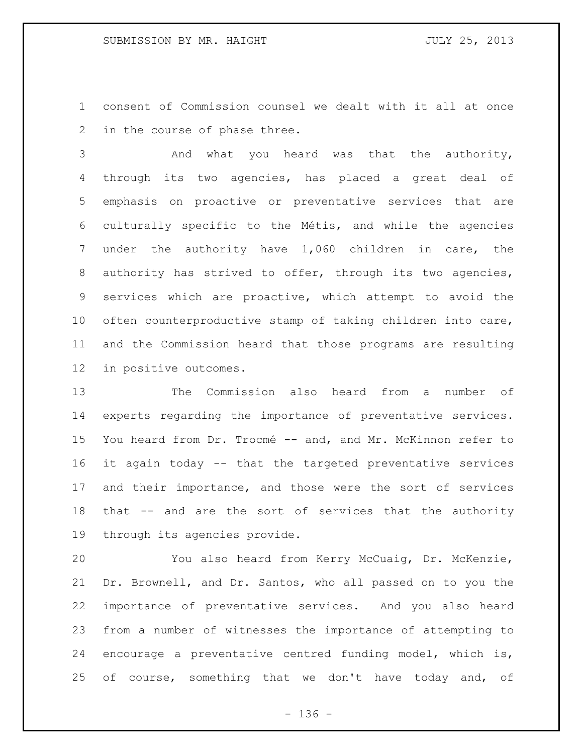consent of Commission counsel we dealt with it all at once in the course of phase three.

 And what you heard was that the authority, through its two agencies, has placed a great deal of emphasis on proactive or preventative services that are culturally specific to the Métis, and while the agencies under the authority have 1,060 children in care, the authority has strived to offer, through its two agencies, services which are proactive, which attempt to avoid the often counterproductive stamp of taking children into care, and the Commission heard that those programs are resulting in positive outcomes.

 The Commission also heard from a number of experts regarding the importance of preventative services. You heard from Dr. Trocmé -- and, and Mr. McKinnon refer to it again today -- that the targeted preventative services and their importance, and those were the sort of services that -- and are the sort of services that the authority through its agencies provide.

 You also heard from Kerry McCuaig, Dr. McKenzie, Dr. Brownell, and Dr. Santos, who all passed on to you the importance of preventative services. And you also heard from a number of witnesses the importance of attempting to encourage a preventative centred funding model, which is, 25 of course, something that we don't have today and, of

- 136 -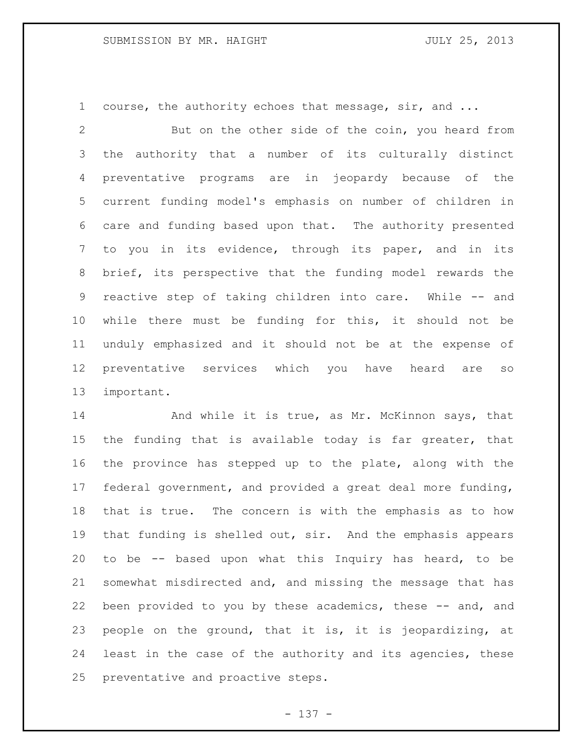1 course, the authority echoes that message, sir, and ...

 But on the other side of the coin, you heard from the authority that a number of its culturally distinct preventative programs are in jeopardy because of the current funding model's emphasis on number of children in care and funding based upon that. The authority presented to you in its evidence, through its paper, and in its brief, its perspective that the funding model rewards the reactive step of taking children into care. While -- and while there must be funding for this, it should not be unduly emphasized and it should not be at the expense of preventative services which you have heard are so important.

14 And while it is true, as Mr. McKinnon says, that the funding that is available today is far greater, that the province has stepped up to the plate, along with the federal government, and provided a great deal more funding, that is true. The concern is with the emphasis as to how 19 that funding is shelled out, sir. And the emphasis appears to be -- based upon what this Inquiry has heard, to be somewhat misdirected and, and missing the message that has 22 been provided to you by these academics, these -- and, and people on the ground, that it is, it is jeopardizing, at least in the case of the authority and its agencies, these preventative and proactive steps.

- 137 -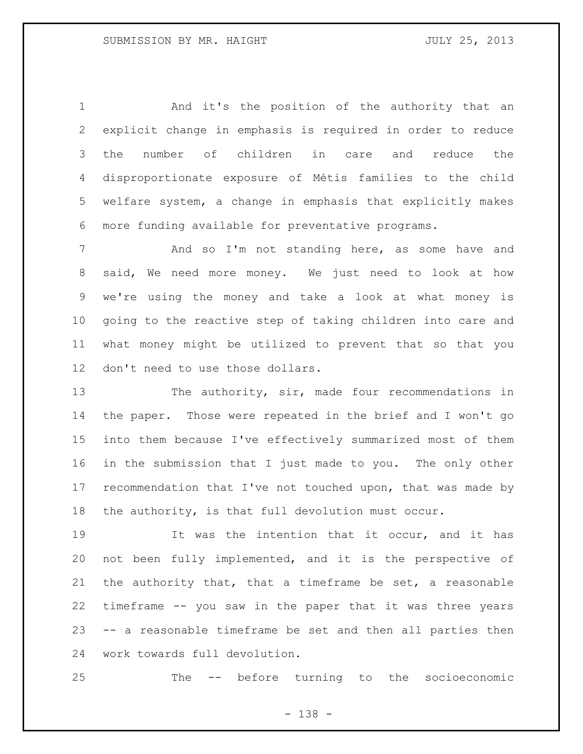And it's the position of the authority that an explicit change in emphasis is required in order to reduce the number of children in care and reduce the disproportionate exposure of Métis families to the child welfare system, a change in emphasis that explicitly makes more funding available for preventative programs.

7 The Mand so I'm not standing here, as some have and said, We need more money. We just need to look at how we're using the money and take a look at what money is going to the reactive step of taking children into care and what money might be utilized to prevent that so that you don't need to use those dollars.

 The authority, sir, made four recommendations in the paper. Those were repeated in the brief and I won't go into them because I've effectively summarized most of them in the submission that I just made to you. The only other recommendation that I've not touched upon, that was made by the authority, is that full devolution must occur.

 It was the intention that it occur, and it has not been fully implemented, and it is the perspective of the authority that, that a timeframe be set, a reasonable timeframe -- you saw in the paper that it was three years -- a reasonable timeframe be set and then all parties then work towards full devolution.

The -- before turning to the socioeconomic

- 138 -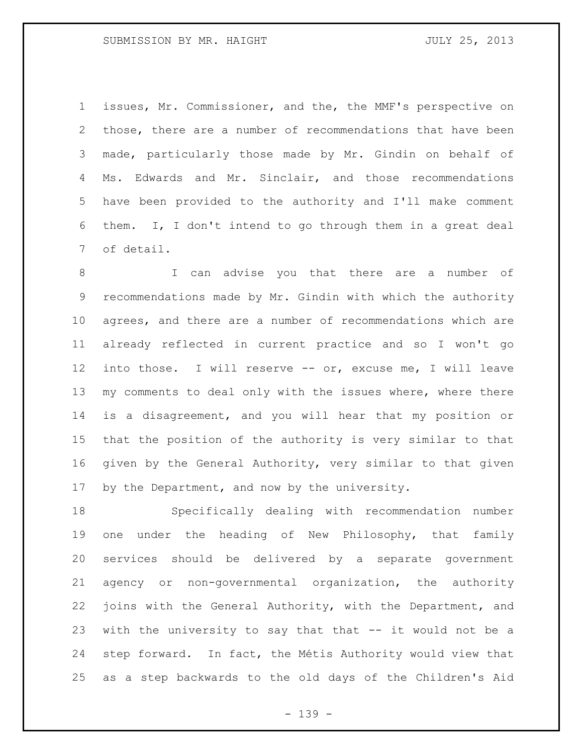issues, Mr. Commissioner, and the, the MMF's perspective on those, there are a number of recommendations that have been made, particularly those made by Mr. Gindin on behalf of 4 Ms. Edwards and Mr. Sinclair, and those recommendations have been provided to the authority and I'll make comment them. I, I don't intend to go through them in a great deal of detail.

 I can advise you that there are a number of recommendations made by Mr. Gindin with which the authority agrees, and there are a number of recommendations which are already reflected in current practice and so I won't go into those. I will reserve -- or, excuse me, I will leave 13 my comments to deal only with the issues where, where there is a disagreement, and you will hear that my position or that the position of the authority is very similar to that given by the General Authority, very similar to that given by the Department, and now by the university.

 Specifically dealing with recommendation number one under the heading of New Philosophy, that family services should be delivered by a separate government agency or non-governmental organization, the authority joins with the General Authority, with the Department, and with the university to say that that -- it would not be a step forward. In fact, the Métis Authority would view that as a step backwards to the old days of the Children's Aid

- 139 -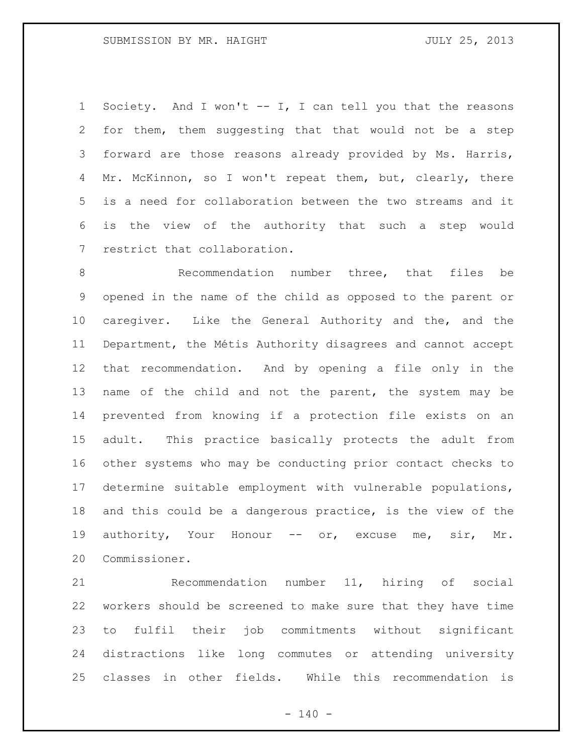Society. And I won't -- I, I can tell you that the reasons for them, them suggesting that that would not be a step forward are those reasons already provided by Ms. Harris, 4 Mr. McKinnon, so I won't repeat them, but, clearly, there is a need for collaboration between the two streams and it is the view of the authority that such a step would restrict that collaboration.

8 Recommendation number three, that files be opened in the name of the child as opposed to the parent or caregiver. Like the General Authority and the, and the Department, the Métis Authority disagrees and cannot accept that recommendation. And by opening a file only in the name of the child and not the parent, the system may be prevented from knowing if a protection file exists on an adult. This practice basically protects the adult from other systems who may be conducting prior contact checks to determine suitable employment with vulnerable populations, and this could be a dangerous practice, is the view of the 19 authority, Your Honour -- or, excuse me, sir, Mr. Commissioner.

 Recommendation number 11, hiring of social workers should be screened to make sure that they have time to fulfil their job commitments without significant distractions like long commutes or attending university classes in other fields. While this recommendation is

 $- 140 -$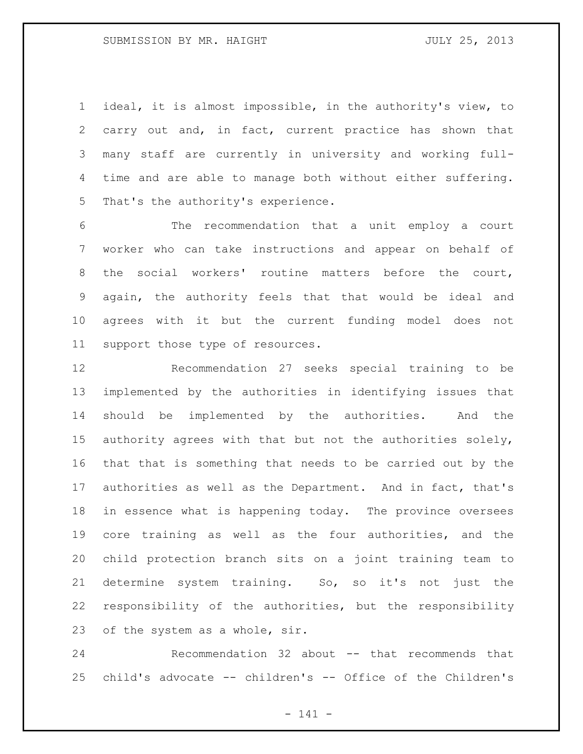ideal, it is almost impossible, in the authority's view, to carry out and, in fact, current practice has shown that many staff are currently in university and working full- time and are able to manage both without either suffering. That's the authority's experience.

 The recommendation that a unit employ a court worker who can take instructions and appear on behalf of the social workers' routine matters before the court, again, the authority feels that that would be ideal and agrees with it but the current funding model does not support those type of resources.

 Recommendation 27 seeks special training to be implemented by the authorities in identifying issues that should be implemented by the authorities. And the authority agrees with that but not the authorities solely, that that is something that needs to be carried out by the authorities as well as the Department. And in fact, that's in essence what is happening today. The province oversees core training as well as the four authorities, and the child protection branch sits on a joint training team to determine system training. So, so it's not just the responsibility of the authorities, but the responsibility of the system as a whole, sir.

 Recommendation 32 about -- that recommends that child's advocate -- children's -- Office of the Children's

- 141 -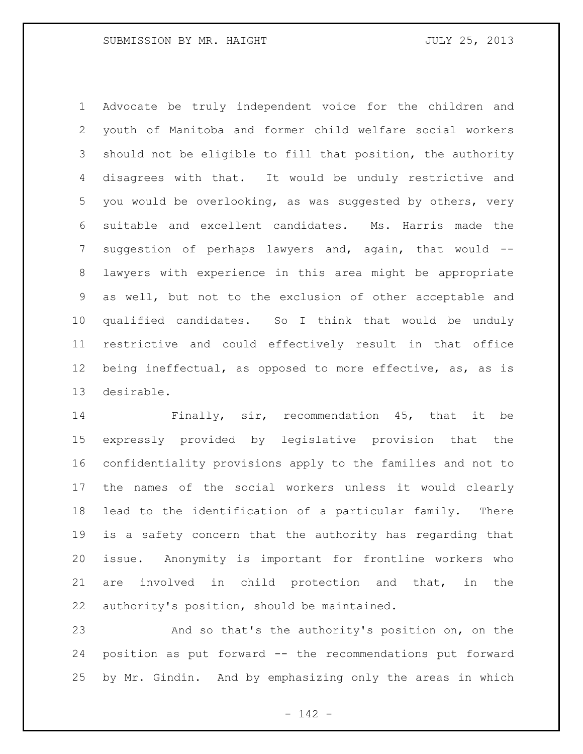Advocate be truly independent voice for the children and youth of Manitoba and former child welfare social workers should not be eligible to fill that position, the authority disagrees with that. It would be unduly restrictive and you would be overlooking, as was suggested by others, very suitable and excellent candidates. Ms. Harris made the 7 suggestion of perhaps lawyers and, again, that would -- lawyers with experience in this area might be appropriate as well, but not to the exclusion of other acceptable and qualified candidates. So I think that would be unduly restrictive and could effectively result in that office being ineffectual, as opposed to more effective, as, as is desirable.

 Finally, sir, recommendation 45, that it be expressly provided by legislative provision that the confidentiality provisions apply to the families and not to the names of the social workers unless it would clearly lead to the identification of a particular family. There is a safety concern that the authority has regarding that issue. Anonymity is important for frontline workers who are involved in child protection and that, in the authority's position, should be maintained.

 And so that's the authority's position on, on the position as put forward -- the recommendations put forward by Mr. Gindin. And by emphasizing only the areas in which

- 142 -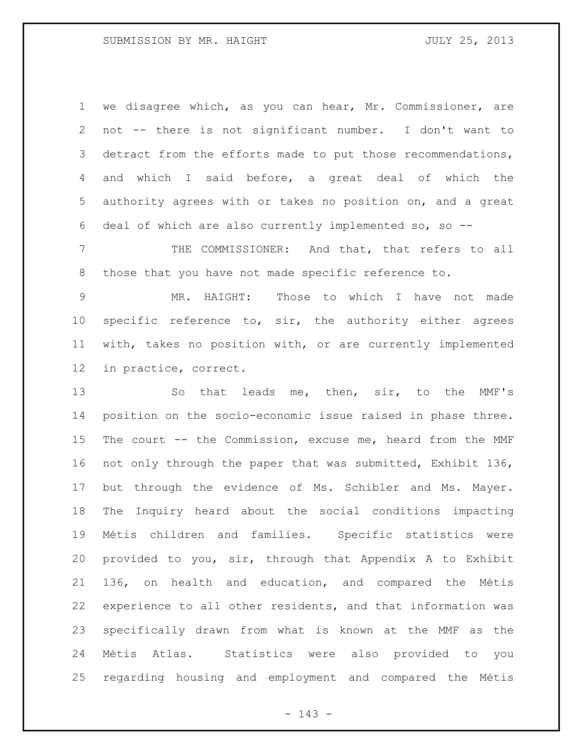## SUBMISSION BY MR. HAIGHT SUBMISSION BY MR. HAIGHT

 we disagree which, as you can hear, Mr. Commissioner, are not -- there is not significant number. I don't want to 3 detract from the efforts made to put those recommendations, and which I said before, a great deal of which the authority agrees with or takes no position on, and a great deal of which are also currently implemented so, so --

 THE COMMISSIONER: And that, that refers to all those that you have not made specific reference to.

 MR. HAIGHT: Those to which I have not made specific reference to, sir, the authority either agrees with, takes no position with, or are currently implemented in practice, correct.

13 So that leads me, then, sir, to the MMF's position on the socio-economic issue raised in phase three. The court -- the Commission, excuse me, heard from the MMF not only through the paper that was submitted, Exhibit 136, but through the evidence of Ms. Schibler and Ms. Mayer. The Inquiry heard about the social conditions impacting Métis children and families. Specific statistics were provided to you, sir, through that Appendix A to Exhibit 136, on health and education, and compared the Métis experience to all other residents, and that information was specifically drawn from what is known at the MMF as the Métis Atlas. Statistics were also provided to you regarding housing and employment and compared the Métis

- 143 -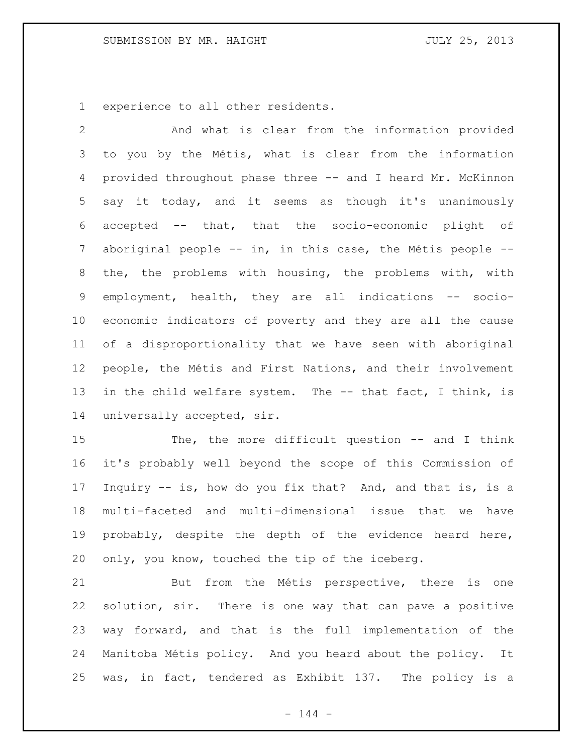experience to all other residents.

 And what is clear from the information provided to you by the Métis, what is clear from the information provided throughout phase three -- and I heard Mr. McKinnon say it today, and it seems as though it's unanimously accepted -- that, that the socio-economic plight of aboriginal people -- in, in this case, the Métis people -- the, the problems with housing, the problems with, with employment, health, they are all indications -- socio- economic indicators of poverty and they are all the cause of a disproportionality that we have seen with aboriginal people, the Métis and First Nations, and their involvement in the child welfare system. The -- that fact, I think, is universally accepted, sir.

 The, the more difficult question -- and I think it's probably well beyond the scope of this Commission of Inquiry -- is, how do you fix that? And, and that is, is a multi-faceted and multi-dimensional issue that we have probably, despite the depth of the evidence heard here, only, you know, touched the tip of the iceberg.

 But from the Métis perspective, there is one solution, sir. There is one way that can pave a positive way forward, and that is the full implementation of the Manitoba Métis policy. And you heard about the policy. It was, in fact, tendered as Exhibit 137. The policy is a

 $- 144 -$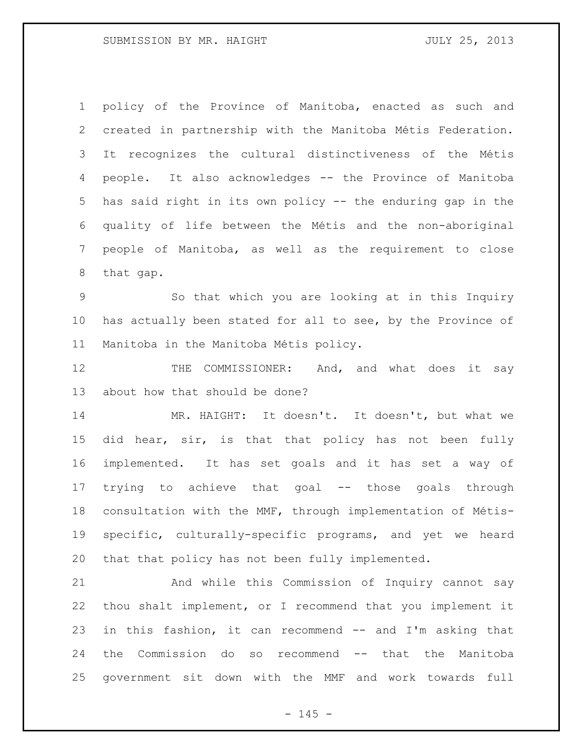policy of the Province of Manitoba, enacted as such and created in partnership with the Manitoba Métis Federation. It recognizes the cultural distinctiveness of the Métis people. It also acknowledges -- the Province of Manitoba has said right in its own policy -- the enduring gap in the quality of life between the Métis and the non-aboriginal people of Manitoba, as well as the requirement to close that gap.

 So that which you are looking at in this Inquiry has actually been stated for all to see, by the Province of Manitoba in the Manitoba Métis policy.

12 THE COMMISSIONER: And, and what does it say about how that should be done?

14 MR. HAIGHT: It doesn't. It doesn't, but what we did hear, sir, is that that policy has not been fully implemented. It has set goals and it has set a way of trying to achieve that goal -- those goals through consultation with the MMF, through implementation of Métis- specific, culturally-specific programs, and yet we heard that that policy has not been fully implemented.

 And while this Commission of Inquiry cannot say thou shalt implement, or I recommend that you implement it in this fashion, it can recommend -- and I'm asking that the Commission do so recommend -- that the Manitoba government sit down with the MMF and work towards full

 $- 145 -$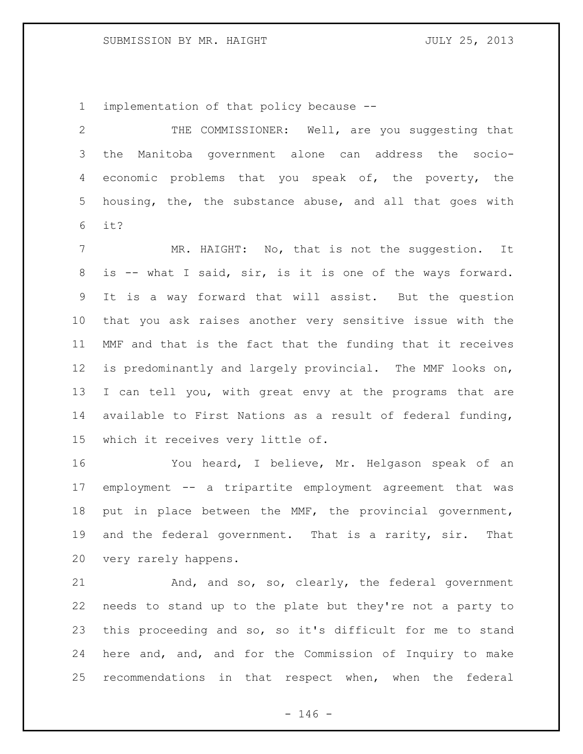implementation of that policy because --

 THE COMMISSIONER: Well, are you suggesting that the Manitoba government alone can address the socio- economic problems that you speak of, the poverty, the housing, the, the substance abuse, and all that goes with it?

7 MR. HAIGHT: No, that is not the suggestion. It is -- what I said, sir, is it is one of the ways forward. It is a way forward that will assist. But the question that you ask raises another very sensitive issue with the MMF and that is the fact that the funding that it receives is predominantly and largely provincial. The MMF looks on, I can tell you, with great envy at the programs that are available to First Nations as a result of federal funding, which it receives very little of.

 You heard, I believe, Mr. Helgason speak of an employment -- a tripartite employment agreement that was put in place between the MMF, the provincial government, and the federal government. That is a rarity, sir. That very rarely happens.

 And, and so, so, clearly, the federal government needs to stand up to the plate but they're not a party to this proceeding and so, so it's difficult for me to stand here and, and, and for the Commission of Inquiry to make recommendations in that respect when, when the federal

 $- 146 -$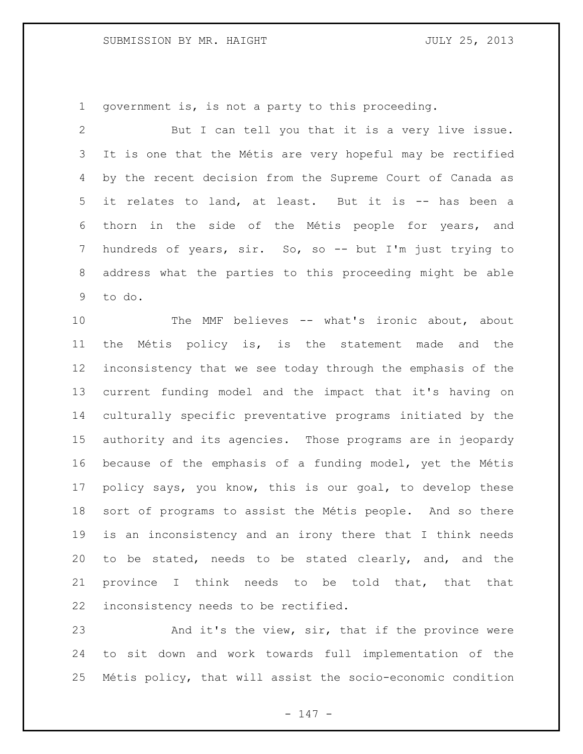# SUBMISSION BY MR. HAIGHT SUBMISSION BY MR. HAIGHT

government is, is not a party to this proceeding.

 But I can tell you that it is a very live issue. It is one that the Métis are very hopeful may be rectified by the recent decision from the Supreme Court of Canada as it relates to land, at least. But it is -- has been a thorn in the side of the Métis people for years, and hundreds of years, sir. So, so -- but I'm just trying to address what the parties to this proceeding might be able to do.

10 The MMF believes -- what's ironic about, about the Métis policy is, is the statement made and the inconsistency that we see today through the emphasis of the current funding model and the impact that it's having on culturally specific preventative programs initiated by the authority and its agencies. Those programs are in jeopardy because of the emphasis of a funding model, yet the Métis policy says, you know, this is our goal, to develop these sort of programs to assist the Métis people. And so there is an inconsistency and an irony there that I think needs to be stated, needs to be stated clearly, and, and the province I think needs to be told that, that that inconsistency needs to be rectified.

 And it's the view, sir, that if the province were to sit down and work towards full implementation of the Métis policy, that will assist the socio-economic condition

- 147 -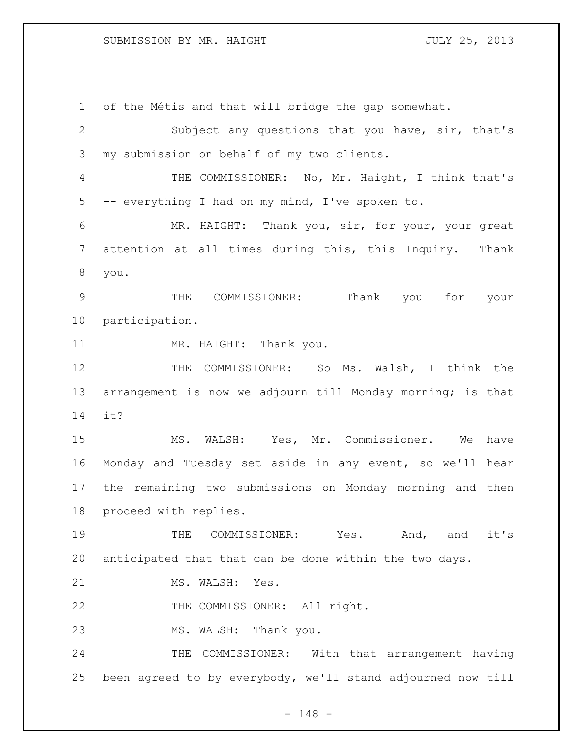## SUBMISSION BY MR. HAIGHT SUBMISSION BY MR. HAIGHT

 of the Métis and that will bridge the gap somewhat. Subject any questions that you have, sir, that's my submission on behalf of my two clients. THE COMMISSIONER: No, Mr. Haight, I think that's -- everything I had on my mind, I've spoken to. MR. HAIGHT: Thank you, sir, for your, your great attention at all times during this, this Inquiry. Thank you. THE COMMISSIONER: Thank you for your participation. 11 MR. HAIGHT: Thank you. THE COMMISSIONER: So Ms. Walsh, I think the arrangement is now we adjourn till Monday morning; is that it? MS. WALSH: Yes, Mr. Commissioner. We have Monday and Tuesday set aside in any event, so we'll hear the remaining two submissions on Monday morning and then proceed with replies. THE COMMISSIONER: Yes. And, and it's anticipated that that can be done within the two days. 21 MS. WALSH: Yes. 22 THE COMMISSIONER: All right. MS. WALSH: Thank you. 24 THE COMMISSIONER: With that arrangement having been agreed to by everybody, we'll stand adjourned now till

- 148 -